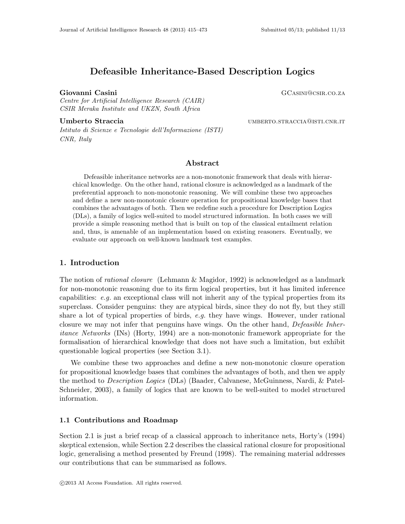# Defeasible Inheritance-Based Description Logics

Centre for Artificial Intelligence Research (CAIR) CSIR Meraka Institute and UKZN, South Africa

Istituto di Scienze e Tecnologie dell'Informazione (ISTI) CNR, Italy

Giovanni Casini Gasini Gasini Gasini Gunud al Casini Gunud Gunud Gunud Gunud Gunud Gunud Gunud Gunud Gunud Gunud Gunud Gunud Gunud Gunud Gunud Gunud Gunud Gunud Gunud Gunud Gunud Gunud Gunud Gunud Gunud Gunud Gunud Gunud G

Umberto Straccia **umberto** Straccia umberto.straccia umberto.straccia umberto.straccia

# Abstract

Defeasible inheritance networks are a non-monotonic framework that deals with hierarchical knowledge. On the other hand, rational closure is acknowledged as a landmark of the preferential approach to non-monotonic reasoning. We will combine these two approaches and define a new non-monotonic closure operation for propositional knowledge bases that combines the advantages of both. Then we redefine such a procedure for Description Logics (DLs), a family of logics well-suited to model structured information. In both cases we will provide a simple reasoning method that is built on top of the classical entailment relation and, thus, is amenable of an implementation based on existing reasoners. Eventually, we evaluate our approach on well-known landmark test examples.

# 1. Introduction

The notion of *rational closure* (Lehmann & Magidor, 1992) is acknowledged as a landmark for non-monotonic reasoning due to its firm logical properties, but it has limited inference capabilities:  $e.g.$  an exceptional class will not inherit any of the typical properties from its superclass. Consider penguins: they are atypical birds, since they do not fly, but they still share a lot of typical properties of birds, e.g. they have wings. However, under rational closure we may not infer that penguins have wings. On the other hand, *Defeasible Inher*itance Networks (INs) (Horty, 1994) are a non-monotonic framework appropriate for the formalisation of hierarchical knowledge that does not have such a limitation, but exhibit questionable logical properties (see Section 3.1).

We combine these two approaches and define a new non-monotonic closure operation for propositional knowledge bases that combines the advantages of both, and then we apply the method to *Description Logics* (DLs) (Baader, Calvanese, McGuinness, Nardi, & Patel-Schneider, 2003), a family of logics that are known to be well-suited to model structured information.

#### 1.1 Contributions and Roadmap

Section 2.1 is just a brief recap of a classical approach to inheritance nets, Horty's (1994) skeptical extension, while Section 2.2 describes the classical rational closure for propositional logic, generalising a method presented by Freund (1998). The remaining material addresses our contributions that can be summarised as follows.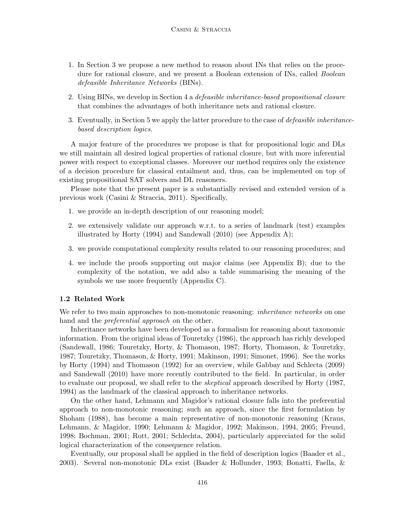- 1. In Section 3 we propose a new method to reason about INs that relies on the procedure for rational closure, and we present a Boolean extension of INs, called Boolean defeasible Inheritance Networks (BINs).
- 2. Using BINs, we develop in Section 4 a defeasible inheritance-based propositional closure that combines the advantages of both inheritance nets and rational closure.
- 3. Eventually, in Section 5 we apply the latter procedure to the case of defeasible inheritancebased description logics.

A major feature of the procedures we propose is that for propositional logic and DLs we still maintain all desired logical properties of rational closure, but with more inferential power with respect to exceptional classes. Moreover our method requires only the existence of a decision procedure for classical entailment and, thus, can be implemented on top of existing propositional SAT solvers and DL reasoners.

Please note that the present paper is a substantially revised and extended version of a previous work (Casini & Straccia, 2011). Specifically,

- 1. we provide an in-depth description of our reasoning model;
- 2. we extensively validate our approach w.r.t. to a series of landmark (test) examples illustrated by Horty (1994) and Sandewall (2010) (see Appendix A);
- 3. we provide computational complexity results related to our reasoning procedures; and
- 4. we include the proofs supporting out major claims (see Appendix B); due to the complexity of the notation, we add also a table summarising the meaning of the symbols we use more frequently (Appendix C).

# 1.2 Related Work

We refer to two main approaches to non-monotonic reasoning: *inheritance networks* on one hand and the *preferential approach* on the other.

Inheritance networks have been developed as a formalism for reasoning about taxonomic information. From the original ideas of Touretzky (1986), the approach has richly developed (Sandewall, 1986; Touretzky, Horty, & Thomason, 1987; Horty, Thomason, & Touretzky, 1987; Touretzky, Thomason, & Horty, 1991; Makinson, 1991; Simonet, 1996). See the works by Horty (1994) and Thomason (1992) for an overview, while Gabbay and Schlecta (2009) and Sandewall (2010) have more recently contributed to the field. In particular, in order to evaluate our proposal, we shall refer to the *skeptical* approach described by Horty (1987, 1994) as the landmark of the classical approach to inheritance networks.

On the other hand, Lehmann and Magidor's rational closure falls into the preferential approach to non-monotonic reasoning; such an approach, since the first formulation by Shoham (1988), has become a main representative of non-monotonic reasoning (Kraus, Lehmann, & Magidor, 1990; Lehmann & Magidor, 1992; Makinson, 1994, 2005; Freund, 1998; Bochman, 2001; Rott, 2001; Schlechta, 2004), particularly appreciated for the solid logical characterization of the consequence relation.

Eventually, our proposal shall be applied in the field of description logics (Baader et al., 2003). Several non-monotonic DLs exist (Baader & Hollunder, 1993; Bonatti, Faella, &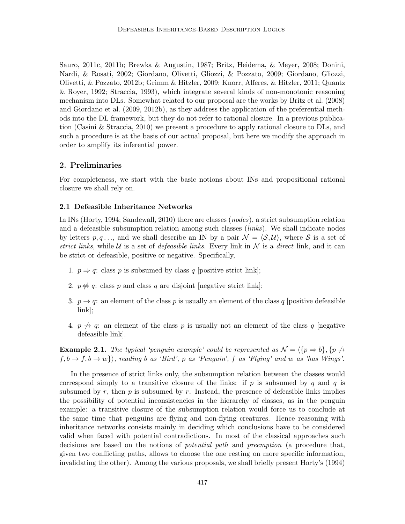Sauro, 2011c, 2011b; Brewka & Augustin, 1987; Britz, Heidema, & Meyer, 2008; Donini, Nardi, & Rosati, 2002; Giordano, Olivetti, Gliozzi, & Pozzato, 2009; Giordano, Gliozzi, Olivetti, & Pozzato, 2012b; Grimm & Hitzler, 2009; Knorr, Alferes, & Hitzler, 2011; Quantz & Royer, 1992; Straccia, 1993), which integrate several kinds of non-monotonic reasoning mechanism into DLs. Somewhat related to our proposal are the works by Britz et al. (2008) and Giordano et al. (2009, 2012b), as they address the application of the preferential methods into the DL framework, but they do not refer to rational closure. In a previous publication (Casini & Straccia, 2010) we present a procedure to apply rational closure to DLs, and such a procedure is at the basis of our actual proposal, but here we modify the approach in order to amplify its inferential power.

# 2. Preliminaries

For completeness, we start with the basic notions about INs and propositional rational closure we shall rely on.

# 2.1 Defeasible Inheritance Networks

In INs (Horty, 1994; Sandewall, 2010) there are classes (nodes), a strict subsumption relation and a defeasible subsumption relation among such classes (links). We shall indicate nodes by letters  $p, q, \ldots$ , and we shall describe an IN by a pair  $\mathcal{N} = \langle \mathcal{S}, \mathcal{U} \rangle$ , where S is a set of strict links, while U is a set of defeasible links. Every link in  $N$  is a direct link, and it can be strict or defeasible, positive or negative. Specifically,

- 1.  $p \Rightarrow q$ : class p is subsumed by class q [positive strict link];
- 2.  $p \notin q$ : class p and class q are disjoint [negative strict link];
- 3.  $p \rightarrow q$ : an element of the class p is usually an element of the class q [positive defeasible link];
- 4.  $p \nrightarrow q$ : an element of the class p is usually not an element of the class q [negative defeasible link].

**Example 2.1.** The typical 'penguin example' could be represented as  $\mathcal{N} = \{p \Rightarrow b\}, \{p \not\rightarrow c\}$  $f, b \rightarrow f, b \rightarrow w$ }, reading b as 'Bird', p as 'Penguin', f as 'Flying' and w as 'has Wings'.

In the presence of strict links only, the subsumption relation between the classes would correspond simply to a transitive closure of the links: if p is subsumed by q and q is subsumed by r, then  $p$  is subsumed by r. Instead, the presence of defeasible links implies the possibility of potential inconsistencies in the hierarchy of classes, as in the penguin example: a transitive closure of the subsumption relation would force us to conclude at the same time that penguins are flying and non-flying creatures. Hence reasoning with inheritance networks consists mainly in deciding which conclusions have to be considered valid when faced with potential contradictions. In most of the classical approaches such decisions are based on the notions of *potential path* and *preemption* (a procedure that, given two conflicting paths, allows to choose the one resting on more specific information, invalidating the other). Among the various proposals, we shall briefly present Horty's (1994)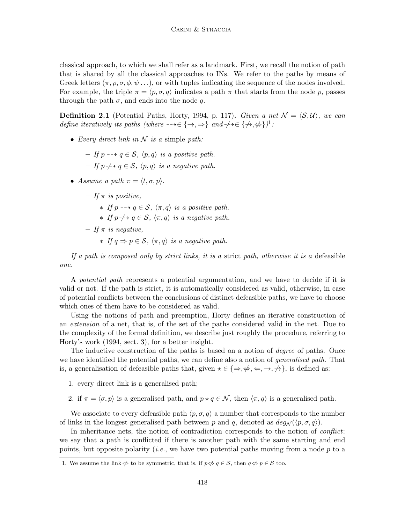classical approach, to which we shall refer as a landmark. First, we recall the notion of path that is shared by all the classical approaches to INs. We refer to the paths by means of Greek letters  $(\pi, \rho, \sigma, \phi, \psi, \ldots)$ , or with tuples indicating the sequence of the nodes involved. For example, the triple  $\pi = \langle p, \sigma, q \rangle$  indicates a path  $\pi$  that starts from the node p, passes through the path  $\sigma$ , and ends into the node q.

**Definition 2.1** (Potential Paths, Horty, 1994, p. 117). Given a net  $\mathcal{N} = \langle \mathcal{S}, \mathcal{U} \rangle$ , we can define iteratively its paths (where  $-\rightarrow \in \{\rightarrow, \Rightarrow\}$  and  $\rightarrow \rightarrow \in \{\nrightarrow, \nRightarrow\}$ )<sup>1</sup>:

- Every direct link in  $N$  is a simple path:
	- If  $p \rightarrow q \in S$ ,  $\langle p, q \rangle$  is a positive path. – If p- $\rightarrow$  q ∈ S,  $\langle p,q \rangle$  is a negative path.
- Assume a path  $\pi = \langle t, \sigma, p \rangle$ .
	- $-$  If  $\pi$  is positive,

 $∗$  If p  $-→ q ∈ S$ ,  $\langle π, q \rangle$  is a positive path.

- $\star$  If p- $\nvdash$  γ ∈ S,  $\langle \pi, q \rangle$  is a negative path.
- $-$  If  $\pi$  is negative.
	- $∗$  If  $q \Rightarrow p \in S$ ,  $\langle π, q \rangle$  is a negative path.

If a path is composed only by strict links, it is a strict path, otherwise it is a defeasible one.

A potential path represents a potential argumentation, and we have to decide if it is valid or not. If the path is strict, it is automatically considered as valid, otherwise, in case of potential conflicts between the conclusions of distinct defeasible paths, we have to choose which ones of them have to be considered as valid.

Using the notions of path and preemption, Horty defines an iterative construction of an extension of a net, that is, of the set of the paths considered valid in the net. Due to the complexity of the formal definition, we describe just roughly the procedure, referring to Horty's work (1994, sect. 3), for a better insight.

The inductive construction of the paths is based on a notion of *degree* of paths. Once we have identified the potential paths, we can define also a notion of *generalised path*. That is, a generalisation of defeasible paths that, given  $\star \in \{\Rightarrow, \nexists \phi, \Leftarrow, \rightarrow, \nexists \}$ , is defined as:

1. every direct link is a generalised path;

2. if  $\pi = \langle \sigma, p \rangle$  is a generalised path, and  $p \star q \in \mathcal{N}$ , then  $\langle \pi, q \rangle$  is a generalised path.

We associate to every defeasible path  $\langle p, \sigma, q \rangle$  a number that corresponds to the number of links in the longest generalised path between p and q, denoted as  $deg_N(\langle p, \sigma, q \rangle)$ .

In inheritance nets, the notion of contradiction corresponds to the notion of conflict: we say that a path is conflicted if there is another path with the same starting and end points, but opposite polarity (*i.e.*, we have two potential paths moving from a node  $p$  to a

<sup>1.</sup> We assume the link  $\#$  to be symmetric, that is, if  $p \notin q \in \mathcal{S}$ , then  $q \notin p \in \mathcal{S}$  too.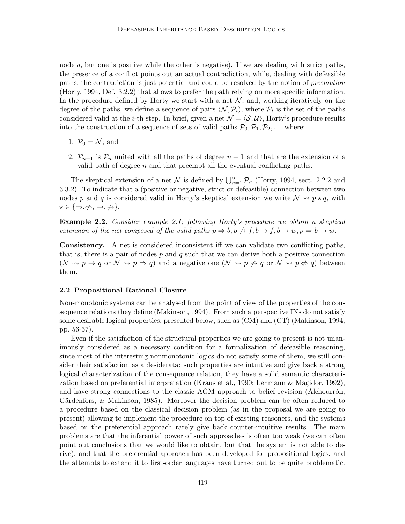node  $q$ , but one is positive while the other is negative). If we are dealing with strict paths, the presence of a conflict points out an actual contradiction, while, dealing with defeasible paths, the contradiction is just potential and could be resolved by the notion of preemption (Horty, 1994, Def. 3.2.2) that allows to prefer the path relying on more specific information. In the procedure defined by Horty we start with a net  $\mathcal N$ , and, working iteratively on the degree of the paths, we define a sequence of pairs  $\langle \mathcal{N}, \mathcal{P}_i \rangle$ , where  $\mathcal{P}_i$  is the set of the paths considered valid at the *i*-th step. In brief, given a net  $\mathcal{N} = \langle \mathcal{S}, \mathcal{U} \rangle$ , Horty's procedure results into the construction of a sequence of sets of valid paths  $\mathcal{P}_0, \mathcal{P}_1, \mathcal{P}_2, \ldots$  where:

- 1.  $\mathcal{P}_0 = \mathcal{N}$ ; and
- 2.  $\mathcal{P}_{n+1}$  is  $\mathcal{P}_n$  united with all the paths of degree  $n+1$  and that are the extension of a valid path of degree  $n$  and that preempt all the eventual conflicting paths.

The skeptical extension of a net N is defined by  $\bigcup_{n=1}^{\infty} \mathcal{P}_n$  (Horty, 1994, sect. 2.2.2 and 3.3.2). To indicate that a (positive or negative, strict or defeasible) connection between two nodes p and q is considered valid in Horty's skeptical extension we write  $\mathcal{N} \rightsquigarrow p \star q$ , with  $\star \in \{\Rightarrow, \nexists \phi, \rightarrow, \nexists \}$ .

Example 2.2. Consider example 2.1; following Horty's procedure we obtain a skeptical extension of the net composed of the valid paths  $p \Rightarrow b, p \not\rightarrow f, b \rightarrow f, b \rightarrow w, p \Rightarrow b \rightarrow w$ .

Consistency. A net is considered inconsistent iff we can validate two conflicting paths, that is, there is a pair of nodes  $p$  and  $q$  such that we can derive both a positive connection  $(N \leadsto p \rightarrow q \text{ or } \mathcal{N} \leadsto p \Rightarrow q)$  and a negative one  $(\mathcal{N} \leadsto p \not\rightarrow q \text{ or } \mathcal{N} \leadsto p \not\Rightarrow q)$  between them.

### 2.2 Propositional Rational Closure

Non-monotonic systems can be analysed from the point of view of the properties of the consequence relations they define (Makinson, 1994). From such a perspective INs do not satisfy some desirable logical properties, presented below, such as (CM) and (CT) (Makinson, 1994, pp. 56-57).

Even if the satisfaction of the structural properties we are going to present is not unanimously considered as a necessary condition for a formalization of defeasible reasoning, since most of the interesting nonmonotonic logics do not satisfy some of them, we still consider their satisfaction as a desiderata: such properties are intuitive and give back a strong logical characterization of the consequence relation, they have a solid semantic characterization based on preferential interpretation (Kraus et al., 1990; Lehmann & Magidor, 1992), and have strong connections to the classic AGM approach to belief revision (Alchourron, Gärdenfors,  $\&$  Makinson, 1985). Moreover the decision problem can be often reduced to a procedure based on the classical decision problem (as in the proposal we are going to present) allowing to implement the procedure on top of existing reasoners, and the systems based on the preferential approach rarely give back counter-intuitive results. The main problems are that the inferential power of such approaches is often too weak (we can often point out conclusions that we would like to obtain, but that the system is not able to derive), and that the preferential approach has been developed for propositional logics, and the attempts to extend it to first-order languages have turned out to be quite problematic.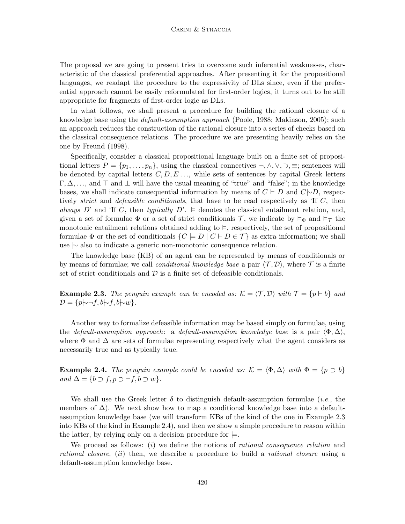The proposal we are going to present tries to overcome such inferential weaknesses, characteristic of the classical preferential approaches. After presenting it for the propositional languages, we readapt the procedure to the expressivity of DLs since, even if the preferential approach cannot be easily reformulated for first-order logics, it turns out to be still appropriate for fragments of first-order logic as DLs.

In what follows, we shall present a procedure for building the rational closure of a knowledge base using the *default-assumption approach* (Poole, 1988; Makinson, 2005); such an approach reduces the construction of the rational closure into a series of checks based on the classical consequence relations. The procedure we are presenting heavily relies on the one by Freund (1998).

Specifically, consider a classical propositional language built on a finite set of propositional letters  $P = \{p_1, \ldots, p_n\}$ , using the classical connectives  $\neg, \wedge, \vee, \supset, \equiv$ ; sentences will be denoted by capital letters  $C, D, E, \ldots$ , while sets of sentences by capital Greek letters  $\Gamma, \Delta, \ldots$ , and  $\top$  and  $\bot$  will have the usual meaning of "true" and "false"; in the knowledge bases, we shall indicate consequential information by means of  $C \vdash D$  and  $C \vdash D$ , respectively *strict* and *defeasible conditionals*, that have to be read respectively as 'If  $C$ , then always D' and 'If C, then typically  $D'$ .  $\models$  denotes the classical entailment relation, and, given a set of formulae  $\Phi$  or a set of strict conditionals T, we indicate by  $\vDash_{\Phi}$  and  $\vDash_{\mathcal{T}}$  the monotonic entailment relations obtained adding to  $\vDash$ , respectively, the set of propositional formulae  $\Phi$  or the set of conditionals  $\{C \models D \mid C \vdash D \in \mathcal{T}\}\$  as extra information; we shall use |∼ also to indicate a generic non-monotonic consequence relation.

The knowledge base (KB) of an agent can be represented by means of conditionals or by means of formulae; we call *conditional knowledge base* a pair  $\langle \mathcal{T}, \mathcal{D} \rangle$ , where  $\mathcal{T}$  is a finite set of strict conditionals and  $\mathcal D$  is a finite set of defeasible conditionals.

**Example 2.3.** The penguin example can be encoded as:  $K = \langle T, \mathcal{D} \rangle$  with  $\mathcal{T} = \{p \vdash b\}$  and  $\mathcal{D} = \{p \rightarrow f, b \rightarrow f, b \rightarrow w\}.$ 

Another way to formalize defeasible information may be based simply on formulae, using the default-assumption approach: a default-assumption knowledge base is a pair  $\langle \Phi, \Delta \rangle$ , where  $\Phi$  and  $\Delta$  are sets of formulae representing respectively what the agent considers as necessarily true and as typically true.

**Example 2.4.** The penguin example could be encoded as:  $\mathcal{K} = \langle \Phi, \Delta \rangle$  with  $\Phi = \{p \supset b\}$ and  $\Delta = \{b \supset f, p \supset \neg f, b \supset w\}.$ 

We shall use the Greek letter  $\delta$  to distinguish default-assumption formulae (*i.e.*, the members of  $\Delta$ ). We next show how to map a conditional knowledge base into a defaultassumption knowledge base (we will transform KBs of the kind of the one in Example 2.3 into KBs of the kind in Example 2.4), and then we show a simple procedure to reason within the latter, by relying only on a decision procedure for  $\models$ .

We proceed as follows: (i) we define the notions of rational consequence relation and rational closure, (ii) then, we describe a procedure to build a rational closure using a default-assumption knowledge base.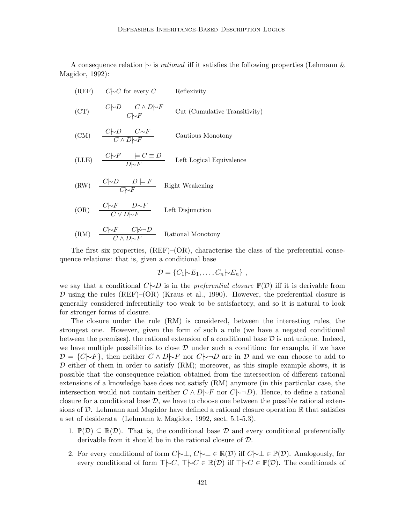A consequence relation  $\sim$  is *rational* iff it satisfies the following properties (Lehmann & Magidor, 1992):

- (REF)  $C\sim C$  for every C Reflexivity (CT)  $\frac{C|\sim D \quad C \land D|\sim F}{C|\sim F}$  Cut (Cumulative Transitivity) (CM)  $\frac{C|\sim D \quad C|\sim F}{C \land D|\sim F}$  Cautious Monotony (LLE)  $\frac{C|\neg F|}{D|\neg F} = C \equiv D$  Left Logical Equivalence
- (RW)  $\frac{C|\sim D \mid D \mid F}{C|\sim F}$  Right Weakening
- (OR)  $\frac{C|\neg F \quad D|\neg F}{C \lor D|\neg F}$  Left Disjunction

(RM) 
$$
\frac{C|\sim F \quad C|\sim \neg D}{C \land D|\sim F}
$$
 Rational Monotony

The first six properties,  $(REF)$ – $(OR)$ , characterise the class of the preferential consequence relations: that is, given a conditional base

$$
\mathcal{D} = \{C_1 | \negthinspace \sim \negthinspace E_1, \ldots, C_n | \negthinspace \sim \negthinspace E_n\},
$$

we say that a conditional  $C\rightarrow D$  is in the *preferential closure*  $\mathbb{P}(\mathcal{D})$  iff it is derivable from  $D$  using the rules (REF)–(OR) (Kraus et al., 1990). However, the preferential closure is generally considered inferentially too weak to be satisfactory, and so it is natural to look for stronger forms of closure.

The closure under the rule (RM) is considered, between the interesting rules, the strongest one. However, given the form of such a rule (we have a negated conditional between the premises), the rational extension of a conditional base  $\mathcal D$  is not unique. Indeed, we have multiple possibilities to close  $\mathcal D$  under such a condition: for example, if we have  $D = \{C \cup F\}$ , then neither  $C \wedge D \cup F$  nor  $C \cup D$  are in D and we can choose to add to  $\mathcal D$  either of them in order to satisfy (RM); moreover, as this simple example shows, it is possible that the consequence relation obtained from the intersection of different rational extensions of a knowledge base does not satisfy (RM) anymore (in this particular case, the intersection would not contain neither  $C \wedge D \vdash F$  nor  $C \vdash \neg D$ . Hence, to define a rational closure for a conditional base  $\mathcal{D}$ , we have to choose one between the possible rational extensions of D. Lehmann and Magidor have defined a rational closure operation  $\mathbb R$  that satisfies a set of desiderata (Lehmann & Magidor, 1992, sect. 5.1-5.3).

- 1.  $\mathbb{P}(\mathcal{D}) \subseteq \mathbb{R}(\mathcal{D})$ . That is, the conditional base  $\mathcal D$  and every conditional preferentially derivable from it should be in the rational closure of D.
- 2. For every conditional of form  $C\rightarrow\bot$ ,  $C\rightarrow\bot\in\mathbb{R}(\mathcal{D})$  iff  $C\rightarrow\bot\in\mathbb{P}(\mathcal{D})$ . Analogously, for every conditional of form  $\top \vdash C$ ,  $\top \vdash C \in \mathbb{R}(\mathcal{D})$  iff  $\top \vdash C \in \mathbb{P}(\mathcal{D})$ . The conditionals of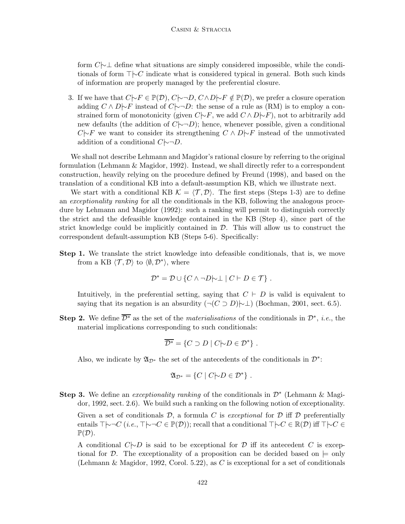form C|∼⊥ define what situations are simply considered impossible, while the conditionals of form ⊤|∼C indicate what is considered typical in general. Both such kinds of information are properly managed by the preferential closure.

3. If we have that  $C\rightarrow F \in \mathbb{P}(\mathcal{D}), C\rightarrow D, C\land D\rightarrow F \notin \mathbb{P}(\mathcal{D}),$  we prefer a closure operation adding  $C \wedge D\rightarrow F$  instead of  $C\rightarrow D$ : the sense of a rule as (RM) is to employ a constrained form of monotonicity (given  $C\rightarrow F$ , we add  $C \wedge D\rightarrow F$ ), not to arbitrarily add new defaults (the addition of  $C|\neg D|$ ; hence, whenever possible, given a conditional  $C\rightarrow F$  we want to consider its strengthening  $C \wedge D\rightarrow F$  instead of the unmotivated addition of a conditional  $C \sim D$ .

We shall not describe Lehmann and Magidor's rational closure by referring to the original formulation (Lehmann & Magidor, 1992). Instead, we shall directly refer to a correspondent construction, heavily relying on the procedure defined by Freund (1998), and based on the translation of a conditional KB into a default-assumption KB, which we illustrate next.

We start with a conditional KB  $\mathcal{K} = \langle \mathcal{T}, \mathcal{D} \rangle$ . The first steps (Steps 1-3) are to define an exceptionality ranking for all the conditionals in the KB, following the analogous procedure by Lehmann and Magidor (1992): such a ranking will permit to distinguish correctly the strict and the defeasible knowledge contained in the KB (Step 4), since part of the strict knowledge could be implicitly contained in  $\mathcal{D}$ . This will allow us to construct the correspondent default-assumption KB (Steps 5-6). Specifically:

**Step 1.** We translate the strict knowledge into defeasible conditionals, that is, we move from a KB  $\langle \mathcal{T}, \mathcal{D} \rangle$  to  $\langle \emptyset, \mathcal{D}^* \rangle$ , where

$$
\mathcal{D}^* = \mathcal{D} \cup \{ C \land \neg D \mid \perp \mid C \vdash D \in \mathcal{T} \} .
$$

Intuitively, in the preferential setting, saying that  $C \vdash D$  is valid is equivalent to saying that its negation is an absurdity  $(\neg(C \supset D) \rightarrow \bot)$  (Bochman, 2001, sect. 6.5).

**Step 2.** We define  $\overline{\mathcal{D}^*}$  as the set of the *materialisations* of the conditionals in  $\mathcal{D}^*$ , *i.e.*, the material implications corresponding to such conditionals:

$$
\overline{\mathcal{D}^*} = \{ C \supset D \mid C \sim D \in \mathcal{D}^* \} .
$$

Also, we indicate by  $\mathfrak{A}_{\mathcal{D}^*}$  the set of the antecedents of the conditionals in  $\mathcal{D}^*$ :

$$
\mathfrak{A}_{\mathcal{D}^*} = \{ C \mid C \mid D \in \mathcal{D}^* \}.
$$

Step 3. We define an *exceptionality ranking* of the conditionals in  $\mathcal{D}^*$  (Lehmann & Magidor, 1992, sect. 2.6). We build such a ranking on the following notion of exceptionality.

Given a set of conditionals  $\mathcal{D}$ , a formula C is exceptional for  $\mathcal D$  iff  $\mathcal D$  preferentially entails  $\top \sim \neg C$  (*i.e.*,  $\top \sim \neg C \in \mathbb{P}(\mathcal{D})$ ); recall that a conditional  $\top \sim C \in \mathbb{R}(\mathcal{D})$  iff  $\top \sim C \in$  $\mathbb{P}(\mathcal{D}).$ 

A conditional  $C \rightarrow D$  is said to be exceptional for D iff its antecedent C is exceptional for D. The exceptionality of a proposition can be decided based on  $\models$  only (Lehmann & Magidor, 1992, Corol. 5.22), as C is exceptional for a set of conditionals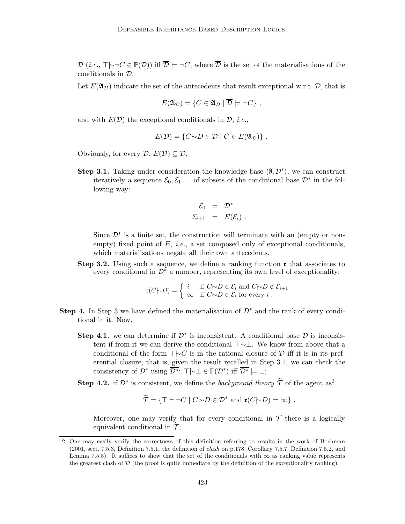$\mathcal{D}$  (*i.e.*,  $\top \rightarrowtail C \in \mathbb{P}(\mathcal{D})$ ) iff  $\overline{\mathcal{D}} \models \neg C$ , where  $\overline{\mathcal{D}}$  is the set of the materialisations of the conditionals in D.

Let  $E(\mathfrak{A}_{\mathcal{D}})$  indicate the set of the antecedents that result exceptional w.r.t.  $\mathcal{D}$ , that is

$$
E(\mathfrak{A}_{\mathcal{D}}) = \{ C \in \mathfrak{A}_{\mathcal{D}} \mid \overline{\mathcal{D}} \models \neg C \},
$$

and with  $E(D)$  the exceptional conditionals in  $D$ , *i.e.*,

$$
E(\mathcal{D}) = \{ C | \neg D \in \mathcal{D} \mid C \in E(\mathfrak{A}_{\mathcal{D}}) \}.
$$

Obviously, for every  $\mathcal{D}, E(\mathcal{D}) \subset \mathcal{D}$ .

Step 3.1. Taking under consideration the knowledge base  $\langle \emptyset, \mathcal{D}^* \rangle$ , we can construct iteratively a sequence  $\mathcal{E}_0, \mathcal{E}_1 \dots$  of subsets of the conditional base  $\mathcal{D}^*$  in the following way:

$$
\mathcal{E}_0 = \mathcal{D}^* \n\mathcal{E}_{i+1} = E(\mathcal{E}_i) .
$$

Since  $\mathcal{D}^*$  is a finite set, the construction will terminate with an (empty or nonempty) fixed point of  $E$ , *i.e.*, a set composed only of exceptional conditionals, which materialisations negate all their own antecedents.

**Step 3.2.** Using such a sequence, we define a ranking function  $\mathbf{r}$  that associates to every conditional in  $\mathcal{D}^*$  a number, representing its own level of exceptionality:

$$
\mathfrak{r}(C \mid D) = \begin{cases} i & \text{if } C \mid D \in \mathcal{E}_i \text{ and } C \mid D \notin \mathcal{E}_{i+1} \\ \infty & \text{if } C \mid D \in \mathcal{E}_i \text{ for every } i \end{cases}.
$$

- **Step 4.** In Step 3 we have defined the materialisation of  $\mathcal{D}^*$  and the rank of every conditional in it. Now,
	- Step 4.1. we can determine if  $\mathcal{D}^*$  is inconsistent. A conditional base  $\mathcal D$  is inconsistent if from it we can derive the conditional ⊤|∼⊥. We know from above that a conditional of the form  $\top \vdash C$  is in the rational closure of D iff it is in its preferential closure, that is, given the result recalled in Step 3.1, we can check the consistency of  $\mathcal{D}^*$  using  $\overline{\mathcal{D}^*}$ :  $\top \rightarrow \bot \in \mathbb{P}(\mathcal{D}^*)$  iff  $\overline{\mathcal{D}^*} \models \bot$ ;

**Step 4.2.** if  $\mathcal{D}^*$  is consistent, we define the background theory  $\widetilde{\mathcal{T}}$  of the agent as<sup>2</sup>

$$
\widetilde{\mathcal{T}} = \{ \top \vdash \neg C \mid C \mid D \in \mathcal{D}^* \text{ and } \mathfrak{r}(C \mid D) = \infty \} .
$$

Moreover, one may verify that for every conditional in  $\mathcal T$  there is a logically equivalent conditional in  $\mathcal{T}$ ;

<sup>2.</sup> One may easily verify the correctness of this definition referring to results in the work of Bochman (2001, sect. 7.5.3, Definition 7.5.1, the definition of clash on p.178, Corollary 7.5.7, Definition 7.5.2, and Lemma 7.5.5). It suffices to show that the set of the conditionals with  $\infty$  as ranking value represents the greatest clash of  $\mathcal D$  (the proof is quite immediate by the definition of the exceptionality ranking).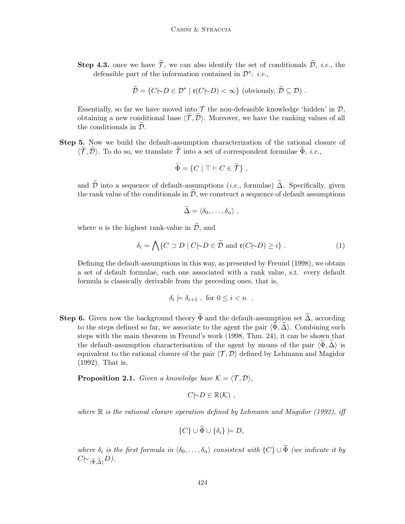**Step 4.3.** once we have  $\widetilde{\mathcal{T}}$ , we can also identify the set of conditionals  $\widetilde{\mathcal{D}}$ , *i.e.*, the defeasible part of the information contained in  $\mathcal{D}^*$ : *i.e.*,

$$
\widetilde{\mathcal{D}} = \{ C | \neg D \in \mathcal{D}^* \mid \mathfrak{r}(C | \neg D) < \infty \} \text{ (obviously, } \widetilde{\mathcal{D}} \subseteq \mathcal{D} \text{)}.
$$

Essentially, so far we have moved into  $\mathcal T$  the non-defeasible knowledge 'hidden' in  $\mathcal D$ , obtaining a new conditional base  $\langle \tilde{\mathcal{T}}, \tilde{\mathcal{D}} \rangle$ . Moreover, we have the ranking values of all the conditionals in  $\mathcal{D}$ .

Step 5. Now we build the default-assumption characterization of the rational closure of  $\langle \tilde{\mathcal{T}}, \tilde{\mathcal{D}} \rangle$ . To do so, we translate  $\tilde{\mathcal{T}}$  into a set of correspondent formulae  $\Phi$ , *i.e.*,

$$
\widetilde{\Phi} = \{ C \mid \top \vdash C \in \widetilde{\mathcal{T}} \},
$$

and  $\widetilde{\mathcal{D}}$  into a sequence of default-assumptions (*i.e.*, formulae)  $\widetilde{\Delta}$ . Specifically, given the rank value of the conditionals in  $\widetilde{\mathcal{D}}$ , we construct a sequence of default assumptions

$$
\widetilde{\Delta} = \langle \delta_0, \ldots, \delta_n \rangle ,
$$

where *n* is the highest rank-value in  $\widetilde{\mathcal{D}}$ , and

$$
\delta_i = \bigwedge \{ C \supset D \mid C \mid D \in \widetilde{D} \text{ and } \mathfrak{r}(C \mid D) \geq i \} . \tag{1}
$$

Defining the default-assumptions in this way, as presented by Freund (1998), we obtain a set of default formulae, each one associated with a rank value, s.t. every default formula is classically derivable from the preceding ones, that is,

$$
\delta_i \models \delta_{i+1} , \text{ for } 0 \leq i < n .
$$

**Step 6.** Given now the background theory  $\widetilde{\Phi}$  and the default-assumption set  $\widetilde{\Delta}$ , according to the steps defined so far, we associate to the agent the pair  $\langle \Phi, \Delta \rangle$ . Combining such steps with the main theorem in Freund's work (1998, Thm. 24), it can be shown that the default-assumption characterisation of the agent by means of the pair  $\langle \Phi, \Delta \rangle$  is equivalent to the rational closure of the pair  $\langle \mathcal{T}, \mathcal{D} \rangle$  defined by Lehmann and Magidor (1992). That is,

**Proposition 2.1.** Given a knowledge base  $K = \langle T, \mathcal{D} \rangle$ ,

$$
C\bigtriangledown D\in\mathbb{R}(\mathcal{K}) ,
$$

where  $\mathbb R$  is the rational closure operation defined by Lehmann and Magidor (1992), iff

$$
\{C\} \cup \Phi \cup \{\delta_i\} \models D,
$$

where  $\delta_i$  is the first formula in  $\langle \delta_0, \ldots, \delta_n \rangle$  consistent with  $\{C\} \cup \Phi$  (we indicate it by  $C\sim_{\langle \widetilde{\Phi},\widetilde{\Delta}\rangle}D$ ).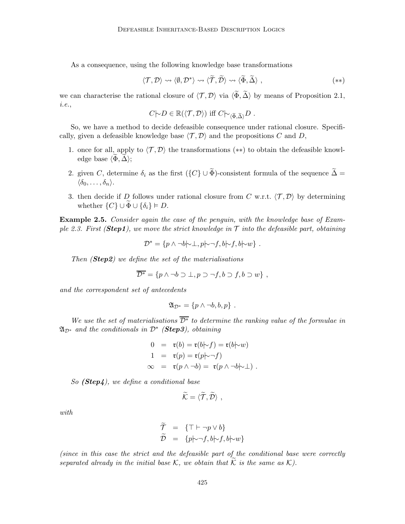As a consequence, using the following knowledge base transformations

$$
\langle \mathcal{T}, \mathcal{D} \rangle \rightsquigarrow \langle \emptyset, \mathcal{D}^* \rangle \rightsquigarrow \langle \widetilde{\mathcal{T}}, \widetilde{\mathcal{D}} \rangle \rightsquigarrow \langle \widetilde{\Phi}, \widetilde{\Delta} \rangle , \tag{**}
$$

we can characterise the rational closure of  $\langle \mathcal{T}, \mathcal{D} \rangle$  via  $\langle \widetilde{\Phi}, \widetilde{\Delta} \rangle$  by means of Proposition 2.1, i.e.,

$$
C\mathcal{h}D\in\mathbb{R}(\langle \mathcal{T},\mathcal{D}\rangle) \text{ iff } C\mathcal{h}_{\langle \widetilde{\Phi},\widetilde{\Delta}\rangle}D \ .
$$

So, we have a method to decide defeasible consequence under rational closure. Specifically, given a defeasible knowledge base  $\langle \mathcal{T}, \mathcal{D} \rangle$  and the propositions C and D,

- 1. once for all, apply to  $\langle \mathcal{T}, \mathcal{D} \rangle$  the transformations (\*\*) to obtain the defeasible knowledge base  $\langle \Phi, \Delta \rangle$ ;
- 2. given C, determine  $\delta_i$  as the first  $(\{C\} \cup \widetilde{\Phi})$ -consistent formula of the sequence  $\widetilde{\Delta}$  =  $\langle \delta_0, \ldots, \delta_n \rangle$ .
- 3. then decide if D follows under rational closure from C w.r.t.  $\langle \mathcal{T}, \mathcal{D} \rangle$  by determining whether  $\{C\} \cup \overline{\Phi} \cup \{\delta_i\} \models D$ .

**Example 2.5.** Consider again the case of the penguin, with the knowledge base of Example 2.3. First (**Step1**), we move the strict knowledge in  $\mathcal T$  into the defeasible part, obtaining

$$
\mathcal{D}^* = \{ p \wedge \neg b \mid \neg \bot, p \mid \neg f, b \mid \neg f, b \mid \neg w \} .
$$

Then  $(Step 2)$  we define the set of the materialisations

$$
\overline{\mathcal{D}^*} = \{ p \land \neg b \supset \bot, p \supset \neg f, b \supset f, b \supset w \},
$$

and the correspondent set of antecedents

$$
\mathfrak{A}_{\mathcal{D}^*} = \{p \wedge \neg b, b, p\}.
$$

We use the set of materialisations  $\overline{\mathcal{D}^*}$  to determine the ranking value of the formulae in  $\mathfrak{A}_{\mathcal{D}^*}$  and the conditionals in  $\mathcal{D}^*$  (**Step3**), obtaining

$$
0 = \mathfrak{r}(b) = \mathfrak{r}(b \mid \neg f) = \mathfrak{r}(b \mid \neg w)
$$
  
\n
$$
1 = \mathfrak{r}(p) = \mathfrak{r}(p \mid \neg f)
$$
  
\n
$$
\infty = \mathfrak{r}(p \land \neg b) = \mathfrak{r}(p \land \neg b \mid \neg \bot).
$$

So (Step4), we define a conditional base

$$
\widetilde{\mathcal{K}}=\langle\widetilde{\mathcal{T}},\widetilde{\mathcal{D}}\rangle\ ,
$$

with

$$
\widetilde{\mathcal{T}} = \{ \top \vdash \neg p \lor b \} \n\widetilde{\mathcal{D}} = \{ p \downarrow \neg f, b \mid \neg f, b \mid \neg w \}
$$

(since in this case the strict and the defeasible part of the conditional base were correctly separated already in the initial base K, we obtain that  $\widetilde{K}$  is the same as K).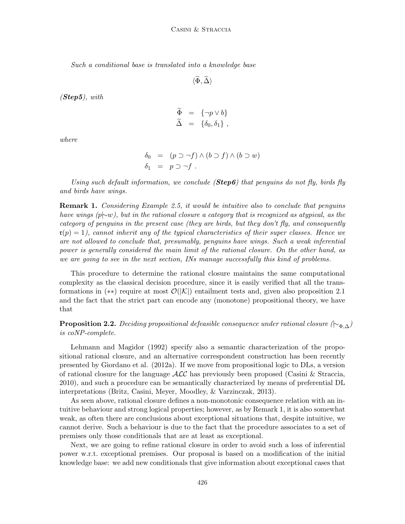Such a conditional base is translated into a knowledge base

 $\langle \widetilde{\Phi}, \widetilde{\Delta} \rangle$ 

 $(Step 5)$ , with

$$
\begin{array}{rcl}\n\widetilde{\Phi} & = & \{\neg p \vee b\} \\
\widetilde{\Delta} & = & \{\delta_0, \delta_1\} \, ,\n\end{array}
$$

where

$$
\begin{array}{rcl}\n\delta_0 & = & (p \supset \neg f) \land (b \supset f) \land (b \supset w) \\
\delta_1 & = & p \supset \neg f \,.\n\end{array}
$$

Using such default information, we conclude ( $Step 6$ ) that penguins do not fly, birds fly and birds have wings.

**Remark 1.** Considering Example 2.5, it would be intuitive also to conclude that penguins have wings (p $\sim w$ ), but in the rational closure a category that is recognized as atypical, as the category of penguins in the present case (they are birds, but they don't fly, and consequently  $\mathfrak{r}(p) = 1$ , cannot inherit any of the typical characteristics of their super classes. Hence we are not allowed to conclude that, presumably, penguins have wings. Such a weak inferential power is generally considered the main limit of the rational closure. On the other hand, as we are going to see in the next section, INs manage successfully this kind of problems.

This procedure to determine the rational closure maintains the same computational complexity as the classical decision procedure, since it is easily verified that all the transformations in (\*\*) require at most  $\mathcal{O}(|\mathcal{K}|)$  entailment tests and, given also proposition 2.1 and the fact that the strict part can encode any (monotone) propositional theory, we have that

**Proposition 2.2.** Deciding propositional defeasible consequence under rational closure ( $\vdash_{\Phi,\Delta}$ ) is coNP-complete.

Lehmann and Magidor (1992) specify also a semantic characterization of the propositional rational closure, and an alternative correspondent construction has been recently presented by Giordano et al. (2012a). If we move from propositional logic to DLs, a version of rational closure for the language  $\cal{ALC}$  has previously been proposed (Casini & Straccia, 2010), and such a procedure can be semantically characterized by means of preferential DL interpretations (Britz, Casini, Meyer, Moodley, & Varzinczak, 2013).

As seen above, rational closure defines a non-monotonic consequence relation with an intuitive behaviour and strong logical properties; however, as by Remark 1, it is also somewhat weak, as often there are conclusions about exceptional situations that, despite intuitive, we cannot derive. Such a behaviour is due to the fact that the procedure associates to a set of premises only those conditionals that are at least as exceptional.

Next, we are going to refine rational closure in order to avoid such a loss of inferential power w.r.t. exceptional premises. Our proposal is based on a modification of the initial knowledge base: we add new conditionals that give information about exceptional cases that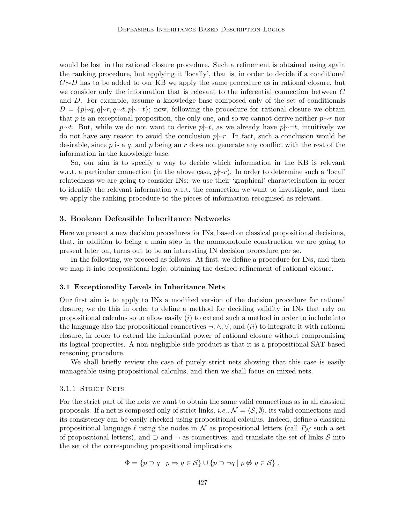would be lost in the rational closure procedure. Such a refinement is obtained using again the ranking procedure, but applying it 'locally', that is, in order to decide if a conditional  $C\rightarrow D$  has to be added to our KB we apply the same procedure as in rational closure, but we consider only the information that is relevant to the inferential connection between C and D. For example, assume a knowledge base composed only of the set of conditionals  $\mathcal{D} = \{p|\sim q, q|\sim r, q|\sim t, p|\sim \neg t\}$ ; now, following the procedure for rational closure we obtain that p is an exceptional proposition, the only one, and so we cannot derive neither  $p\vert \sim r$  nor p $\uparrow \sim t$ . But, while we do not want to derive p $\downarrow \sim t$ , as we already have p $\downarrow \sim t$ , intuitively we do not have any reason to avoid the conclusion  $p \rightarrow r$ . In fact, such a conclusion would be desirable, since p is a q, and p being an r does not generate any conflict with the rest of the information in the knowledge base.

So, our aim is to specify a way to decide which information in the KB is relevant w.r.t. a particular connection (in the above case,  $p\rightarrow r$ ). In order to determine such a 'local' relatedness we are going to consider INs: we use their 'graphical' characterisation in order to identify the relevant information w.r.t. the connection we want to investigate, and then we apply the ranking procedure to the pieces of information recognised as relevant.

## 3. Boolean Defeasible Inheritance Networks

Here we present a new decision procedures for INs, based on classical propositional decisions, that, in addition to being a main step in the nonmonotonic construction we are going to present later on, turns out to be an interesting IN decision procedure per se.

In the following, we proceed as follows. At first, we define a procedure for INs, and then we map it into propositional logic, obtaining the desired refinement of rational closure.

# 3.1 Exceptionality Levels in Inheritance Nets

Our first aim is to apply to INs a modified version of the decision procedure for rational closure; we do this in order to define a method for deciding validity in INs that rely on propositional calculus so to allow easily (i) to extend such a method in order to include into the language also the propositional connectives  $\neg, \wedge, \vee$ , and  $(ii)$  to integrate it with rational closure, in order to extend the inferential power of rational closure without compromising its logical properties. A non-negligible side product is that it is a propositional SAT-based reasoning procedure.

We shall briefly review the case of purely strict nets showing that this case is easily manageable using propositional calculus, and then we shall focus on mixed nets.

#### 3.1.1 STRICT NETS

For the strict part of the nets we want to obtain the same valid connections as in all classical proposals. If a net is composed only of strict links, *i.e.*,  $\mathcal{N} = \langle \mathcal{S}, \emptyset \rangle$ , its valid connections and its consistency can be easily checked using propositional calculus. Indeed, define a classical propositional language  $\ell$  using the nodes in N as propositional letters (call  $P_N$  such a set of propositional letters), and  $\supset$  and  $\neg$  as connectives, and translate the set of links S into the set of the corresponding propositional implications

$$
\Phi = \{ p \supset q \mid p \Rightarrow q \in \mathcal{S} \} \cup \{ p \supset \neg q \mid p \nleftrightarrow q \in \mathcal{S} \} .
$$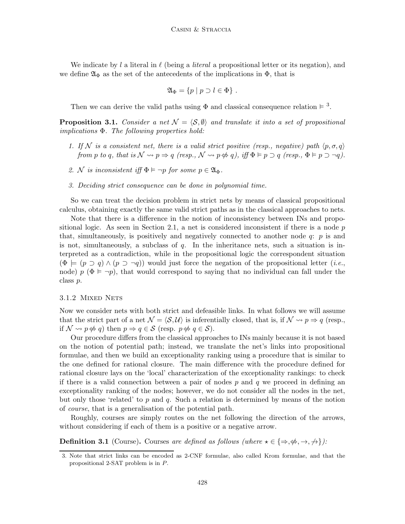We indicate by l a literal in  $\ell$  (being a literal a propositional letter or its negation), and we define  $\mathfrak{A}_{\Phi}$  as the set of the antecedents of the implications in  $\Phi$ , that is

$$
\mathfrak{A}_{\Phi} = \{ p \mid p \supset l \in \Phi \} .
$$

Then we can derive the valid paths using  $\Phi$  and classical consequence relation  $\models$ <sup>3</sup>.

**Proposition 3.1.** Consider a net  $\mathcal{N} = \langle \mathcal{S}, \emptyset \rangle$  and translate it into a set of propositional implications  $\Phi$ . The following properties hold:

- 1. If N is a consistent net, there is a valid strict positive (resp., negative) path  $\langle p, \sigma, q \rangle$ from p to q, that is  $\mathcal{N} \rightsquigarrow p \Rightarrow q$  (resp.,  $\mathcal{N} \rightsquigarrow p \Leftrightarrow q$ ), iff  $\Phi \models p \supset q$  (resp.,  $\Phi \models p \supset \neg q$ ).
- 2. N is inconsistent iff  $\Phi \models \neg p$  for some  $p \in \mathfrak{A}_{\Phi}$ .
- 3. Deciding strict consequence can be done in polynomial time.

So we can treat the decision problem in strict nets by means of classical propositional calculus, obtaining exactly the same valid strict paths as in the classical approaches to nets.

Note that there is a difference in the notion of inconsistency between INs and propositional logic. As seen in Section 2.1, a net is considered inconsistent if there is a node  $p$ that, simultaneously, is positively and negatively connected to another node  $q: p$  is and is not, simultaneously, a subclass of  $q$ . In the inheritance nets, such a situation is interpreted as a contradiction, while in the propositional logic the correspondent situation  $(\Phi \models (p \supset q) \wedge (p \supset \neg q))$  would just force the negation of the propositional letter (*i.e.*, node)  $p \ (\Phi \models \neg p)$ , that would correspond to saying that no individual can fall under the class p.

#### 3.1.2 MIXED NETS

Now we consider nets with both strict and defeasible links. In what follows we will assume that the strict part of a net  $\mathcal{N} = \langle \mathcal{S}, \mathcal{U} \rangle$  is inferentially closed, that is, if  $\mathcal{N} \rightsquigarrow p \Rightarrow q$  (resp., if  $\mathcal{N} \rightsquigarrow p \notin q$ ) then  $p \Rightarrow q \in \mathcal{S}$  (resp.  $p \notin q \in \mathcal{S}$ ).

Our procedure differs from the classical approaches to INs mainly because it is not based on the notion of potential path; instead, we translate the net's links into propositional formulae, and then we build an exceptionality ranking using a procedure that is similar to the one defined for rational closure. The main difference with the procedure defined for rational closure lays on the 'local' characterization of the exceptionality rankings: to check if there is a valid connection between a pair of nodes  $p$  and  $q$  we proceed in defining an exceptionality ranking of the nodes; however, we do not consider all the nodes in the net, but only those 'related' to  $p$  and  $q$ . Such a relation is determined by means of the notion of course, that is a generalisation of the potential path.

Roughly, courses are simply routes on the net following the direction of the arrows, without considering if each of them is a positive or a negative arrow.

**Definition 3.1** (Course). Courses are defined as follows (where  $\star \in \{\Rightarrow, \nexists, \rightarrow, \rightarrow\}$ ):

<sup>3.</sup> Note that strict links can be encoded as 2-CNF formulae, also called Krom formulae, and that the propositional 2-SAT problem is in P.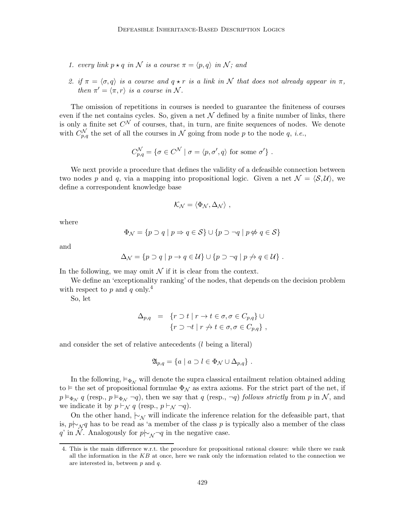- 1. every link  $p \star q$  in N is a course  $\pi = \langle p, q \rangle$  in N; and
- 2. if  $\pi = \langle \sigma, q \rangle$  is a course and  $q \star r$  is a link in N that does not already appear in  $\pi$ , then  $\pi' = \langle \pi, r \rangle$  is a course in N.

The omission of repetitions in courses is needed to guarantee the finiteness of courses even if the net contains cycles. So, given a net  $\mathcal N$  defined by a finite number of links, there is only a finite set  $C^{\mathcal{N}}$  of courses, that, in turn, are finite sequences of nodes. We denote with  $C_{p,q}^{\mathcal{N}}$  the set of all the courses in  $\mathcal N$  going from node p to the node q, *i.e.*,

$$
C_{p,q}^{\mathcal{N}} = \{ \sigma \in C^{\mathcal{N}} \mid \sigma = \langle p, \sigma', q \rangle \text{ for some } \sigma' \}.
$$

We next provide a procedure that defines the validity of a defeasible connection between two nodes p and q, via a mapping into propositional logic. Given a net  $\mathcal{N} = \langle \mathcal{S}, \mathcal{U} \rangle$ , we define a correspondent knowledge base

$$
\mathcal{K}_{\mathcal{N}} = \langle \Phi_{\mathcal{N}}, \Delta_{\mathcal{N}} \rangle \ ,
$$

where

$$
\Phi_{\mathcal{N}} = \{ p \supset q \mid p \Rightarrow q \in \mathcal{S} \} \cup \{ p \supset \neg q \mid p \nleftrightarrow q \in \mathcal{S} \}
$$

and

$$
\Delta_{\mathcal{N}} = \{ p \supset q \mid p \to q \in \mathcal{U} \} \cup \{ p \supset \neg q \mid p \nrightarrow q \in \mathcal{U} \} .
$$

In the following, we may omit  $\mathcal N$  if it is clear from the context.

We define an 'exceptionality ranking' of the nodes, that depends on the decision problem with respect to p and q only.<sup>4</sup>

So, let

$$
\Delta_{p,q} = \{ r \supset t \mid r \to t \in \sigma, \sigma \in C_{p,q} \} \cup
$$
  

$$
\{ r \supset \neg t \mid r \nleftrightarrow t \in \sigma, \sigma \in C_{p,q} \},
$$

and consider the set of relative antecedents (l being a literal)

$$
\mathfrak{A}_{p,q} = \{ a \mid a \supset l \in \Phi_{\mathcal{N}} \cup \Delta_{p,q} \} .
$$

In the following,  $\vDash_{\Phi_{\mathcal{N}}}$  will denote the supra classical entailment relation obtained adding to  $\vdash$  the set of propositional formulae  $\Phi_{\mathcal{N}}$  as extra axioms. For the strict part of the net, if  $p \vDash_{\Phi_{\mathcal{N}}} q$  (resp.,  $p \vDash_{\Phi_{\mathcal{N}}} \neg q$ ), then we say that q (resp.,  $\neg q$ ) follows strictly from p in N, and we indicate it by  $p \vdash_{\mathcal{N}} q$  (resp.,  $p \vdash_{\mathcal{N}} \neg q$ ).

On the other hand,  $\sim_{\mathcal{N}}$  will indicate the inference relation for the defeasible part, that is,  $p\sim_{\mathcal{N}} q$  has to be read as 'a member of the class p is typically also a member of the class q' in N. Analogously for  $p \nvert \sim \sqrt{q}$  in the negative case.

<sup>4.</sup> This is the main difference w.r.t. the procedure for propositional rational closure: while there we rank all the information in the  $KB$  at once, here we rank only the information related to the connection we are interested in, between p and q.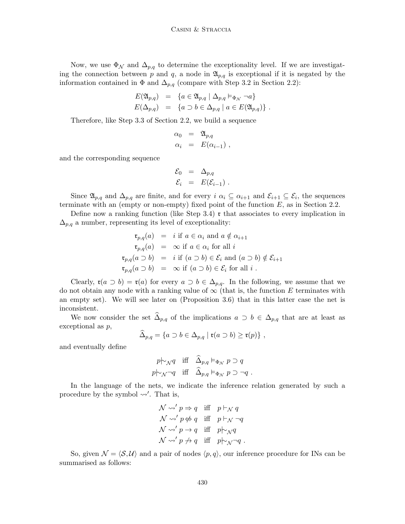Now, we use  $\Phi_{\mathcal{N}}$  and  $\Delta_{p,q}$  to determine the exceptionality level. If we are investigating the connection between p and q, a node in  $\mathfrak{A}_{p,q}$  is exceptional if it is negated by the information contained in  $\Phi$  and  $\Delta_{p,q}$  (compare with Step 3.2 in Section 2.2):

$$
E(\mathfrak{A}_{p,q}) = \{ a \in \mathfrak{A}_{p,q} \mid \Delta_{p,q} \vDash_{\Phi_{\mathcal{N}}} \neg a \}
$$
  

$$
E(\Delta_{p,q}) = \{ a \supset b \in \Delta_{p,q} \mid a \in E(\mathfrak{A}_{p,q}) \}.
$$

Therefore, like Step 3.3 of Section 2.2, we build a sequence

$$
\alpha_0 = \mathfrak{A}_{p,q} \n\alpha_i = E(\alpha_{i-1}),
$$

and the corresponding sequence

$$
\begin{array}{rcl} \mathcal{E}_0 &=& \Delta_{p,q} \\ \mathcal{E}_i &=& E(\mathcal{E}_{i-1}) \ . \end{array}
$$

Since  $\mathfrak{A}_{p,q}$  and  $\Delta_{p,q}$  are finite, and for every  $i \alpha_i \subseteq \alpha_{i+1}$  and  $\mathcal{E}_{i+1} \subseteq \mathcal{E}_i$ , the sequences terminate with an (empty or non-empty) fixed point of the function  $E$ , as in Section 2.2.

Define now a ranking function (like Step  $3.4$ ) r that associates to every implication in  $\Delta_{p,q}$  a number, representing its level of exceptionality:

$$
\mathfrak{r}_{p,q}(a) = i \text{ if } a \in \alpha_i \text{ and } a \notin \alpha_{i+1}
$$
\n
$$
\mathfrak{r}_{p,q}(a) = \infty \text{ if } a \in \alpha_i \text{ for all } i
$$
\n
$$
\mathfrak{r}_{p,q}(a \supset b) = i \text{ if } (a \supset b) \in \mathcal{E}_i \text{ and } (a \supset b) \notin \mathcal{E}_{i+1}
$$
\n
$$
\mathfrak{r}_{p,q}(a \supset b) = \infty \text{ if } (a \supset b) \in \mathcal{E}_i \text{ for all } i.
$$

Clearly,  $\mathfrak{r}(a \supset b) = \mathfrak{r}(a)$  for every  $a \supset b \in \Delta_{p,q}$ . In the following, we assume that we do not obtain any node with a ranking value of  $\infty$  (that is, the function E terminates with an empty set). We will see later on (Proposition 3.6) that in this latter case the net is inconsistent.

We now consider the set  $\widehat{\Delta}_{p,q}$  of the implications  $a \supset b \in \Delta_{p,q}$  that are at least as exceptional as p,

$$
\widehat{\Delta}_{p,q} = \{ a \supset b \in \Delta_{p,q} \mid \mathfrak{r}(a \supset b) \geq \mathfrak{r}(p) \},
$$

and eventually define

$$
p \nmid_{\mathcal{N}} q \quad \text{iff} \quad \widehat{\Delta}_{p,q} \vDash_{\Phi_{\mathcal{N}}} p \supset q
$$
\n
$$
p \nmid_{\mathcal{N}} \neg q \quad \text{iff} \quad \widehat{\Delta}_{p,q} \vDash_{\Phi_{\mathcal{N}}} p \supset \neg q \ .
$$

In the language of the nets, we indicate the inference relation generated by such a procedure by the symbol  $\rightsquigarrow'$ . That is,

$$
\mathcal{N} \rightsquigarrow' p \Rightarrow q \quad \text{iff} \quad p \vdash_{\mathcal{N}} q
$$
\n
$$
\mathcal{N} \rightsquigarrow' p \nleftrightarrow q \quad \text{iff} \quad p \vdash_{\mathcal{N}} \neg q
$$
\n
$$
\mathcal{N} \rightsquigarrow' p \rightarrow q \quad \text{iff} \quad p \vdash_{\mathcal{N}} q
$$
\n
$$
\mathcal{N} \rightsquigarrow' p \nleftrightarrow q \quad \text{iff} \quad p \vdash_{\mathcal{N}} \neg q
$$

So, given  $\mathcal{N} = \langle \mathcal{S}, \mathcal{U} \rangle$  and a pair of nodes  $\langle p, q \rangle$ , our inference procedure for INs can be summarised as follows: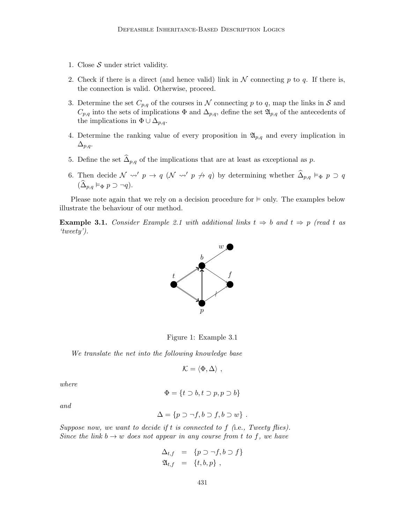- 1. Close  $S$  under strict validity.
- 2. Check if there is a direct (and hence valid) link in  $N$  connecting p to q. If there is, the connection is valid. Otherwise, proceed.
- 3. Determine the set  $C_{p,q}$  of the courses in N connecting p to q, map the links in S and  $C_{p,q}$  into the sets of implications  $\Phi$  and  $\Delta_{p,q}$ , define the set  $\mathfrak{A}_{p,q}$  of the antecedents of the implications in  $\Phi \cup \Delta_{p,q}$ .
- 4. Determine the ranking value of every proposition in  $\mathfrak{A}_{p,q}$  and every implication in  $\Delta_{p,q}$ .
- 5. Define the set  $\widehat{\Delta}_{p,q}$  of the implications that are at least as exceptional as p.
- 6. Then decide  $\mathcal{N} \rightsquigarrow' p \rightarrow q \ (\mathcal{N} \rightsquigarrow' p \not\rightarrow q)$  by determining whether  $\widehat{\Delta}_{p,q} \models_{\Phi} p \supset q$  $(\widehat{\Delta}_{p,q} \vDash_{\Phi} p \supset \neg q).$

Please note again that we rely on a decision procedure for  $\models$  only. The examples below illustrate the behaviour of our method.

**Example 3.1.** Consider Example 2.1 with additional links  $t \Rightarrow b$  and  $t \Rightarrow p$  (read t as 'tweety').



Figure 1: Example 3.1

We translate the net into the following knowledge base

$$
\mathcal{K} = \langle \Phi, \Delta \rangle ,
$$

where

$$
\Phi = \{ t \supset b, t \supset p, p \supset b \}
$$

and

$$
\Delta = \{p \supset \neg f, b \supset f, b \supset w\} .
$$

Suppose now, we want to decide if t is connected to f (i.e., Tweety flies). Since the link  $b \to w$  does not appear in any course from t to f, we have

$$
\Delta_{t,f} = \{ p \supset \neg f, b \supset f \}
$$
  

$$
\mathfrak{A}_{t,f} = \{ t, b, p \},
$$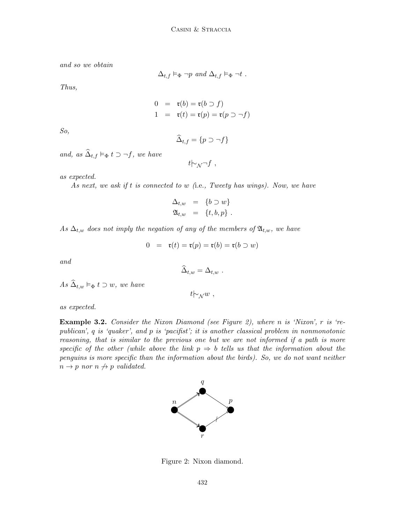and so we obtain

 $\Delta_{t,f} \vDash_{\Phi} \neg p \text{ and } \Delta_{t,f} \vDash_{\Phi} \neg t.$ 

Thus,

$$
0 = \mathfrak{r}(b) = \mathfrak{r}(b \supset f)
$$
  

$$
1 = \mathfrak{r}(t) = \mathfrak{r}(p) = \mathfrak{r}(p \supset \neg f)
$$

So,

$$
\widehat{\Delta}_{t,f} = \{ p \supset \neg f \}
$$

and, as  $\widehat{\Delta}_{t,f} \vDash_{\Phi} t \supset \neg f$ , we have

 $t\mapsto$ N  $\neg$ f,

as expected.

As next, we ask if t is connected to w (i.e., Tweety has wings). Now, we have

$$
\Delta_{t,w} = \{b \supset w\}
$$
  

$$
\mathfrak{A}_{t,w} = \{t, b, p\}.
$$

As  $\Delta_{t,w}$  does not imply the negation of any of the members of  $\mathfrak{A}_{t,w}$ , we have

$$
0 = \mathfrak{r}(t) = \mathfrak{r}(p) = \mathfrak{r}(b) = \mathfrak{r}(b \supset w)
$$

and

as expected.

$$
\widehat{\Delta}_{t,w} = \Delta_{t,w} .
$$

 $t\vdash_{\mathcal{N}} w$ ,

As  $\widehat{\Delta}_{t,w} \vDash_{\Phi} t \supset w$ , we have

**Example 3.2.** Consider the Nixon Diamond (see Figure 2), where n is 'Nixon', r is 'republican', q is 'quaker', and p is 'pacifist'; it is another classical problem in nonmonotonic reasoning, that is similar to the previous one but we are not informed if a path is more specific of the other (while above the link  $p \Rightarrow b$  tells us that the information about the penguins is more specific than the information about the birds). So, we do not want neither  $n \rightarrow p$  nor  $n \not\rightarrow p$  validated.



Figure 2: Nixon diamond.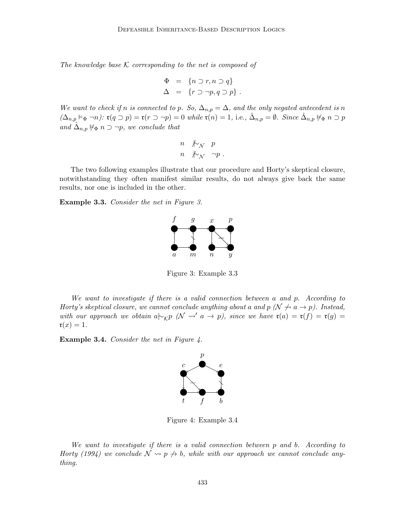The knowledge base  $K$  corresponding to the net is composed of

$$
\Phi = \{ n \supset r, n \supset q \} \n\Delta = \{ r \supset \neg p, q \supset p \} .
$$

We want to check if n is connected to p. So,  $\Delta_{n,p} = \Delta$ , and the only negated antecedent is n  $(\Delta_{n,p} \models_{\Phi} \neg n)$ :  $\mathfrak{r}(q \supset p) = \mathfrak{r}(r \supset \neg p) = 0$  while  $\mathfrak{r}(n) = 1$ , i.e.,  $\hat{\Delta}_{n,p} = \emptyset$ . Since  $\hat{\Delta}_{n,p} \not\models_{\Phi} n \supset p$ and  $\hat{\Delta}_{n,p} \not\models_{\Phi} n \supset \neg p$ , we conclude that

n 6 |∼<sup>N</sup> p n 6 |∼<sup>N</sup> ¬p .

The two following examples illustrate that our procedure and Horty's skeptical closure, notwithstanding they often manifest similar results, do not always give back the same results, nor one is included in the other.

Example 3.3. Consider the net in Figure 3.



Figure 3: Example 3.3

We want to investigate if there is a valid connection between a and p. According to Horty's skeptical closure, we cannot conclude anything about a and  $p \ (\mathcal{N} \nrightarrow a \rightarrow p)$ . Instead, with our approach we obtain  $a \rvert \rvert_{\mathcal{KP}}$  ( $\mathcal{N} \rvert_{\mathcal{AP}}$  a → p), since we have  $\mathfrak{r}(a) = \mathfrak{r}(f) = \mathfrak{r}(g) = \mathfrak{r}(g)$  $\mathfrak{r}(x) = 1.$ 

**Example 3.4.** Consider the net in Figure 4.



Figure 4: Example 3.4

We want to investigate if there is a valid connection between p and b. According to Horty (1994) we conclude  $\mathcal{N} \rightarrow p \not\rightarrow b$ , while with our approach we cannot conclude anything.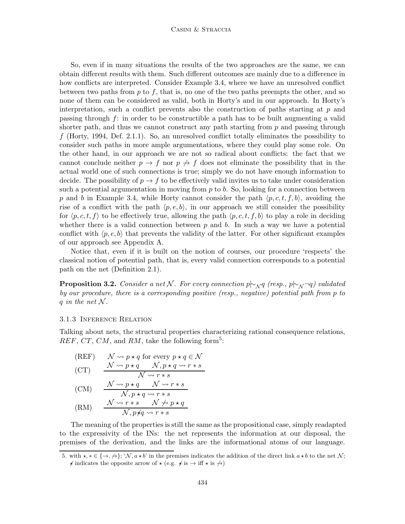So, even if in many situations the results of the two approaches are the same, we can obtain different results with them. Such different outcomes are mainly due to a difference in how conflicts are interpreted. Consider Example 3.4, where we have an unresolved conflict between two paths from  $p$  to  $f$ , that is, no one of the two paths preempts the other, and so none of them can be considered as valid, both in Horty's and in our approach. In Horty's interpretation, such a conflict prevents also the construction of paths starting at  $p$  and passing through  $f$ : in order to be constructible a path has to be built augmenting a valid shorter path, and thus we cannot construct any path starting from  $p$  and passing through f (Horty, 1994, Def. 2.1.1). So, an unresolved conflict totally eliminates the possibility to consider such paths in more ample argumentations, where they could play some role. On the other hand, in our approach we are not so radical about conflicts: the fact that we cannot conclude neither  $p \to f$  nor  $p \not\to f$  does not eliminate the possibility that in the actual world one of such connections is true; simply we do not have enough information to decide. The possibility of  $p \to f$  to be effectively valid invites us to take under consideration such a potential argumentation in moving from  $p$  to  $b$ . So, looking for a connection between p and b in Example 3.4, while Horty cannot consider the path  $\langle p, c, t, f, b \rangle$ , avoiding the rise of a conflict with the path  $\langle p, e, b \rangle$ , in our approach we still consider the possibility for  $\langle p, c, t, f \rangle$  to be effectively true, allowing the path  $\langle p, c, t, f, b \rangle$  to play a role in deciding whether there is a valid connection between  $p$  and  $b$ . In such a way we have a potential conflict with  $\langle p, e, b \rangle$  that prevents the validity of the latter. For other significant examples of our approach see Appendix A.

Notice that, even if it is built on the notion of courses, our procedure 'respects' the classical notion of potential path, that is, every valid connection corresponds to a potential path on the net (Definition 2.1).

**Proposition 3.2.** Consider a net N. For every connection p $\vdash_{\mathcal{N}} q$  (resp., p $\vdash_{\mathcal{N}} \neg q$ ) validated by our procedure, there is a corresponding positive (resp., negative) potential path from p to q in the net  $\mathcal N$ .

#### 3.1.3 Inference Relation

Talking about nets, the structural properties characterizing rational consequence relations,  $REF, CT, CM, and RM, take the following form<sup>5</sup>:$ 

(REF) 
$$
\begin{array}{ll}\n\mathcal{N} \rightsquigarrow p \star q \text{ for every } p \star q \in \mathcal{N} \\
(CT) & \frac{\mathcal{N} \rightsquigarrow p \star q & \mathcal{N}, p \star q \rightsquigarrow r \star s}{\mathcal{N} \rightsquigarrow r \star s} \\
(CM) & \frac{\mathcal{N} \rightsquigarrow p \star q & \mathcal{N} \rightsquigarrow r \star s}{\mathcal{N}, p \star q \rightsquigarrow r \star s}\n\end{array}
$$

(RM) 
$$
\frac{\mathcal{N} \rightsquigarrow r * s \mathcal{N} \not\rightsquigarrow p * q}{\mathcal{N}, p \nmid q \rightsquigarrow r * s}
$$

The meaning of the properties is still the same as the propositional case, simply readapted to the expressivity of the INs: the net represents the information at our disposal, the premises of the derivation, and the links are the informational atoms of our language.

<sup>5.</sup> with  $\star, \star \in \{\to, \to\}$ ; 'N,  $a \star b'$  in the premises indicates the addition of the direct link  $a \star b$  to the net N;  $\star$  indicates the opposite arrow of  $\star$  (e.g.  $\star$  is  $\to$  iff  $\star$  is  $\to$ )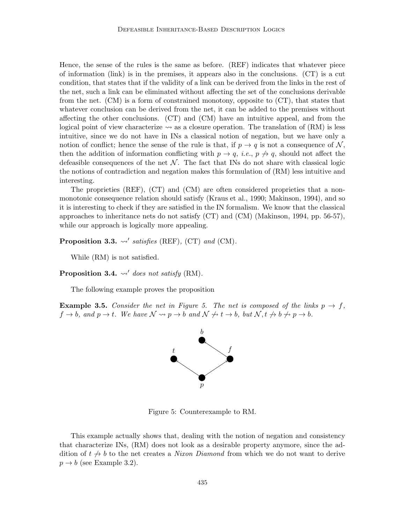Hence, the sense of the rules is the same as before. (REF) indicates that whatever piece of information (link) is in the premises, it appears also in the conclusions. (CT) is a cut condition, that states that if the validity of a link can be derived from the links in the rest of the net, such a link can be eliminated without affecting the set of the conclusions derivable from the net. (CM) is a form of constrained monotony, opposite to (CT), that states that whatever conclusion can be derived from the net, it can be added to the premises without affecting the other conclusions. (CT) and (CM) have an intuitive appeal, and from the logical point of view characterize  $\sim$  as a closure operation. The translation of (RM) is less intuitive, since we do not have in INs a classical notion of negation, but we have only a notion of conflict; hence the sense of the rule is that, if  $p \to q$  is not a consequence of N, then the addition of information conflicting with  $p \to q$ , *i.e.*,  $p \nrightarrow q$ , should not affect the defeasible consequences of the net  $\mathcal N$ . The fact that INs do not share with classical logic the notions of contradiction and negation makes this formulation of (RM) less intuitive and interesting.

The proprieties (REF), (CT) and (CM) are often considered proprieties that a nonmonotonic consequence relation should satisfy (Kraus et al., 1990; Makinson, 1994), and so it is interesting to check if they are satisfied in the IN formalism. We know that the classical approaches to inheritance nets do not satisfy (CT) and (CM) (Makinson, 1994, pp. 56-57), while our approach is logically more appealing.

Proposition 3.3.  $\rightsquigarrow'$  satisfies (REF), (CT) and (CM).

While (RM) is not satisfied.

**Proposition 3.4.**  $\rightsquigarrow'$  does not satisfy (RM).

The following example proves the proposition

**Example 3.5.** Consider the net in Figure 5. The net is composed of the links  $p \rightarrow f$ ,  $f \to b$ , and  $p \to t$ . We have  $\mathcal{N} \leadsto p \to b$  and  $\mathcal{N} \not\leadsto t \to b$ , but  $\mathcal{N}, t \not\to b \not\leadsto p \to b$ .



Figure 5: Counterexample to RM.

This example actually shows that, dealing with the notion of negation and consistency that characterize INs, (RM) does not look as a desirable property anymore, since the addition of  $t \nightharpoonup b$  to the net creates a *Nixon Diamond* from which we do not want to derive  $p \rightarrow b$  (see Example 3.2).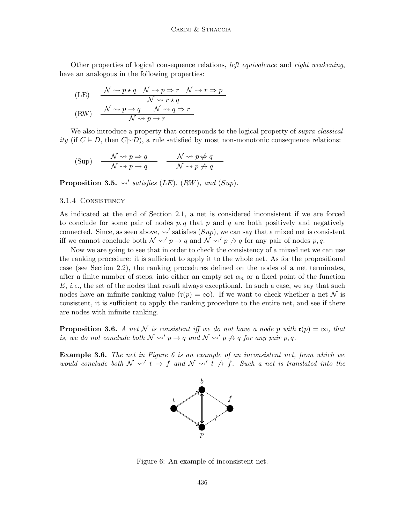Other properties of logical consequence relations, left equivalence and right weakening, have an analogous in the following properties:

$$
\begin{array}{lll}\n\text{(LE)} & \frac{\mathcal{N} \rightsquigarrow p \star q & \mathcal{N} \rightsquigarrow p \Rightarrow r & \mathcal{N} \rightsquigarrow r \Rightarrow p}{\mathcal{N} \rightsquigarrow r \star q} \\
\text{(RW)} & \frac{\mathcal{N} \rightsquigarrow p \rightarrow q & \mathcal{N} \rightsquigarrow q \Rightarrow r}{\mathcal{N} \rightsquigarrow p \rightarrow r}\n\end{array}
$$

We also introduce a property that corresponds to the logical property of *supra classicality* (if  $C \models D$ , then  $C \sim D$ ), a rule satisfied by most non-monotonic consequence relations:

(Sup) 
$$
\frac{\mathcal{N} \rightsquigarrow p \Rightarrow q}{\mathcal{N} \rightsquigarrow p \rightarrow q} \frac{\mathcal{N} \rightsquigarrow p \nleftrightarrow q}{\mathcal{N} \rightsquigarrow p \nleftrightarrow q}
$$

Proposition 3.5.  $\rightsquigarrow$  satisfies (LE), (RW), and (Sup).

#### 3.1.4 Consistency

As indicated at the end of Section 2.1, a net is considered inconsistent if we are forced to conclude for some pair of nodes  $p, q$  that p and q are both positively and negatively connected. Since, as seen above,  $\rightsquigarrow$ ' satisfies  $(Sup)$ , we can say that a mixed net is consistent iff we cannot conclude both  $\mathcal{N} \rightsquigarrow' p \rightarrow q$  and  $\mathcal{N} \rightsquigarrow' p \not\rightarrow q$  for any pair of nodes p, q.

Now we are going to see that in order to check the consistency of a mixed net we can use the ranking procedure: it is sufficient to apply it to the whole net. As for the propositional case (see Section 2.2), the ranking procedures defined on the nodes of a net terminates, after a finite number of steps, into either an empty set  $\alpha_n$  or a fixed point of the function  $E, i.e.,$  the set of the nodes that result always exceptional. In such a case, we say that such nodes have an infinite ranking value  $(\mathfrak{r}(p) = \infty)$ . If we want to check whether a net N is consistent, it is sufficient to apply the ranking procedure to the entire net, and see if there are nodes with infinite ranking.

**Proposition 3.6.** A net N is consistent iff we do not have a node p with  $\mathfrak{r}(p) = \infty$ , that is, we do not conclude both  $\mathcal{N} \rightsquigarrow' p \rightarrow q$  and  $\mathcal{N} \rightsquigarrow' p \not\rightarrow q$  for any pair p,q.

Example 3.6. The net in Figure 6 is an example of an inconsistent net, from which we would conclude both  $\mathcal{N} \rightsquigarrow' t \rightarrow f$  and  $\mathcal{N} \rightsquigarrow' t \not\rightarrow f$ . Such a net is translated into the



Figure 6: An example of inconsistent net.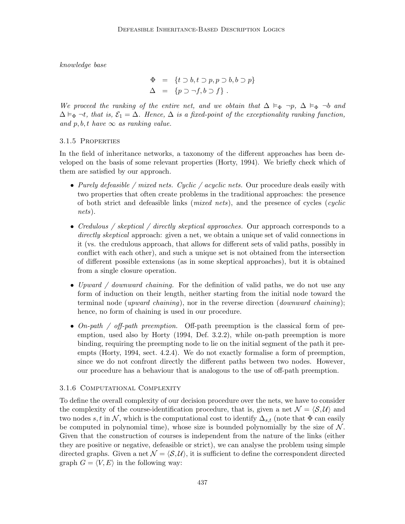knowledge base

$$
\Phi = \{t \supset b, t \supset p, p \supset b, b \supset p\}
$$
  

$$
\Delta = \{p \supset \neg f, b \supset f\}.
$$

We proceed the ranking of the entire net, and we obtain that  $\Delta \vDash_{\Phi} \neg p$ ,  $\Delta \vDash_{\Phi} \neg b$  and  $\Delta \vDash_{\Phi} \neg t$ , that is,  $\mathcal{E}_1 = \Delta$ . Hence,  $\Delta$  is a fixed-point of the exceptionality ranking function, and p, b, t have  $\infty$  as ranking value.

#### 3.1.5 Properties

In the field of inheritance networks, a taxonomy of the different approaches has been developed on the basis of some relevant properties (Horty, 1994). We briefly check which of them are satisfied by our approach.

- Purely defeasible / mixed nets. Cyclic / acyclic nets. Our procedure deals easily with two properties that often create problems in the traditional approaches: the presence of both strict and defeasible links (mixed nets), and the presence of cycles (cyclic nets).
- Credulous / skeptical / directly skeptical approaches. Our approach corresponds to a directly skeptical approach: given a net, we obtain a unique set of valid connections in it (vs. the credulous approach, that allows for different sets of valid paths, possibly in conflict with each other), and such a unique set is not obtained from the intersection of different possible extensions (as in some skeptical approaches), but it is obtained from a single closure operation.
- Upward / downward chaining. For the definition of valid paths, we do not use any form of induction on their length, neither starting from the initial node toward the terminal node (*upward chaining*), nor in the reverse direction (*downward chaining*); hence, no form of chaining is used in our procedure.
- On-path / off-path preemption. Off-path preemption is the classical form of preemption, used also by Horty (1994, Def. 3.2.2), while on-path preemption is more binding, requiring the preempting node to lie on the initial segment of the path it preempts (Horty, 1994, sect. 4.2.4). We do not exactly formalise a form of preemption, since we do not confront directly the different paths between two nodes. However, our procedure has a behaviour that is analogous to the use of off-path preemption.

#### 3.1.6 Computational Complexity

To define the overall complexity of our decision procedure over the nets, we have to consider the complexity of the course-identification procedure, that is, given a net  $\mathcal{N} = \langle \mathcal{S}, \mathcal{U} \rangle$  and two nodes s, t in N, which is the computational cost to identify  $\Delta_{s,t}$  (note that  $\Phi$  can easily be computed in polynomial time), whose size is bounded polynomially by the size of  $\mathcal N$ . Given that the construction of courses is independent from the nature of the links (either they are positive or negative, defeasible or strict), we can analyse the problem using simple directed graphs. Given a net  $\mathcal{N} = \langle \mathcal{S}, \mathcal{U} \rangle$ , it is sufficient to define the correspondent directed graph  $G = \langle V, E \rangle$  in the following way: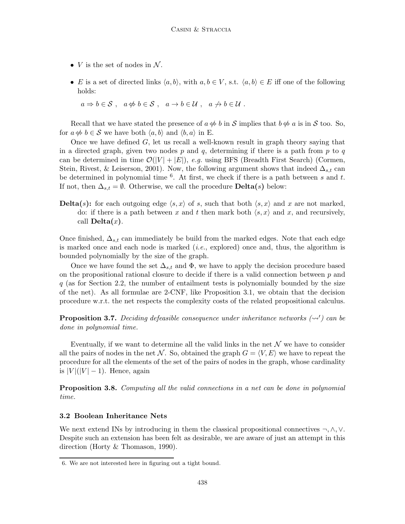- $V$  is the set of nodes in  $N$ .
- E is a set of directed links  $\langle a, b \rangle$ , with  $a, b \in V$ , s.t.  $\langle a, b \rangle \in E$  iff one of the following holds:

 $a \Rightarrow b \in S$ ,  $a \not\Leftrightarrow b \in S$ ,  $a \rightarrow b \in U$ ,  $a \not\rightarrow b \in U$ .

Recall that we have stated the presence of  $a \notin b$  in S implies that  $b \notin a$  is in S too. So, for  $a \notin b \in \mathcal{S}$  we have both  $\langle a, b \rangle$  and  $\langle b, a \rangle$  in E.

Once we have defined G, let us recall a well-known result in graph theory saying that in a directed graph, given two nodes p and q, determining if there is a path from p to q can be determined in time  $\mathcal{O}(|V| + |E|)$ , e.g. using BFS (Breadth First Search) (Cormen, Stein, Rivest, & Leiserson, 2001). Now, the following argument shows that indeed  $\Delta_{s,t}$  can be determined in polynomial time  $6$ . At first, we check if there is a path between s and t. If not, then  $\Delta_{s,t} = \emptyset$ . Otherwise, we call the procedure **Delta**(s) below:

**Delta**(s): for each outgoing edge  $\langle s, x \rangle$  of s, such that both  $\langle s, x \rangle$  and x are not marked, do: if there is a path between x and t then mark both  $\langle s, x \rangle$  and x, and recursively, call  $\textbf{Delta}(x)$ .

Once finished,  $\Delta_{s,t}$  can immediately be build from the marked edges. Note that each edge is marked once and each node is marked  $(i.e.,$  explored) once and, thus, the algorithm is bounded polynomially by the size of the graph.

Once we have found the set  $\Delta_{s,t}$  and  $\Phi$ , we have to apply the decision procedure based on the propositional rational closure to decide if there is a valid connection between  $p$  and  $q$  (as for Section 2.2, the number of entailment tests is polynomially bounded by the size of the net). As all formulae are 2-CNF, like Proposition 3.1, we obtain that the decision procedure w.r.t. the net respects the complexity costs of the related propositional calculus.

**Proposition 3.7.** Deciding defeasible consequence under inheritance networks  $(\leadsto')$  can be done in polynomial time.

Eventually, if we want to determine all the valid links in the net  $\mathcal N$  we have to consider all the pairs of nodes in the net N. So, obtained the graph  $G = \langle V, E \rangle$  we have to repeat the procedure for all the elements of the set of the pairs of nodes in the graph, whose cardinality is  $|V|(|V|-1)$ . Hence, again

**Proposition 3.8.** Computing all the valid connections in a net can be done in polynomial time.

## 3.2 Boolean Inheritance Nets

We next extend INs by introducing in them the classical propositional connectives  $\neg, \wedge, \vee$ . Despite such an extension has been felt as desirable, we are aware of just an attempt in this direction (Horty & Thomason, 1990).

<sup>6.</sup> We are not interested here in figuring out a tight bound.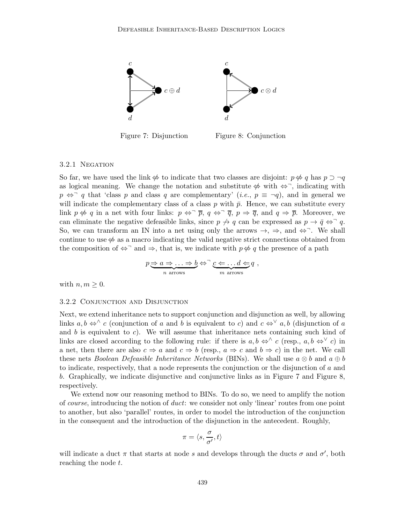

Figure 7: Disjunction

Figure 8: Conjunction

## 3.2.1 NEGATION

So far, we have used the link  $\phi$  to indicate that two classes are disjoint:  $p \notin q$  has  $p \supset \neg q$ as logical meaning. We change the notation and substitute  $\phi$  with  $\Leftrightarrow$ , indicating with  $p \Leftrightarrow \neg q$  that 'class p and class q are complementary' (*i.e.*,  $p \equiv \neg q$ ), and in general we will indicate the complementary class of a class p with  $\bar{p}$ . Hence, we can substitute every link  $p \nleftrightarrow q$  in a net with four links:  $p \Leftrightarrow \overline{p}$ ,  $q \Leftrightarrow \overline{q}$ ,  $p \Rightarrow \overline{q}$ , and  $q \Rightarrow \overline{p}$ . Moreover, we can eliminate the negative defeasible links, since  $p \nrightarrow q$  can be expressed as  $p \rightarrow \bar{q} \Leftrightarrow q$ . So, we can transform an IN into a net using only the arrows  $\rightarrow$ ,  $\Rightarrow$ , and  $\Leftrightarrow$ . We shall continue to use  $\Leftrightarrow$  as a macro indicating the valid negative strict connections obtained from the composition of  $\iff$  and  $\Rightarrow$ , that is, we indicate with  $p \notin q$  the presence of a path

$$
p \underbrace{\Rightarrow a \Rightarrow \dots \Rightarrow b}_{n \text{ arrows}} \Leftrightarrow^{\neg} \underbrace{c \Leftarrow \dots d \Leftarrow q}_{m \text{ arrows}} q ,
$$

with  $n, m \geq 0$ .

#### 3.2.2 Conjunction and Disjunction

Next, we extend inheritance nets to support conjunction and disjunction as well, by allowing links  $a, b \Leftrightarrow^{\wedge} c$  (conjunction of a and b is equivalent to c) and  $c \Leftrightarrow^{\vee} a, b$  (disjunction of a and b is equivalent to c). We will assume that inheritance nets containing such kind of links are closed according to the following rule: if there is  $a, b \Leftrightarrow^{\wedge} c$  (resp.,  $a, b \Leftrightarrow^{\vee} c$ ) in a net, then there are also  $c \Rightarrow a$  and  $c \Rightarrow b$  (resp.,  $a \Rightarrow c$  and  $b \Rightarrow c$ ) in the net. We call these nets *Boolean Defeasible Inheritance Networks* (BINs). We shall use  $a \otimes b$  and  $a \oplus b$ to indicate, respectively, that a node represents the conjunction or the disjunction of a and b. Graphically, we indicate disjunctive and conjunctive links as in Figure 7 and Figure 8, respectively.

We extend now our reasoning method to BINs. To do so, we need to amplify the notion of course, introducing the notion of duct: we consider not only 'linear' routes from one point to another, but also 'parallel' routes, in order to model the introduction of the conjunction in the consequent and the introduction of the disjunction in the antecedent. Roughly,

$$
\pi=\langle s,\frac{\sigma}{\sigma'},t\rangle
$$

will indicate a duct  $\pi$  that starts at node s and develops through the ducts  $\sigma$  and  $\sigma'$ , both reaching the node t.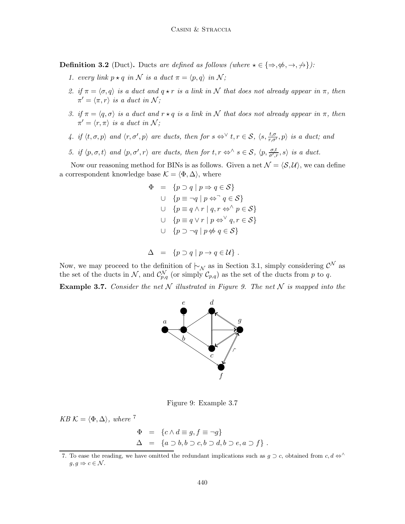**Definition 3.2** (Duct). Ducts are defined as follows (where  $\star \in \{\Rightarrow, \nexists, \rightarrow, \rightarrow\}$ ):

- 1. every link  $p \star q$  in N is a duct  $\pi = \langle p, q \rangle$  in N;
- 2. if  $\pi = \langle \sigma, q \rangle$  is a duct and  $q \star r$  is a link in N that does not already appear in  $\pi$ , then  $\pi' = \langle \pi, r \rangle$  is a duct in N;
- 3. if  $\pi = \langle q, \sigma \rangle$  is a duct and  $r \star q$  is a link in N that does not already appear in  $\pi$ , then  $\pi' = \langle r, \pi \rangle$  is a duct in N;
- 4. if  $\langle t, \sigma, p \rangle$  and  $\langle r, \sigma', p \rangle$  are ducts, then for  $s \Leftrightarrow^{\vee} t, r \in S$ ,  $\langle s, \frac{t, \sigma}{r, \sigma'}, p \rangle$  is a duct; and
- 5. if  $\langle p, \sigma, t \rangle$  and  $\langle p, \sigma', r \rangle$  are ducts, then for  $t, r \Leftrightarrow \land s \in S$ ,  $\langle p, \frac{\sigma, t}{\sigma', r}, s \rangle$  is a duct.

Now our reasoning method for BINs is as follows. Given a net  $\mathcal{N} = \langle \mathcal{S}, \mathcal{U} \rangle$ , we can define a correspondent knowledge base  $\mathcal{K} = \langle \Phi, \Delta \rangle$ , where

$$
\Phi = \{p \supset q \mid p \Rightarrow q \in \mathcal{S}\}
$$
  
\n
$$
\cup \{p \equiv \neg q \mid p \Leftrightarrow \neg q \in \mathcal{S}\}
$$
  
\n
$$
\cup \{p \equiv q \land r \mid q, r \Leftrightarrow \neg p \in \mathcal{S}\}
$$
  
\n
$$
\cup \{p \equiv q \lor r \mid p \Leftrightarrow \neg q, r \in \mathcal{S}\}
$$
  
\n
$$
\cup \{p \supset \neg q \mid p \nLeftrightarrow q \in \mathcal{S}\}
$$

$$
\Delta = \{ p \supset q \mid p \to q \in \mathcal{U} \} .
$$

Now, we may proceed to the definition of  $\vdash_{\mathcal{N}}$  as in Section 3.1, simply considering  $\mathcal{C}^{\mathcal{N}}$  as the set of the ducts in N, and  $\mathcal{C}_{p,q}^{\mathcal{N}}$  (or simply  $\mathcal{C}_{p,q}$ ) as the set of the ducts from p to q.

**Example 3.7.** Consider the net N illustrated in Figure 9. The net N is mapped into the



Figure 9: Example 3.7

 $KB \mathcal{K} = \langle \Phi, \Delta \rangle$ , where <sup>7</sup>

$$
\begin{array}{rcl}\n\Phi & = & \{c \land d \equiv g, f \equiv \neg g\} \\
\Delta & = & \{a \supset b, b \supset c, b \supset d, b \supset e, a \supset f\} \n\end{array}.
$$

<sup>7.</sup> To ease the reading, we have omitted the redundant implications such as  $g \supset c$ , obtained from  $c, d \Leftrightarrow \wedge$  $q, q \Rightarrow c \in \mathcal{N}$ .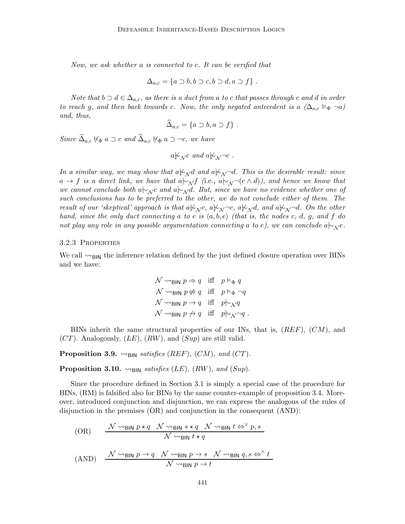Now, we ask whether a is connected to c. It can be verified that

$$
\Delta_{a,c} = \{a \supset b, b \supset c, b \supset d, a \supset f\}.
$$

Note that  $b \supset d \in \Delta_{a,c}$ , as there is a duct from a to c that passes through c and d in order to reach g, and then back towards c. Now, the only negated antecedent is a  $(\Delta_{a,c} \vDash_{\Phi} \neg a)$ and, thus,

$$
\widehat{\Delta}_{a,c} = \{a \supset b, a \supset f\} .
$$

Since  $\widehat{\Delta}_{a,c} \nvDash_{\Phi} a \supset c$  and  $\widehat{\Delta}_{a,c} \nvDash_{\Phi} a \supset \neg c$ , we have

$$
a\not\sim_{\mathcal{N}} c
$$
 and  $a\not\sim_{\mathcal{N}}\neg c$ .

In a similar way, we may show that  $a\overline{\varphi}_N d$  and  $a\overline{\varphi}_N \neg d$ . This is the desirable result: since  $a \to f$  is a direct link, we have that  $a| \sim \pi f$  (i.e.,  $a| \sim \pi f(c \wedge d)$ ), and hence we know that we cannot conclude both a $\vdash_{\mathcal{N}} c$  and a $\vdash_{\mathcal{N}} d$ . But, since we have no evidence whether one of such conclusions has to be preferred to the other, we do not conclude either of them. The result of our 'skeptical' approach is that a $\forall y \in A$ ,  $\forall y \in A$ ,  $\forall y \in A$ , and a $\forall y \in A$ . On the other hand, since the only duct connecting a to e is  $\langle a, b, e \rangle$  (that is, the nodes c, d, g, and f do not play any role in any possible argumentation connecting a to e), we can conclude a $\vdash_{\mathcal{N}} e$ .

#### 3.2.3 Properties

We call  $\sim_{\text{BIN}}$  the inference relation defined by the just defined closure operation over BINs and we have:

$$
\begin{aligned}\n\mathcal{N} &\leadsto_{\mathsf{BIN}} p \Rightarrow q &\text{iff} &p \vDash_{\Phi} q \\
\mathcal{N} &\leadsto_{\mathsf{BIN}} p \not\Leftrightarrow q &\text{iff} &p \vDash_{\Phi} \neg q \\
\mathcal{N} &\leadsto_{\mathsf{BIN}} p \rightarrow q &\text{iff} &p \vDash_{\mathcal{N}} q \\
\mathcal{N} &\leadsto_{\mathsf{BIN}} p \not\to q &\text{iff} &p \vDash_{\mathcal{N}} \neg q\n\end{aligned}
$$

BINs inherit the same structural properties of our INs, that is,  $(REF)$ ,  $(CM)$ , and  $(CT)$ . Analogously,  $(LE)$ ,  $(RW)$ , and  $(Sup)$  are still valid.

**Proposition 3.9.**  $\rightsquigarrow$ <sub>BIN</sub> satisfies (REF), (CM), and (CT).

**Proposition 3.10.**  $\rightsquigarrow_{\text{BIN}}$  satisfies (LE), (RW), and (Sup).

Since the procedure defined in Section 3.1 is simply a special case of the procedure for BINs, (RM) is falsified also for BINs by the same counter-example of proposition 3.4. Moreover, introduced conjunction and disjunction, we can express the analogous of the rules of disjunction in the premises (OR) and conjunction in the consequent (AND):

$$
\text{(OR)} \qquad \frac{\mathcal{N} \rightsquigarrow_{\text{BIN}} p \star q \quad \mathcal{N} \rightsquigarrow_{\text{BIN}} s \star q \quad \mathcal{N} \rightsquigarrow_{\text{BIN}} t \Leftrightarrow^{\vee} p, s}{\mathcal{N} \rightsquigarrow_{\text{BIN}} t \star q}
$$

$$
(AND) \quad \frac{\mathcal{N} \rightsquigarrow_{\text{BIN}} p \rightarrow q \quad \mathcal{N} \rightsquigarrow_{\text{BIN}} p \rightarrow s \quad \mathcal{N} \rightsquigarrow_{\text{BIN}} q, s \Leftrightarrow^{\wedge} t}{\mathcal{N} \rightsquigarrow_{\text{BIN}} p \rightarrow t}
$$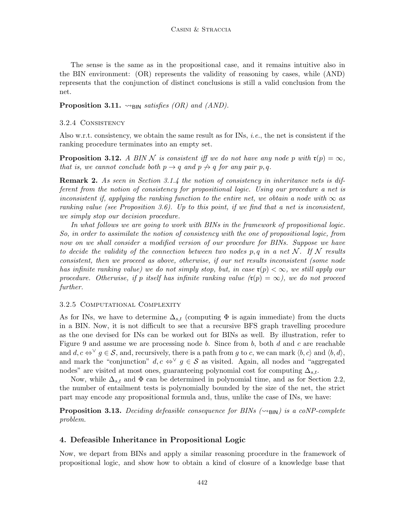The sense is the same as in the propositional case, and it remains intuitive also in the BIN environment: (OR) represents the validity of reasoning by cases, while (AND) represents that the conjunction of distinct conclusions is still a valid conclusion from the net.

**Proposition 3.11.**  $\rightsquigarrow_{\text{BIN}}$  satisfies (OR) and (AND).

## 3.2.4 Consistency

Also w.r.t. consistency, we obtain the same result as for INs, *i.e.*, the net is consistent if the ranking procedure terminates into an empty set.

**Proposition 3.12.** A BIN N is consistent iff we do not have any node p with  $\mathfrak{r}(p) = \infty$ , that is, we cannot conclude both  $p \rightarrow q$  and  $p \not\rightarrow q$  for any pair p, q.

**Remark 2.** As seen in Section 3.1.4 the notion of consistency in inheritance nets is different from the notion of consistency for propositional logic. Using our procedure a net is inconsistent if, applying the ranking function to the entire net, we obtain a node with  $\infty$  as ranking value (see Proposition 3.6). Up to this point, if we find that a net is inconsistent, we simply stop our decision procedure.

In what follows we are going to work with BINs in the framework of propositional logic. So, in order to assimilate the notion of consistency with the one of propositional logic, from now on we shall consider a modified version of our procedure for BINs. Suppose we have to decide the validity of the connection between two nodes p, q in a net  $\mathcal{N}$ . If  $\mathcal{N}$  results consistent, then we proceed as above, otherwise, if our net results inconsistent (some node has infinite ranking value) we do not simply stop, but, in case  $\mathfrak{r}(p) < \infty$ , we still apply our procedure. Otherwise, if p itself has infinite ranking value  $(\mathfrak{r}(p) = \infty)$ , we do not proceed further.

#### 3.2.5 Computational Complexity

As for INs, we have to determine  $\Delta_{s,t}$  (computing  $\Phi$  is again immediate) from the ducts in a BIN. Now, it is not difficult to see that a recursive BFS graph travelling procedure as the one devised for INs can be worked out for BINs as well. By illustration, refer to Figure 9 and assume we are processing node b. Since from b, both d and c are reachable and  $d, c \Leftrightarrow^{\vee} g \in \mathcal{S}$ , and, recursively, there is a path from g to c, we can mark  $\langle b, c \rangle$  and  $\langle b, d \rangle$ , and mark the "conjunction"  $d, c \Leftrightarrow^{\vee} g \in \mathcal{S}$  as visited. Again, all nodes and "aggregated" nodes" are visited at most ones, guaranteeing polynomial cost for computing  $\Delta_{s,t}$ .

Now, while  $\Delta_{s,t}$  and  $\Phi$  can be determined in polynomial time, and as for Section 2.2, the number of entailment tests is polynomially bounded by the size of the net, the strict part may encode any propositional formula and, thus, unlike the case of INs, we have:

**Proposition 3.13.** Deciding defeasible consequence for BINs  $(\leadsto_{\text{BIN}})$  is a coNP-complete problem.

# 4. Defeasible Inheritance in Propositional Logic

Now, we depart from BINs and apply a similar reasoning procedure in the framework of propositional logic, and show how to obtain a kind of closure of a knowledge base that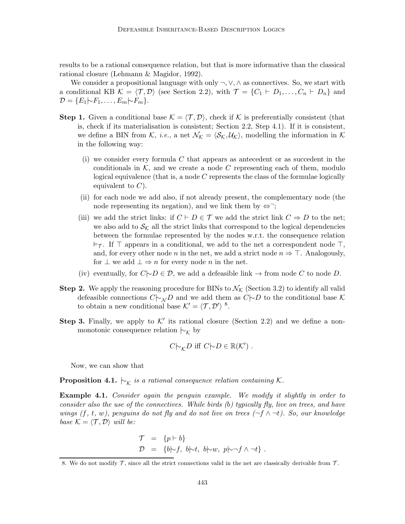results to be a rational consequence relation, but that is more informative than the classical rational closure (Lehmann & Magidor, 1992).

We consider a propositional language with only  $\neg, \vee, \wedge$  as connectives. So, we start with a conditional KB  $\mathcal{K} = \langle \mathcal{T}, \mathcal{D} \rangle$  (see Section 2.2), with  $\mathcal{T} = \{C_1 \vdash D_1, \ldots, C_n \vdash D_n\}$  and  $\mathcal{D} = \{E_1 | \negthickspace \sim F_1, \ldots, E_m | \negthickspace \sim F_m\}.$ 

- **Step 1.** Given a conditional base  $K = \langle T, \mathcal{D} \rangle$ , check if K is preferentially consistent (that is, check if its materialisation is consistent; Section 2.2, Step 4.1). If it is consistent, we define a BIN from K, *i.e.*, a net  $\mathcal{N}_{\mathcal{K}} = \langle \mathcal{S}_{\mathcal{K}}, \mathcal{U}_{\mathcal{K}} \rangle$ , modelling the information in K in the following way:
	- (i) we consider every formula  $C$  that appears as antecedent or as succedent in the conditionals in  $K$ , and we create a node  $C$  representing each of them, modulo logical equivalence (that is, a node  $C$  represents the class of the formulae logically equivalent to  $C$ ).
	- (ii) for each node we add also, if not already present, the complementary node (the node representing its negation), and we link them by  $\Leftrightarrow$ ;
	- (iii) we add the strict links: if  $C \vdash D \in \mathcal{T}$  we add the strict link  $C \Rightarrow D$  to the net; we also add to  $\mathcal{S}_{\mathcal{K}}$  all the strict links that correspond to the logical dependencies between the formulae represented by the nodes w.r.t. the consequence relation  $\models$ . If  $\top$  appears in a conditional, we add to the net a correspondent node  $\top$ , and, for every other node n in the net, we add a strict node  $n \Rightarrow \top$ . Analogously, for  $\bot$  we add  $\bot \Rightarrow n$  for every node n in the net.
	- (iv) eventually, for  $C\rightarrow D \in \mathcal{D}$ , we add a defeasible link  $\rightarrow$  from node C to node D.
- **Step 2.** We apply the reasoning procedure for BINs to  $\mathcal{N}_{\mathcal{K}}$  (Section 3.2) to identify all valid defeasible connections  $C\sim_N D$  and we add them as  $C\sim D$  to the conditional base K to obtain a new conditional base  $\mathcal{K}' = \langle \mathcal{T}, \mathcal{D}' \rangle$ <sup>8</sup>.
- Step 3. Finally, we apply to  $K'$  its rational closure (Section 2.2) and we define a nonmonotonic consequence relation  $\vdash_{\mathcal{K}}$  by

$$
C\big| \sim_{\mathcal{K}} D \text{ iff } C\big| \sim D \in \mathbb{R}(\mathcal{K}') .
$$

Now, we can show that

**Proposition 4.1.**  $\vdash_{\mathcal{K}}$  is a rational consequence relation containing K.

**Example 4.1.** Consider again the penguin example. We modify it slightly in order to consider also the use of the connectives. While birds (b) typically fly, live on trees, and have wings (f, t, w), penguins do not fly and do not live on trees  $(\neg f \wedge \neg t)$ . So, our knowledge base  $K = \langle \mathcal{T}, \mathcal{D} \rangle$  will be:

$$
\begin{array}{rcl}\n\mathcal{T} & = & \{p \vdash b\} \\
\mathcal{D} & = & \{b \uparrow f, \ b \uparrow t, \ b \uparrow w, \ p \uparrow \neg f \land \neg t\} \ .\end{array}
$$

<sup>8.</sup> We do not modify  $\mathcal T$ , since all the strict connections valid in the net are classically derivable from  $\mathcal T$ .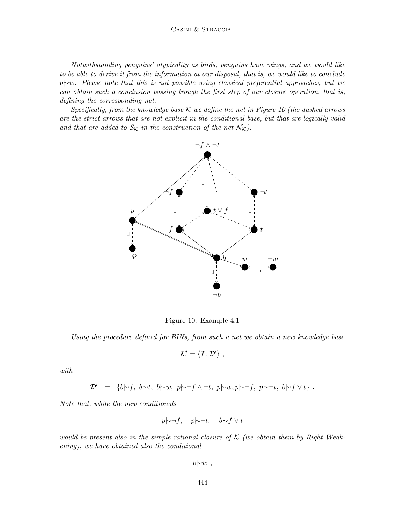Notwithstanding penguins' atypicality as birds, penguins have wings, and we would like to be able to derive it from the information at our disposal, that is, we would like to conclude p|∼w. Please note that this is not possible using classical preferential approaches, but we can obtain such a conclusion passing trough the first step of our closure operation, that is, defining the corresponding net.

Specifically, from the knowledge base K we define the net in Figure 10 (the dashed arrows are the strict arrows that are not explicit in the conditional base, but that are logically valid and that are added to  $S_K$  in the construction of the net  $\mathcal{N_K}$ ).



Figure 10: Example 4.1

Using the procedure defined for BINs, from such a net we obtain a new knowledge base

$$
\mathcal{K}' = \langle \mathcal{T}, \mathcal{D}' \rangle \ ,
$$

with

$$
\mathcal{D}' = \{b \mid \neg f, b \mid \neg t, b \mid \neg y, p \mid \neg f \land \neg t, p \mid \neg y, p \mid \neg f, p \mid \neg t, b \mid \neg f \lor t\}.
$$

Note that, while the new conditionals

$$
p \rightarrow f
$$
,  $p \rightarrow t$ ,  $b \rightarrow f \lor t$ 

would be present also in the simple rational closure of  $K$  (we obtain them by Right Weakening), we have obtained also the conditional

 $p\rightarrow w$ ,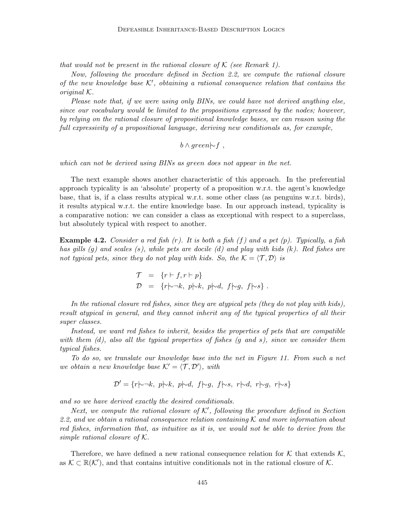that would not be present in the rational closure of  $K$  (see Remark 1).

Now, following the procedure defined in Section 2.2, we compute the rational closure of the new knowledge base  $K'$ , obtaining a rational consequence relation that contains the original K.

Please note that, if we were using only BINs, we could have not derived anything else, since our vocabulary would be limited to the propositions expressed by the nodes; however, by relying on the rational closure of propositional knowledge bases, we can reason using the full expressivity of a propositional language, deriving new conditionals as, for example,

$$
b \wedge green \rightarrow f
$$
,

which can not be derived using BINs as green does not appear in the net.

The next example shows another characteristic of this approach. In the preferential approach typicality is an 'absolute' property of a proposition w.r.t. the agent's knowledge base, that is, if a class results atypical w.r.t. some other class (as penguins w.r.t. birds), it results atypical w.r.t. the entire knowledge base. In our approach instead, typicality is a comparative notion: we can consider a class as exceptional with respect to a superclass, but absolutely typical with respect to another.

**Example 4.2.** Consider a red fish  $(r)$ . It is both a fish  $(f)$  and a pet  $(p)$ . Typically, a fish has gills (g) and scales (s), while pets are docile (d) and play with kids (k). Red fishes are not typical pets, since they do not play with kids. So, the  $K = \langle T, D \rangle$  is

$$
\begin{array}{rcl}\n\mathcal{T} & = & \{r \vdash f, r \vdash p\} \\
\mathcal{D} & = & \{r \uparrow \neg k, \ p \uparrow \neg k, \ p \uparrow \neg k, \ f \uparrow \neg g, \ f \uparrow \neg s\} \ .\n\end{array}
$$

In the rational closure red fishes, since they are atypical pets (they do not play with kids), result atypical in general, and they cannot inherit any of the typical properties of all their super classes.

Instead, we want red fishes to inherit, besides the properties of pets that are compatible with them  $(d)$ , also all the typical properties of fishes  $(q$  and s), since we consider them typical fishes.

To do so, we translate our knowledge base into the net in Figure 11. From such a net we obtain a new knowledge base  $\mathcal{K}' = \langle \mathcal{T}, \mathcal{D}' \rangle$ , with

$$
\mathcal{D}' = \{r \mid \neg k, \ p \mid \neg k, \ p \mid \neg d, \ f \mid \neg g, \ f \mid \neg s, \ r \mid \neg d, \ r \mid \neg g, \ r \mid \neg s\}
$$

and so we have derived exactly the desired conditionals.

Next, we compute the rational closure of  $K'$ , following the procedure defined in Section 2.2, and we obtain a rational consequence relation containing K and more information about red fishes, information that, as intuitive as it is, we would not be able to derive from the simple rational closure of K.

Therefore, we have defined a new rational consequence relation for K that extends  $\mathcal{K}$ , as  $\mathcal{K} \subset \mathbb{R}(\mathcal{K}')$ , and that contains intuitive conditionals not in the rational closure of  $\mathcal{K}$ .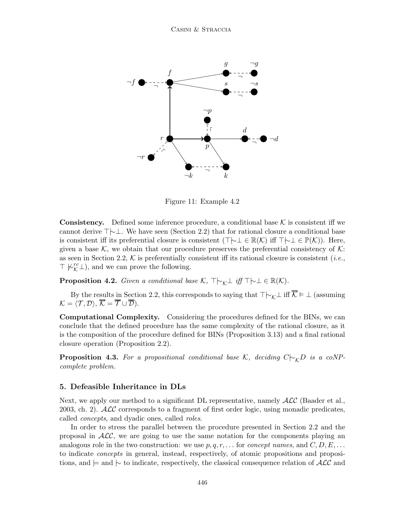

Figure 11: Example 4.2

**Consistency.** Defined some inference procedure, a conditional base  $K$  is consistent iff we cannot derive ⊤|∼⊥. We have seen (Section 2.2) that for rational closure a conditional base is consistent iff its preferential closure is consistent (⊤ $\vdash\bot \in \mathbb{R}(\mathcal{K})$  iff  $\top\vdash\bot \in \mathbb{P}(\mathcal{K})$ ). Here, given a base K, we obtain that our procedure preserves the preferential consistency of K: as seen in Section 2.2,  $K$  is preferentially consistent iff its rational closure is consistent (*i.e.*,  $\top \not\vdash^{rc}_\mathcal{K} \bot)$  , and we can prove the following.

**Proposition 4.2.** Given a conditional base K,  $\top \vdash_k \bot$  iff  $\top \vdash \bot \in \mathbb{R}(K)$ .

By the results in Section 2.2, this corresponds to saying that  $\top \vdash_k \bot$  iff  $\overline{K} \models \bot$  (assuming  $\mathcal{K} = \langle \mathcal{T}, \mathcal{D} \rangle, \overline{\mathcal{K}} = \overline{\mathcal{T}} \cup \overline{\mathcal{D}}).$ 

Computational Complexity. Considering the procedures defined for the BINs, we can conclude that the defined procedure has the same complexity of the rational closure, as it is the composition of the procedure defined for BINs (Proposition 3.13) and a final rational closure operation (Proposition 2.2).

**Proposition 4.3.** For a propositional conditional base K, deciding  $C|_{\gamma K}D$  is a coNPcomplete problem.

#### 5. Defeasible Inheritance in DLs

Next, we apply our method to a significant DL representative, namely  $\mathcal{ALC}$  (Baader et al., 2003, ch. 2).  $\text{ALC}$  corresponds to a fragment of first order logic, using monadic predicates, called concepts, and dyadic ones, called roles.

In order to stress the parallel between the procedure presented in Section 2.2 and the proposal in  $ALC$ , we are going to use the same notation for the components playing an analogous role in the two construction: we use  $p, q, r, \ldots$  for *concept names*, and  $C, D, E, \ldots$ to indicate concepts in general, instead, respectively, of atomic propositions and propositions, and  $\models$  and  $\succ$  to indicate, respectively, the classical consequence relation of  $\mathcal{ALC}$  and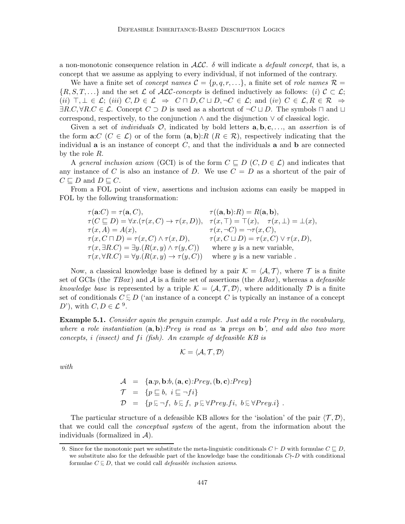a non-monotonic consequence relation in  $ALC$ .  $\delta$  will indicate a *default concept*, that is, a concept that we assume as applying to every individual, if not informed of the contrary.

We have a finite set of *concept names*  $\mathcal{C} = \{p, q, r, \ldots\}$ , a finite set of *role names*  $\mathcal{R} =$  $\{R, S, T, \ldots\}$  and the set L of ALC-concepts is defined inductively as follows: (i)  $C \subset \mathcal{L}$ ;  $(iii)$   $\top, \bot \in \mathcal{L}$ ;  $(iii)$   $C, D \in \mathcal{L} \Rightarrow C \sqcap D, C \sqcup D, \neg C \in \mathcal{L}$ ; and  $(iv)$   $C \in \mathcal{L}, R \in \mathcal{R} \Rightarrow C \sqcap D, C \sqcup D, C \sqcap C \in \mathcal{L}$  $\exists R.C, \forall R.C \in \mathcal{L}$ . Concept  $C \supset D$  is used as a shortcut of  $\neg C \sqcup D$ . The symbols  $\sqcap$  and  $\sqcup$ correspond, respectively, to the conjunction  $\wedge$  and the disjunction  $\vee$  of classical logic.

Given a set of *individuals*  $\mathcal{O}$ , indicated by bold letters  $\mathbf{a}, \mathbf{b}, \mathbf{c}, \ldots$ , an *assertion* is of the form  $a:C(C \in \mathcal{L})$  or of the form  $(a, b):R(R \in \mathcal{R})$ , respectively indicating that the individual  $a$  is an instance of concept  $C$ , and that the individuals  $a$  and  $b$  are connected by the role R.

A general inclusion axiom (GCI) is of the form  $C \subseteq D$   $(C, D \in \mathcal{L})$  and indicates that any instance of C is also an instance of D. We use  $C = D$  as a shortcut of the pair of  $C \sqsubseteq D$  and  $D \sqsubseteq C$ .

From a FOL point of view, assertions and inclusion axioms can easily be mapped in FOL by the following transformation:

 $\tau(\mathbf{a}:C) = \tau(\mathbf{a}, C),$   $\tau((\mathbf{a}, \mathbf{b}):R) = R(\mathbf{a}, \mathbf{b}),$  $\tau(C \sqsubseteq D) = \forall x.(\tau(x,C) \rightarrow \tau(x,D)), \tau(x,\top) = \top(x), \tau(x,\bot) = \bot(x),$  $\tau(x, A) = A(x),$   $\tau(x, \neg C) = \neg \tau(x, C),$  $\tau(x, C \sqcap D) = \tau(x, C) \wedge \tau(x, D), \qquad \tau(x, C \sqcup D) = \tau(x, C) \vee \tau(x, D),$  $\tau(x,\exists R.C) = \exists y.(R(x,y) \land \tau(y,C))$  where y is a new variable,  $\tau(x, \forall R.C) = \forall y.(R(x, y) \rightarrow \tau(y, C))$  where y is a new variable.

Now, a classical knowledge base is defined by a pair  $\mathcal{K} = \langle \mathcal{A}, \mathcal{T} \rangle$ , where  $\mathcal T$  is a finite set of GCIs (the  $TBox$ ) and  $A$  is a finite set of assertions (the  $ABox$ ), whereas a *defeasible* knowledge base is represented by a triple  $\mathcal{K} = \langle \mathcal{A}, \mathcal{T}, \mathcal{D} \rangle$ , where additionally D is a finite set of conditionals  $C \subsetneq D$  ('an instance of a concept  $C$  is typically an instance of a concept D'), with  $C, D \in \mathcal{L}^9$ .

**Example 5.1.** Consider again the penguin example. Just add a role Prey in the vocabulary, where a role instantiation  $(a, b)$ : Prey is read as 'a preys on b', and add also two more concepts, i (insect) and  $fi$  (fish). An example of defeasible KB is

$$
\mathcal{K} = \langle \mathcal{A}, \mathcal{T}, \mathcal{D} \rangle
$$

with

$$
\mathcal{A} = \{ \mathbf{a}.p, \mathbf{b}.b, (\mathbf{a}, \mathbf{c}).Prey, (\mathbf{b}, \mathbf{c}).Prey \}
$$
  
\n
$$
\mathcal{T} = \{ p \sqsubseteq b, i \sqsubseteq \neg fi \}
$$
  
\n
$$
\mathcal{D} = \{ p \sqsubseteq \neg f, b \sqsubseteq f, p \sqsubseteq \forall Prey. fi, b \sqsubseteq \forall Prey. i \}.
$$

The particular structure of a defeasible KB allows for the 'isolation' of the pair  $\langle \mathcal{T}, \mathcal{D} \rangle$ , that we could call the conceptual system of the agent, from the information about the individuals (formalized in  $\mathcal{A}$ ).

<sup>9.</sup> Since for the monotonic part we substitute the meta-linguistic conditionals  $C \vdash D$  with formulae  $C \sqsubseteq D$ , we substitute also for the defeasible part of the knowledge base the conditionals C $\forall ∞D$  with conditional formulae  $C \subseteq D$ , that we could call *defeasible inclusion axioms*.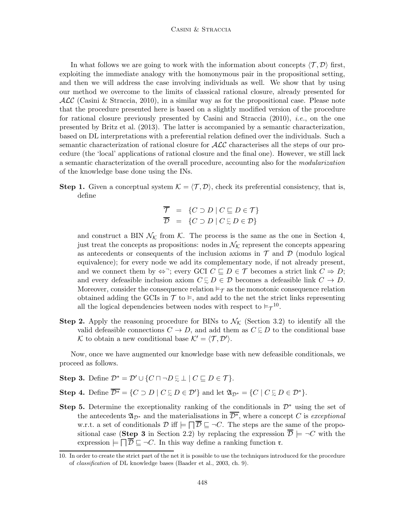In what follows we are going to work with the information about concepts  $\langle \mathcal{T}, \mathcal{D} \rangle$  first, exploiting the immediate analogy with the homonymous pair in the propositional setting, and then we will address the case involving individuals as well. We show that by using our method we overcome to the limits of classical rational closure, already presented for  $\cal{ALC}$  (Casini & Straccia, 2010), in a similar way as for the propositional case. Please note that the procedure presented here is based on a slightly modified version of the procedure for rational closure previously presented by Casini and Straccia (2010), i.e., on the one presented by Britz et al. (2013). The latter is accompanied by a semantic characterization, based on DL interpretations with a preferential relation defined over the individuals. Such a semantic characterization of rational closure for  $\mathcal{ALC}$  characterises all the steps of our procedure (the 'local' applications of rational closure and the final one). However, we still lack a semantic characterization of the overall procedure, accounting also for the modularization of the knowledge base done using the INs.

**Step 1.** Given a conceptual system  $\mathcal{K} = \langle \mathcal{T}, \mathcal{D} \rangle$ , check its preferential consistency, that is, define

$$
\overline{\mathcal{T}} = \{ C \supset D \mid C \sqsubseteq D \in \mathcal{T} \}
$$

$$
\overline{\mathcal{D}} = \{ C \supset D \mid C \subsetneq D \in \mathcal{D} \}
$$

and construct a BIN  $\mathcal{N}_{\mathcal{K}}$  from  $\mathcal{K}$ . The process is the same as the one in Section 4, just treat the concepts as propositions: nodes in  $\mathcal{N}_{\mathcal{K}}$  represent the concepts appearing as antecedents or consequents of the inclusion axioms in  $\mathcal T$  and  $\mathcal D$  (modulo logical equivalence); for every node we add its complementary node, if not already present, and we connect them by  $\iff$ ; every GCI  $C \sqsubseteq D \in \mathcal{T}$  becomes a strict link  $C \Rightarrow D$ ; and every defeasible inclusion axiom  $C \subsetneq D \in \mathcal{D}$  becomes a defeasible link  $C \to D$ . Moreover, consider the consequence relation  $\models_{\mathcal{T}}$  as the monotonic consequence relation obtained adding the GCIs in  $\mathcal{T}$  to  $\models$ , and add to the net the strict links representing all the logical dependencies between nodes with respect to  $\models_{\mathcal{T}}^{10}$ .

**Step 2.** Apply the reasoning procedure for BINs to  $\mathcal{N}_{\mathcal{K}}$  (Section 3.2) to identify all the valid defeasible connections  $C \to D$ , and add them as  $C \subsetneq D$  to the conditional base K to obtain a new conditional base  $K' = \langle T, D' \rangle$ .

Now, once we have augmented our knowledge base with new defeasible conditionals, we proceed as follows.

- Step 3. Define  $\mathcal{D}^* = \mathcal{D}' \cup \{C \sqcap \neg D \subsetneq \bot \mid C \sqsubseteq D \in \mathcal{T}\}.$
- Step 4. Define  $\overline{\mathcal{D}^*} = \{C \supset D \mid C \subsetneq D \in \mathcal{D}'\}$  and let  $\mathfrak{A}_{\mathcal{D}^*} = \{C \mid C \subsetneq D \in \mathcal{D}^*\}.$
- Step 5. Determine the exceptionality ranking of the conditionals in  $\mathcal{D}^*$  using the set of the antecedents  $\mathfrak{A}_{\mathcal{D}^*}$  and the materialisations in  $\overline{\mathcal{D}^*}$ , where a concept C is exceptional w.r.t. a set of conditionals  $\mathcal{D}$  iff  $\models \Box \mathcal{D} \sqsubseteq \neg C$ . The steps are the same of the propositional case (Step 3 in Section 2.2) by replacing the expression  $\overline{\mathcal{D}} \models \neg C$  with the expression  $\models \Box \overline{\mathcal{D}} \sqsubseteq \neg C$ . In this way define a ranking function  $\mathfrak{r}$ .

<sup>10.</sup> In order to create the strict part of the net it is possible to use the techniques introduced for the procedure of classification of DL knowledge bases (Baader et al., 2003, ch. 9).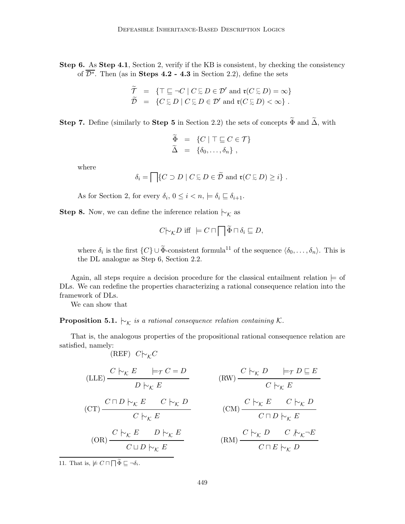Step 6. As Step 4.1, Section 2, verify if the KB is consistent, by checking the consistency of  $\overline{\mathcal{D}^*}$ . Then (as in **Steps 4.2 - 4.3** in Section 2.2), define the sets

$$
\widetilde{\mathcal{T}} = \{ \top \sqsubseteq \neg C \mid C \sqsubseteq D \in \mathcal{D}' \text{ and } \mathfrak{r}(C \sqsubseteq D) = \infty \} \n\widetilde{\mathcal{D}} = \{ C \sqsubseteq D \mid C \sqsubseteq D \in \mathcal{D}' \text{ and } \mathfrak{r}(C \sqsubseteq D) < \infty \} .
$$

Step 7. Define (similarly to Step 5 in Section 2.2) the sets of concepts  $\widetilde{\Phi}$  and  $\widetilde{\Delta}$ , with

$$
\widetilde{\Phi} = \{ C \mid \top \sqsubseteq C \in \mathcal{T} \} \n\widetilde{\Delta} = \{ \delta_0, \ldots, \delta_n \},
$$

where

$$
\delta_i = \bigcap \{ C \supset D \mid C \subsetneq D \in \widetilde{\mathcal{D}} \text{ and } \mathfrak{r}(C \subsetneq D) \geq i \} .
$$

As for Section 2, for every  $\delta_i$ ,  $0 \leq i < n$ ,  $\models \delta_i \sqsubseteq \delta_{i+1}$ .

**Step 8.** Now, we can define the inference relation  $\vdash_{\mathcal{K}}$  as

$$
C\vert_{\mathcal{K}}D \text{ iff } \vert = C \sqcap \bigcap \widetilde{\Phi} \sqcap \delta_i \sqsubseteq D,
$$

where  $\delta_i$  is the first  $\{C\} \cup \Phi$ -consistent formula<sup>11</sup> of the sequence  $\langle \delta_0, \ldots, \delta_n \rangle$ . This is the DL analogue as Step 6, Section 2.2.

Again, all steps require a decision procedure for the classical entailment relation  $\models$  of DLs. We can redefine the properties characterizing a rational consequence relation into the framework of DLs.

We can show that

**Proposition 5.1.**  $\vdash_{\mathcal{K}}$  is a rational consequence relation containing K.

That is, the analogous properties of the propositional rational consequence relation are satisfied, namely:  $(KEF)$   $C\rightarrow C$ 

$$
(LLE) \frac{C \rvert_{\mathcal{K}} E \rvert_{\mathcal{F}} C = D}{D \rvert_{\mathcal{K}} E}
$$
\n
$$
(C T) \frac{C \rvert_{\mathcal{K}} E \rvert_{\mathcal{K}} C \rvert_{\mathcal{K}} D}{C \rvert_{\mathcal{K}} E \rvert_{\mathcal{K}} D}
$$
\n
$$
(C M) \frac{C \rvert_{\mathcal{K}} E \rvert_{\mathcal{K}} C \rvert_{\mathcal{K}} D}{C \rvert_{\mathcal{K}} E}
$$
\n
$$
(C M) \frac{C \rvert_{\mathcal{K}} E \rvert_{\mathcal{K}} C \rvert_{\mathcal{K}} D}{C \rvert_{\mathcal{K}} E \rvert_{\mathcal{K}} D}
$$
\n
$$
(R M) \frac{C \rvert_{\mathcal{K}} D \rvert_{\mathcal{K}} C \rvert_{\mathcal{K}} D}{C \rvert_{\mathcal{K}} D \rvert_{\mathcal{K}} D}
$$

11. That is,  $\not\models C \sqcap \sqcap \widetilde{\Phi} \sqsubseteq \neg \delta_i$ .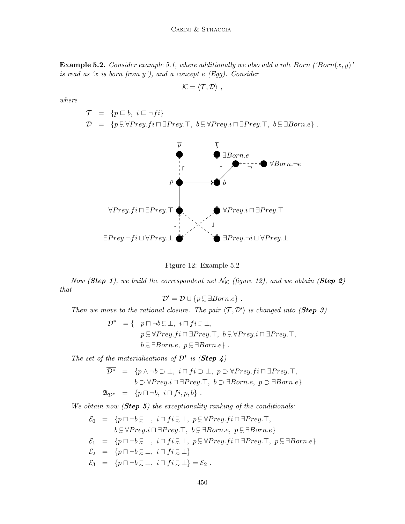**Example 5.2.** Consider example 5.1, where additionally we also add a role Born ('Born(x, y)' is read as 'x is born from  $y'$ ), and a concept  $e$  (Egg). Consider

$$
\mathcal{K}=\langle \mathcal{T}, \mathcal{D}\rangle \ ,
$$

$$
where
$$

$$
\begin{array}{lll}\n\mathcal{T} & = & \{p \sqsubseteq b, \ i \sqsubseteq \neg fi\} \\
\mathcal{D} & = & \{p \sqsubseteq \forall Prey.fi \sqcap \exists Prey.\top, \ b \sqsubseteq \forall Prey.i \sqcap \exists Prey.\top, \ b \sqsubseteq \exists Born.e\} \ .\n\end{array}
$$



Figure 12: Example 5.2

Now (Step 1), we build the correspondent net  $\mathcal{N}_{\mathcal{K}}$  (figure 12), and we obtain (Step 2) that

$$
\mathcal{D}' = \mathcal{D} \cup \{p \in \exists Born.e\} .
$$

Then we move to the rational closure. The pair  $\langle T, D' \rangle$  is changed into (**Step 3**)

$$
\mathcal{D}^* = \{ p \sqcap \neg b \in \bot, i \sqcap fi \in \bot, p \in \forall Prey.fi \sqcap \exists Prey.\top, b \in \forall Prey.i \sqcap \exists Prey.\top, b \in \exists Born.e, p \in \exists Born.e \}.
$$

The set of the materialisations of  $\mathcal{D}^*$  is (**Step 4**)

$$
\overline{\mathcal{D}^*} = \{p \land \neg b \supset \bot, i \sqcap fi \supset \bot, p \supset \forall Prey.fi \sqcap \exists Prey.\top, b \supset \forall Prey.i \sqcap \exists Prey.\top, b \supset \exists Born.e, p \supset \exists Born.e\}
$$
  

$$
\mathfrak{A}_{\mathcal{D}^*} = \{p \sqcap \neg b, i \sqcap fi, p, b\}.
$$

We obtain now  $(Step 5)$  the exceptionality ranking of the conditionals:

$$
\mathcal{E}_0 = \{p \sqcap \neg b \sqsubseteq \bot, i \sqcap fi \sqsubseteq \bot, p \sqsubseteq \forall Prey.fi \sqcap \exists Prey.\top, \\ b \sqsubseteq \forall Prey.i \sqcap \exists Prey.\top, b \sqsubseteq \exists Born.e, p \sqsubseteq \exists Born.e\}
$$
\n
$$
\mathcal{E}_1 = \{p \sqcap \neg b \sqsubseteq \bot, i \sqcap fi \sqsubseteq \bot, p \sqsubseteq \forall Prey.fi \sqcap \exists Prey.\top, p \sqsubseteq \exists Born.e\}
$$
\n
$$
\mathcal{E}_2 = \{p \sqcap \neg b \sqsubseteq \bot, i \sqcap fi \sqsubseteq \bot\}
$$
\n
$$
\mathcal{E}_3 = \{p \sqcap \neg b \sqsubseteq \bot, i \sqcap fi \sqsubseteq \bot\} = \mathcal{E}_2.
$$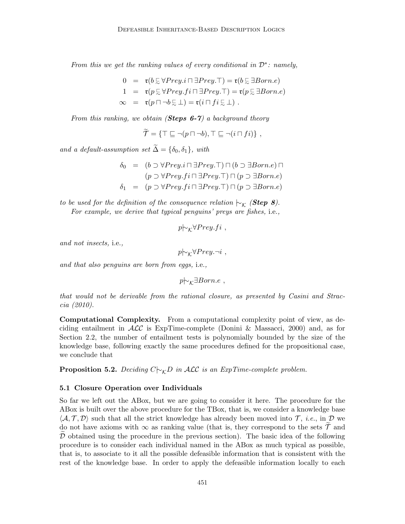From this we get the ranking values of every conditional in  $\mathcal{D}^*$ : namely,

$$
0 = \mathfrak{r}(b \in \forall \text{Prey}.i \sqcap \exists \text{Prey}.T) = \mathfrak{r}(b \in \exists \text{Born}.e)
$$
  
\n
$$
1 = \mathfrak{r}(p \in \forall \text{Prey}.f i \sqcap \exists \text{Prey}.T) = \mathfrak{r}(p \in \exists \text{Born}.e)
$$
  
\n
$$
\infty = \mathfrak{r}(p \sqcap \neg b \in \bot) = \mathfrak{r}(i \sqcap fi \in \bot).
$$

From this ranking, we obtain (**Steps 6-7**) a background theory

$$
\widetilde{\mathcal{T}} = \{ \top \sqsubseteq \neg (p \sqcap \neg b), \top \sqsubseteq \neg (i \sqcap fi) \},
$$

and a default-assumption set  $\widetilde{\Delta} = {\delta_0, \delta_1}$ , with

$$
\delta_0 = (b \supset \forall Prey.i \sqcap \exists Prey.\top) \sqcap (b \supset \exists Born.e) \sqcap
$$
  
\n
$$
(p \supset \forall Prey.fi \sqcap \exists Prey.\top) \sqcap (p \supset \exists Born.e)
$$
  
\n
$$
\delta_1 = (p \supset \forall Prey.fi \sqcap \exists Prey.\top) \sqcap (p \supset \exists Born.e)
$$

to be used for the definition of the consequence relation  $\mathrel{\mathop{\sim_{\mathcal{K}}}}$  (Step 8). For example, we derive that typical penguins' preys are fishes, i.e.,

$$
p \rightarrow_{\mathcal{K}} \forall Prey.fi ,
$$

and not insects, i.e.,

$$
p\!\!\!\sim_{\mathcal{K}}\!\!\forall Prey.\neg i\ ,
$$

and that also penguins are born from eggs, i.e.,

 $p\vdash_{\mathcal{K}} \exists Born.e$ ,

that would not be derivable from the rational closure, as presented by Casini and Straccia (2010).

Computational Complexity. From a computational complexity point of view, as deciding entailment in  $\mathcal{ALC}$  is ExpTime-complete (Donini & Massacci, 2000) and, as for Section 2.2, the number of entailment tests is polynomially bounded by the size of the knowledge base, following exactly the same procedures defined for the propositional case, we conclude that

**Proposition 5.2.** Deciding  $C\sim_{\mathcal{K}}D$  in ALC is an ExpTime-complete problem.

#### 5.1 Closure Operation over Individuals

So far we left out the ABox, but we are going to consider it here. The procedure for the ABox is built over the above procedure for the TBox, that is, we consider a knowledge base  $\langle A, \mathcal{T}, \mathcal{D} \rangle$  such that all the strict knowledge has already been moved into  $\mathcal{T}$ , *i.e.*, in  $\mathcal{D}$  we do not have axioms with  $\infty$  as ranking value (that is, they correspond to the sets  $\mathcal T$  and  $D$  obtained using the procedure in the previous section). The basic idea of the following procedure is to consider each individual named in the ABox as much typical as possible, that is, to associate to it all the possible defeasible information that is consistent with the rest of the knowledge base. In order to apply the defeasible information locally to each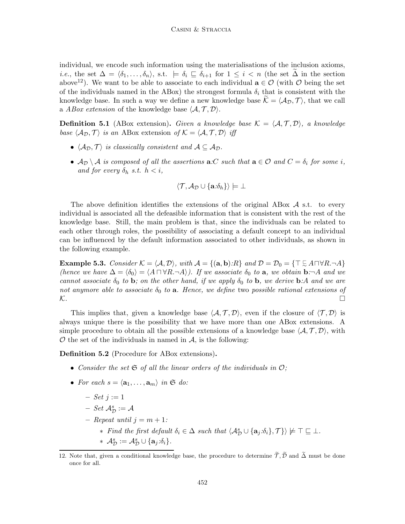individual, we encode such information using the materialisations of the inclusion axioms, *i.e.*, the set  $\Delta = \langle \delta_1, \ldots, \delta_n \rangle$ , s.t.  $\models \delta_i \sqsubseteq \delta_{i+1}$  for  $1 \leq i < n$  (the set  $\Delta$  in the section above<sup>12</sup>). We want to be able to associate to each individual  $\mathbf{a} \in \mathcal{O}$  (with  $\mathcal{O}$  being the set of the individuals named in the ABox) the strongest formula  $\delta_i$  that is consistent with the knowledge base. In such a way we define a new knowledge base  $\mathcal{K} = \langle A_{\mathcal{D}}, \mathcal{T} \rangle$ , that we call a ABox extension of the knowledge base  $\langle A, \mathcal{T}, \mathcal{D} \rangle$ .

**Definition 5.1** (ABox extension). Given a knowledge base  $\mathcal{K} = \langle \mathcal{A}, \mathcal{T}, \mathcal{D} \rangle$ , a knowledge base  $\langle A_{\mathcal{D}}, \mathcal{T} \rangle$  is an ABox extension of  $\mathcal{K} = \langle \mathcal{A}, \mathcal{T}, \mathcal{D} \rangle$  iff

- $\langle A_{\mathcal{D}}, \mathcal{T} \rangle$  is classically consistent and  $A \subseteq A_{\mathcal{D}}$ .
- $A_D \setminus A$  is composed of all the assertions  $\mathbf{a}.C$  such that  $\mathbf{a} \in \mathcal{O}$  and  $C = \delta_i$  for some i, and for every  $\delta_h$  s.t.  $h < i$ ,

$$
\langle \mathcal{T}, \mathcal{A}_{\mathcal{D}} \cup \{ \mathbf{a}.\delta_h \} \rangle \models \bot
$$

The above definition identifies the extensions of the original ABox  $\mathcal A$  s.t. to every individual is associated all the defeasible information that is consistent with the rest of the knowledge base. Still, the main problem is that, since the individuals can be related to each other through roles, the possibility of associating a default concept to an individual can be influenced by the default information associated to other individuals, as shown in the following example.

Example 5.3. Consider  $\mathcal{K} = \langle \mathcal{A}, \mathcal{D} \rangle$ , with  $\mathcal{A} = \{(\mathbf{a}, \mathbf{b}):R\}$  and  $\mathcal{D} = \mathcal{D}_0 = \{\top \subsetneq A \cap \forall R.\neg A\}$ (hence we have  $\Delta = \langle \delta_0 \rangle = \langle A \cap \forall R.\neg A \rangle$ ). If we associate  $\delta_0$  to a, we obtain **b**: $\neg A$  and we cannot associate  $\delta_0$  to b; on the other hand, if we apply  $\delta_0$  to b, we derive b:A and we are not anymore able to associate  $\delta_0$  to **a**. Hence, we define two possible rational extensions of  $\mathcal{K}.$ 

This implies that, given a knowledge base  $\langle A, \mathcal{T}, \mathcal{D} \rangle$ , even if the closure of  $\langle \mathcal{T}, \mathcal{D} \rangle$  is always unique there is the possibility that we have more than one ABox extensions. A simple procedure to obtain all the possible extensions of a knowledge base  $\langle A, \mathcal{T}, \mathcal{D} \rangle$ , with  $\mathcal O$  the set of the individuals in named in  $\mathcal A$ , is the following:

Definition 5.2 (Procedure for ABox extensions).

- Consider the set  $\mathfrak S$  of all the linear orders of the individuals in  $\mathcal O$ ;
- For each  $s = \langle \mathbf{a}_1, \ldots, \mathbf{a}_m \rangle$  in  $\mathfrak{S}$  do:
	- $-$  Set  $j := 1$
	- $-$  Set  $\mathcal{A}_{\mathcal{D}}^{s} := \mathcal{A}$
	- Repeat until  $j = m + 1$ :
		- $*$  Find the first default  $\delta_i \in \Delta$  such that  $\langle A_{\mathcal{D}}^s \cup {\{a_j : \delta_i\}}, \mathcal{T}\}\rangle \not\models \top \sqsubseteq \bot$ .
		- $* \mathcal{A}_{\mathcal{D}}^{s} := \mathcal{A}_{\mathcal{D}}^{s} \cup \{\mathbf{a}_{j} \cdot \delta_{i}\}.$

<sup>12.</sup> Note that, given a conditional knowledge base, the procedure to determine  $\tilde{\tau}, \tilde{\mathcal{D}}$  and  $\tilde{\Delta}$  must be done once for all.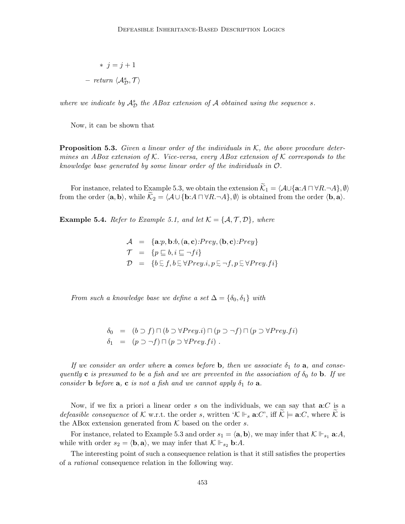$$
* j = j + 1
$$
  
- return  $\langle A_{\mathcal{D}}^s, \mathcal{T} \rangle$ 

where we indicate by  $A_D^s$  the ABox extension of A obtained using the sequence s.

Now, it can be shown that

**Proposition 5.3.** Given a linear order of the individuals in  $K$ , the above procedure determines an ABox extension of  $K$ . Vice-versa, every ABox extension of  $K$  corresponds to the knowledge base generated by some linear order of the individuals in O.

For instance, related to Example 5.3, we obtain the extension  $\widetilde{\mathcal{K}}_1 = \langle \mathcal{A} \cup \{ \mathbf{a}: A \sqcap \forall R.\neg A \}, \emptyset \rangle$ from the order  $\langle \mathbf{a}, \mathbf{b} \rangle$ , while  $\widetilde{\mathcal{K}}_2 = \langle \mathcal{A} \cup {\mathbf{b}: A \sqcap \forall R.\neg A} \rangle$ ,  $\emptyset$  is obtained from the order  $\langle \mathbf{b}, \mathbf{a} \rangle$ .

**Example 5.4.** Refer to Example 5.1, and let  $K = \{A, \mathcal{T}, \mathcal{D}\}\$ , where

$$
\mathcal{A} = \{ \mathbf{a}.p, \mathbf{b}.b, (\mathbf{a}, \mathbf{c}).Prey, (\mathbf{b}, \mathbf{c}).Prey \}
$$
  
\n
$$
\mathcal{T} = \{ p \sqsubseteq b, i \sqsubseteq \neg fi \}
$$
  
\n
$$
\mathcal{D} = \{ b \sqsubseteq f, b \sqsubseteq \forall Prey.i, p \sqsubseteq \neg f, p \sqsubseteq \forall Prey.fi \}
$$

From such a knowledge base we define a set  $\Delta = {\delta_0, \delta_1}$  with

$$
\delta_0 = (b \supset f) \sqcap (b \supset \forall \text{Prey.i}) \sqcap (p \supset \neg f) \sqcap (p \supset \forall \text{Prey.fi})
$$
  

$$
\delta_1 = (p \supset \neg f) \sqcap (p \supset \forall \text{Prey.fi}).
$$

If we consider an order where a comes before b, then we associate  $\delta_1$  to a, and consequently c is presumed to be a fish and we are prevented in the association of  $\delta_0$  to **b**. If we consider **b** before  $a$ ,  $c$  is not a fish and we cannot apply  $\delta_1$  to  $a$ .

Now, if we fix a priori a linear order s on the individuals, we can say that  $a:C$  is a *defeasible consequence* of K w.r.t. the order s, written  $\mathcal{K} \Vdash_{s} \mathbf{a}: C'$ , iff  $\mathcal{K} \models \mathbf{a}: C$ , where  $\mathcal{K}$  is the ABox extension generated from  $K$  based on the order s.

For instance, related to Example 5.3 and order  $s_1 = \langle \mathbf{a}, \mathbf{b} \rangle$ , we may infer that  $K \Vdash_{s_1} \mathbf{a}: A$ , while with order  $s_2 = \langle \mathbf{b}, \mathbf{a} \rangle$ , we may infer that  $\mathcal{K} \Vdash_{s_2} \mathbf{b}: A$ .

The interesting point of such a consequence relation is that it still satisfies the properties of a rational consequence relation in the following way.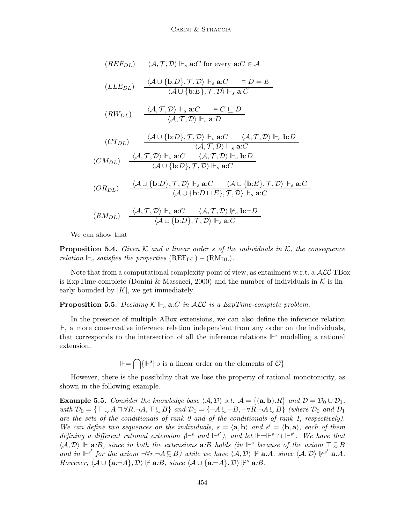$$
(REF_{DL}) \quad \langle A, \mathcal{T}, \mathcal{D} \rangle \Vdash_{s} \mathbf{a}: C \text{ for every } \mathbf{a}: C \in \mathcal{A}
$$
\n
$$
(LLE_{DL}) \quad \frac{\langle A \cup \{\mathbf{b}:D\}, \mathcal{T}, \mathcal{D} \rangle \Vdash_{s} \mathbf{a}: C \models D = E}{\langle A \cup \{\mathbf{b}:E\}, \mathcal{T}, \mathcal{D} \rangle \Vdash_{s} \mathbf{a}: C}
$$
\n
$$
(RW_{DL}) \quad \frac{\langle A, \mathcal{T}, \mathcal{D} \rangle \Vdash_{s} \mathbf{a}: C \models C \sqsubseteq D}{\langle A, \mathcal{T}, \mathcal{D} \rangle \Vdash_{s} \mathbf{a}: D}
$$
\n
$$
(CT_{DL}) \quad \frac{\langle A \cup \{\mathbf{b}:D\}, \mathcal{T}, \mathcal{D} \rangle \Vdash_{s} \mathbf{a}: C \quad \langle A, \mathcal{T}, \mathcal{D} \rangle \Vdash_{s} \mathbf{b}: D}{\langle A, \mathcal{T}, \mathcal{D} \rangle \Vdash_{s} \mathbf{a}: C}
$$
\n
$$
(CM_{DL}) \quad \frac{\langle A, \mathcal{T}, \mathcal{D} \rangle \Vdash_{s} \mathbf{a}: C \quad \langle A, \mathcal{T}, \mathcal{D} \rangle \Vdash_{s} \mathbf{b}: D}{\langle A \cup \{\mathbf{b}:D\}, \mathcal{T}, \mathcal{D} \rangle \Vdash_{s} \mathbf{a}: C}
$$
\n
$$
(OR_{DL}) \quad \frac{\langle A \cup \{\mathbf{b}:D\}, \mathcal{T}, \mathcal{D} \rangle \Vdash_{s} \mathbf{a}: C \quad \langle A \cup \{\mathbf{b}:E\}, \mathcal{T}, \mathcal{D} \rangle \Vdash_{s} \mathbf{a}: C}{\langle A \cup \{\mathbf{b}:D \sqcup E\}, \mathcal{T}, \mathcal{D} \rangle \Vdash_{s} \mathbf{a}: C}
$$
\n
$$
(RM_{DL}) \quad \frac{\langle A, \mathcal{T}, \mathcal{D} \rangle \Vdash_{s} \mathbf{a}: C \quad \langle A, \mathcal{T}, \mathcal{D} \rangle \Vdash_{s} \mathbf{a}: C}{\langle A \cup \{\mathbf{b}:D\}, \mathcal{T}, \mathcal{D} \rangle \Vdash_{s} \mathbf
$$

We can show that

**Proposition 5.4.** Given  $K$  and a linear order s of the individuals in  $K$ , the consequence relation  $\mathbb{H}_s$  satisfies the properties  $(REF_{DL}) - (RM_{DL})$ .

Note that from a computational complexity point of view, as entailment w.r.t. a  $\mathcal{ALC}$  TBox is ExpTime-complete (Donini & Massacci, 2000) and the number of individuals in  $\mathcal K$  is linearly bounded by  $|K|$ , we get immediately

**Proposition 5.5.** Deciding  $K \Vdash_{s} \mathbf{a} : C$  in ALC is a ExpTime-complete problem.

In the presence of multiple ABox extensions, we can also define the inference relation  $\mathbb{F}$ , a more conservative inference relation independent from any order on the individuals, that corresponds to the intersection of all the inference relations  $\mathbb{F}^s$  modelling a rational extension.

 $\mathbb{H} = \bigcap \{ \mathbb{H}^s | s \text{ is a linear order on the elements of } \mathcal{O} \}$ 

However, there is the possibility that we lose the property of rational monotonicity, as shown in the following example.

**Example 5.5.** Consider the knowledge base  $\langle A, D \rangle$  s.t.  $A = \{(\mathbf{a}, \mathbf{b}): R\}$  and  $D = D_0 \cup D_1$ , with  $\mathcal{D}_0 = \{ \top \subseteq A \sqcap \forall R.\neg A, \top \subseteq B \}$  and  $\mathcal{D}_1 = \{ \neg A \subseteq \neg B, \neg \forall R.\neg A \subseteq B \}$  (where  $\mathcal{D}_0$  and  $\mathcal{D}_1$ ) are the sets of the conditionals of rank 0 and of the conditionals of rank 1, respectively). We can define two sequences on the individuals,  $s = \langle \mathbf{a}, \mathbf{b} \rangle$  and  $s' = \langle \mathbf{b}, \mathbf{a} \rangle$ , each of them defining a different rational extension  $($  $\Vdash^s$  and  $\Vdash^{s'}$ ), and let  $\Vdash = \Vdash^s \cap \Vdash^{s'}$ . We have that  $\langle A, \mathcal{D} \rangle \Vdash$  **a**:B, since in both the extensions **a**:B holds (in  $\Vdash$ <sup>s</sup> because of the axiom  $\top \subsetneq B$ and in  $\Vdash^{s'}$  for the axiom  $\neg \forall r.\neg A \subsetneq B$ ) while we have  $\langle A,D \rangle \not\Vdash$  **a**:A, since  $\langle A,D \rangle \not\Vdash^{s'}$  **a**:A. However,  $\langle \mathcal{A} \cup \{ \mathbf{a} : \neg A \}, \mathcal{D} \rangle \not\vdash \mathbf{a} : B$ , since  $\langle \mathcal{A} \cup \{ \mathbf{a} : \neg A \}, \mathcal{D} \rangle \not\vdash^s \mathbf{a} : B$ .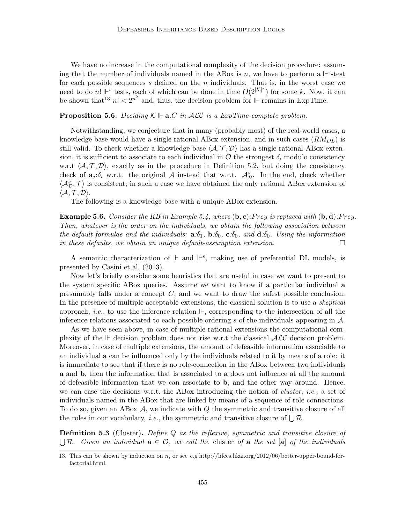We have no increase in the computational complexity of the decision procedure: assuming that the number of individuals named in the ABox is n, we have to perform a  $\mathbb{H}^s$ -test for each possible sequences  $s$  defined on the  $n$  individuals. That is, in the worst case we need to do n!  $\mathbb{F}^s$  tests, each of which can be done in time  $O(2^{|\mathcal{K}|^k})$  for some k. Now, it can be shown that  $13 n! < 2^{n^2}$  and, thus, the decision problem for  $\Vdash$  remains in ExpTime.

#### **Proposition 5.6.** Deciding  $\mathcal{K} \Vdash \mathbf{a}:\mathcal{C}$  in ALC is a ExpTime-complete problem.

Notwithstanding, we conjecture that in many (probably most) of the real-world cases, a knowledge base would have a single rational ABox extension, and in such cases  $(RM_{DL})$  is still valid. To check whether a knowledge base  $\langle A, \mathcal{T}, \mathcal{D} \rangle$  has a single rational ABox extension, it is sufficient to associate to each individual in  $\mathcal O$  the strongest  $\delta_i$  modulo consistency w.r.t  $\langle A, \mathcal{T}, \mathcal{D} \rangle$ , exactly as in the procedure in Definition 5.2, but doing the consistency check of  $a_j:\delta_i$  w.r.t. the original A instead that w.r.t.  $\mathcal{A}_{\mathcal{D}}^s$ . In the end, check whether  $\langle A_{\mathcal{D}}^s, \mathcal{T} \rangle$  is consistent; in such a case we have obtained the only rational ABox extension of  $\langle A, \mathcal{T}, \mathcal{D} \rangle$ .

The following is a knowledge base with a unique ABox extension.

**Example 5.6.** Consider the KB in Example 5.4, where  $(b, c)$ : Prey is replaced with  $(b, d)$ : Prey. Then, whatever is the order on the individuals, we obtain the following association between the default formulae and the individuals:  $\mathbf{a}:\delta_1$ ,  $\mathbf{b}:\delta_0$ ,  $\mathbf{c}:\delta_0$ , and  $\mathbf{d}:\delta_0$ . Using the information in these defaults, we obtain an unique default-assumption extension.  $\Box$ 

A semantic characterization of  $\mathbb{H}$  and  $\mathbb{H}^s$ , making use of preferential DL models, is presented by Casini et al. (2013).

Now let's briefly consider some heuristics that are useful in case we want to present to the system specific ABox queries. Assume we want to know if a particular individual a presumably falls under a concept C, and we want to draw the safest possible conclusion. In the presence of multiple acceptable extensions, the classical solution is to use a *skeptical* approach, *i.e.*, to use the inference relation  $\mathbb{H}$ , corresponding to the intersection of all the inference relations associated to each possible ordering s of the individuals appearing in  $\mathcal{A}$ .

As we have seen above, in case of multiple rational extensions the computational complexity of the  $\mathbb F$  decision problem does not rise w.r.t the classical  $\mathcal{ALC}$  decision problem. Moreover, in case of multiple extensions, the amount of defeasible information associable to an individual a can be influenced only by the individuals related to it by means of a role: it is immediate to see that if there is no role-connection in the ABox between two individuals a and b, then the information that is associated to a does not influence at all the amount of defeasible information that we can associate to b, and the other way around. Hence, we can ease the decisions w.r.t. the ABox introducing the notion of *cluster*, *i.e.*, a set of individuals named in the ABox that are linked by means of a sequence of role connections. To do so, given an ABox  $A$ , we indicate with  $Q$  the symmetric and transitive closure of all the roles in our vocabulary, *i.e.*, the symmetric and transitive closure of  $\bigcup \mathcal{R}$ .

**Definition 5.3** (Cluster). Define Q as the reflexive, symmetric and transitive closure of  $\bigcup \mathcal{R}$ . Given an individual  $a \in \mathcal{O}$ , we call the cluster of a the set [a] of the individuals

<sup>13.</sup> This can be shown by induction on n, or see e.g.http://lifecs.likai.org/2012/06/better-upper-bound-forfactorial.html.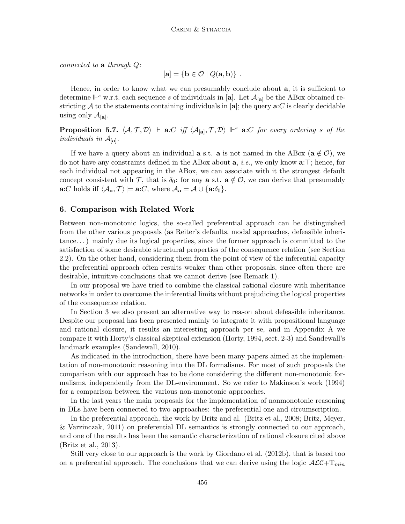connected to a through  $Q$ :

$$
[\mathbf{a}] = \{ \mathbf{b} \in \mathcal{O} \mid Q(\mathbf{a}, \mathbf{b}) \}.
$$

Hence, in order to know what we can presumably conclude about a, it is sufficient to determine  $\mathbb{P}^s$  w.r.t. each sequence s of individuals in [a]. Let  $\mathcal{A}_{[a]}$  be the ABox obtained restricting A to the statements containing individuals in [a]; the query  $\mathbf{a}:C$  is clearly decidable using only  $\mathcal{A}_{[\mathbf{a}]}.$ 

**Proposition 5.7.**  $\langle A, \mathcal{T}, \mathcal{D} \rangle$   $\Vdash$  **a**:C iff  $\langle A_{[a]}, \mathcal{T}, \mathcal{D} \rangle$   $\Vdash$ <sup>s</sup> **a**:C for every ordering s of the individuals in  $\mathcal{A}_{[\mathbf{a}]}$ .

If we have a query about an individual **a** s.t. **a** is not named in the ABox ( $\mathbf{a} \notin \mathcal{O}$ ), we do not have any constraints defined in the ABox about a, i.e., we only know a:⊤; hence, for each individual not appearing in the ABox, we can associate with it the strongest default concept consistent with T, that is  $\delta_0$ : for any **a** s.t.  $\mathbf{a} \notin \mathcal{O}$ , we can derive that presumably  $\mathbf{a}:C$  holds iff  $\langle A_{\mathbf{a}}, \mathcal{T} \rangle \models \mathbf{a}:C$ , where  $\mathcal{A}_{\mathbf{a}} = \mathcal{A} \cup \{\mathbf{a}:\delta_0\}.$ 

# 6. Comparison with Related Work

Between non-monotonic logics, the so-called preferential approach can be distinguished from the other various proposals (as Reiter's defaults, modal approaches, defeasible inheritance. . . ) mainly due its logical properties, since the former approach is committed to the satisfaction of some desirable structural properties of the consequence relation (see Section 2.2). On the other hand, considering them from the point of view of the inferential capacity the preferential approach often results weaker than other proposals, since often there are desirable, intuitive conclusions that we cannot derive (see Remark 1).

In our proposal we have tried to combine the classical rational closure with inheritance networks in order to overcome the inferential limits without prejudicing the logical properties of the consequence relation.

In Section 3 we also present an alternative way to reason about defeasible inheritance. Despite our proposal has been presented mainly to integrate it with propositional language and rational closure, it results an interesting approach per se, and in Appendix A we compare it with Horty's classical skeptical extension (Horty, 1994, sect. 2-3) and Sandewall's landmark examples (Sandewall, 2010).

As indicated in the introduction, there have been many papers aimed at the implementation of non-monotonic reasoning into the DL formalisms. For most of such proposals the comparison with our approach has to be done considering the different non-monotonic formalisms, independently from the DL-environment. So we refer to Makinson's work (1994) for a comparison between the various non-monotonic approaches.

In the last years the main proposals for the implementation of nonmonotonic reasoning in DLs have been connected to two approaches: the preferential one and circumscription.

In the preferential approach, the work by Britz and al. (Britz et al., 2008; Britz, Meyer, & Varzinczak, 2011) on preferential DL semantics is strongly connected to our approach, and one of the results has been the semantic characterization of rational closure cited above (Britz et al., 2013).

Still very close to our approach is the work by Giordano et al. (2012b), that is based too on a preferential approach. The conclusions that we can derive using the logic  $\mathcal{ALC}+\mathcal{T}_{min}$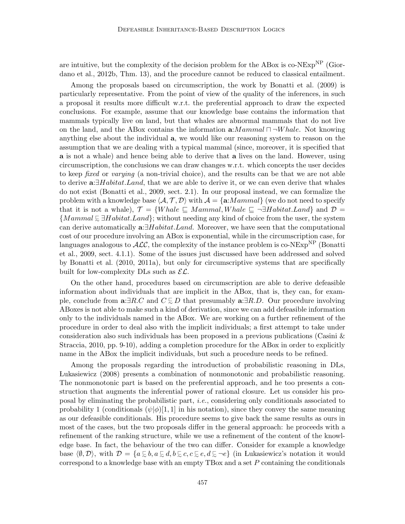are intuitive, but the complexity of the decision problem for the ABox is  $co-NExp^{NP}$  (Giordano et al., 2012b, Thm. 13), and the procedure cannot be reduced to classical entailment.

Among the proposals based on circumscription, the work by Bonatti et al. (2009) is particularly representative. From the point of view of the quality of the inferences, in such a proposal it results more difficult w.r.t. the preferential approach to draw the expected conclusions. For example, assume that our knowledge base contains the information that mammals typically live on land, but that whales are abnormal mammals that do not live on the land, and the ABox contains the information  $a:Mammal \sqcap \neg Whale$ . Not knowing anything else about the individual a, we would like our reasoning system to reason on the assumption that we are dealing with a typical mammal (since, moreover, it is specified that a is not a whale) and hence being able to derive that a lives on the land. However, using circumscription, the conclusions we can draw changes w.r.t. which concepts the user decides to keep fixed or varying (a non-trivial choice), and the results can be that we are not able to derive  $\mathbf{a}:\exists Habitat.Land,$  that we are able to derive it, or we can even derive that whales do not exist (Bonatti et al., 2009, sect. 2.1). In our proposal instead, we can formalize the problem with a knowledge base  $\langle A, \mathcal{T}, \mathcal{D} \rangle$  with  $\mathcal{A} = \{a:Mammal\}$  (we do not need to specify that it is not a whale),  $\mathcal{T} = \{While \sqsubseteq Mammal, Whale \sqsubseteq \neg \exists Habitat.Land\}$  and  $\mathcal{D} =$  ${Mammal \in \exists Habitat.Land}$ ; without needing any kind of choice from the user, the system can derive automatically a:∃Habitat.Land. Moreover, we have seen that the computational cost of our procedure involving an ABox is exponential, while in the circumscription case, for languages analogous to  $\mathcal{ALC}$ , the complexity of the instance problem is co-NExp<sup>NP</sup> (Bonatti et al., 2009, sect. 4.1.1). Some of the issues just discussed have been addressed and solved by Bonatti et al. (2010, 2011a), but only for circumscriptive systems that are specifically built for low-complexity DLs such as  $\mathcal{EL}$ .

On the other hand, procedures based on circumscription are able to derive defeasible information about individuals that are implicit in the ABox, that is, they can, for example, conclude from  $\mathbf{a}:\exists R.C$  and  $C\subseteq D$  that presumably  $\mathbf{a}:\exists R.D$ . Our procedure involving ABoxes is not able to make such a kind of derivation, since we can add defeasible information only to the individuals named in the ABox. We are working on a further refinement of the procedure in order to deal also with the implicit individuals; a first attempt to take under consideration also such individuals has been proposed in a previous publications (Casini & Straccia, 2010, pp. 9-10), adding a completion procedure for the ABox in order to explicitly name in the ABox the implicit individuals, but such a procedure needs to be refined.

Among the proposals regarding the introduction of probabilistic reasoning in DLs, Lukasiewicz (2008) presents a combination of nonmonotonic and probabilistic reasoning. The nonmonotonic part is based on the preferential approach, and he too presents a construction that augments the inferential power of rational closure. Let us consider his proposal by eliminating the probabilistic part, i.e., considering only conditionals associated to probability 1 (conditionals  $(\psi|\phi)[1,1]$  in his notation), since they convey the same meaning as our defeasible conditionals. His procedure seems to give back the same results as ours in most of the cases, but the two proposals differ in the general approach: he proceeds with a refinement of the ranking structure, while we use a refinement of the content of the knowledge base. In fact, the behaviour of the two can differ. Consider for example a knowledge base  $\langle \emptyset, \mathcal{D} \rangle$ , with  $\mathcal{D} = \{a \in b, a \in d, b \in c, c \in e, d \in \neg e\}$  (in Lukasiewicz's notation it would correspond to a knowledge base with an empty  $TBox$  and a set  $P$  containing the conditionals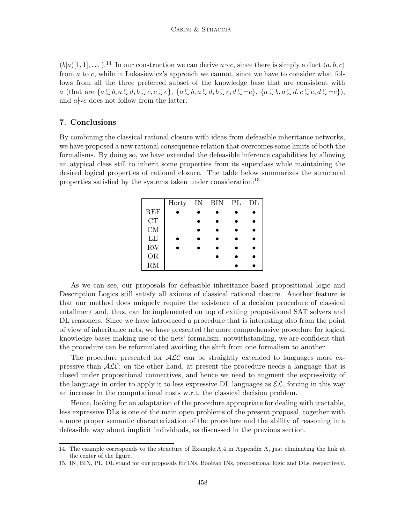$(b|a)$ [1, 1], ...).<sup>14</sup> In our construction we can derive  $a \sim c$ , since there is simply a duct  $\langle a, b, c \rangle$ from a to c, while in Lukasiewicz's approach we cannot, since we have to consider what follows from all the three preferred subset of the knowledge base that are consistent with  $a \text{ (that are } \{a \in b, a \in d, b \in c, c \in e\}, \{a \in b, a \in d, b \in c, d \in \neg e\}, \{a \in b, a \in d, c \in e, d \in \neg e\}),\$ and a|∼c does not follow from the latter.

# 7. Conclusions

By combining the classical rational closure with ideas from defeasible inheritance networks, we have proposed a new rational consequence relation that overcomes some limits of both the formalisms. By doing so, we have extended the defeasible inference capabilities by allowing an atypical class still to inherit some properties from its superclass while maintaining the desired logical properties of rational closure. The table below summarizes the structural properties satisfied by the systems taken under consideration:<sup>15</sup>

|            | Horty | IN | BIN | PL | DL |
|------------|-------|----|-----|----|----|
| <b>REF</b> |       |    |     |    |    |
| CT         |       |    |     |    |    |
| CM         |       |    |     |    |    |
| LE         |       |    |     |    |    |
| <b>RW</b>  |       |    |     |    |    |
| <b>OR</b>  |       |    |     |    |    |
| RM         |       |    |     |    |    |

As we can see, our proposals for defeasible inheritance-based propositional logic and Description Logics still satisfy all axioms of classical rational closure. Another feature is that our method does uniquely require the existence of a decision procedure of classical entailment and, thus, can be implemented on top of exiting propositional SAT solvers and DL reasoners. Since we have introduced a procedure that is interesting also from the point of view of inheritance nets, we have presented the more comprehensive procedure for logical knowledge bases making use of the nets' formalism; notwithstanding, we are confident that the procedure can be reformulated avoiding the shift from one formalism to another.

The procedure presented for  $\mathcal{ALC}$  can be straightly extended to languages more expressive than  $\text{ALC}$ ; on the other hand, at present the procedure needs a language that is closed under propositional connectives, and hence we need to augment the expressivity of the language in order to apply it to less expressive DL languages as  $\mathcal{EL}$ , forcing in this way an increase in the computational costs w.r.t. the classical decision problem.

Hence, looking for an adaptation of the procedure appropriate for dealing with tractable, less expressive DLs is one of the main open problems of the present proposal, together with a more proper semantic characterization of the procedure and the ability of reasoning in a defeasible way about implicit individuals, as discussed in the previous section.

<sup>14.</sup> The example corresponds to the structure of Example.A.4 in Appendix A, just eliminating the link at the center of the figure.

<sup>15.</sup> IN, BIN, PL, DL stand for our proposals for INs, Boolean INs, propositional logic and DLs, respectively.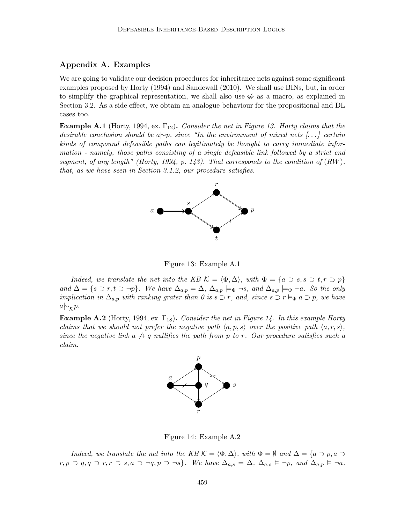# Appendix A. Examples

We are going to validate our decision procedures for inheritance nets against some significant examples proposed by Horty (1994) and Sandewall (2010). We shall use BINs, but, in order to simplify the graphical representation, we shall also use  $\Leftrightarrow$  as a macro, as explained in Section 3.2. As a side effect, we obtain an analogue behaviour for the propositional and DL cases too.

**Example A.1** (Horty, 1994, ex.  $\Gamma_{12}$ ). Consider the net in Figure 13. Horty claims that the desirable conclusion should be a $\sim p$ , since "In the environment of mixed nets [...] certain kinds of compound defeasible paths can legitimately be thought to carry immediate information - namely, those paths consisting of a single defeasible link followed by a strict end segment, of any length" (Horty, 1994, p. 143). That corresponds to the condition of  $(RW)$ , that, as we have seen in Section 3.1.2, our procedure satisfies.



Figure 13: Example A.1

Indeed, we translate the net into the KB  $\mathcal{K} = \langle \Phi, \Delta \rangle$ , with  $\Phi = \{a \supset s, s \supset t, r \supset p\}$ and  $\Delta = \{s \supset r, t \supset \neg p\}$ . We have  $\Delta_{a,p} = \Delta$ ,  $\Delta_{a,p} \models_{\Phi} \neg s$ , and  $\Delta_{a,p} \models_{\Phi} \neg a$ . So the only implication in  $\Delta_{a,p}$  with ranking grater than 0 is s  $\supset r$ , and, since s  $\supset r \vDash_{\Phi} a \supset p$ , we have  $a \sim_{\mathcal{K}} p$ .

**Example A.2** (Horty, 1994, ex.  $\Gamma_{18}$ ). Consider the net in Figure 14. In this example Horty claims that we should not prefer the negative path  $\langle a, p, s \rangle$  over the positive path  $\langle a, r, s \rangle$ , since the negative link  $a \nrightarrow q$  nullifies the path from p to r. Our procedure satisfies such a claim.



Figure 14: Example A.2

Indeed, we translate the net into the KB  $\mathcal{K} = \langle \Phi, \Delta \rangle$ , with  $\Phi = \emptyset$  and  $\Delta = \{a \supset p, a \supset q \in \mathcal{K}\}$  $r, p \supset q, q \supset r, r \supset s, a \supset \neg q, p \supset \neg s$ . We have  $\Delta_{a,s} = \Delta, \Delta_{a,s} \models \neg p, \text{ and } \Delta_{a,p} \models \neg a$ .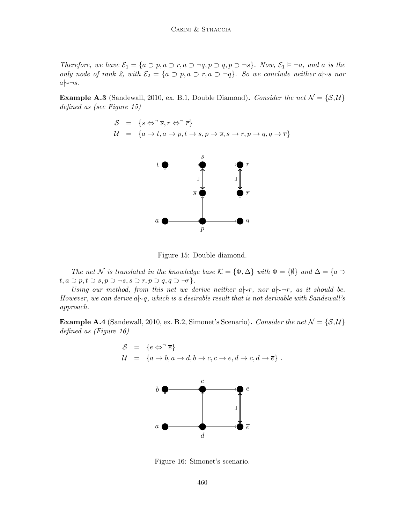Therefore, we have  $\mathcal{E}_1 = \{a \supset p, a \supset r, a \supset \neg q, p \supset q, p \supset \neg s\}$ . Now,  $\mathcal{E}_1 \models \neg a$ , and a is the only node of rank 2, with  $\mathcal{E}_2 = \{a \supset p, a \supset r, a \supset \neg q\}$ . So we conclude neither a $\sim s$  nor  $a$   $\sim \neg s$ .

**Example A.3** (Sandewall, 2010, ex. B.1, Double Diamond). Consider the net  $\mathcal{N} = \{S, \mathcal{U}\}\$ defined as (see Figure 15)

$$
S = \{s \Leftrightarrow \overline{s}, r \Leftrightarrow \overline{r}\}
$$
  

$$
U = \{a \rightarrow t, a \rightarrow p, t \rightarrow s, p \rightarrow \overline{s}, s \rightarrow r, p \rightarrow q, q \rightarrow \overline{r}\}
$$



Figure 15: Double diamond.

The net N is translated in the knowledge base  $\mathcal{K} = {\Phi, \Delta}$  with  $\Phi = {\emptyset}$  and  $\Delta = {\{a \Delta\}}$  $t, a \supset p, t \supset s, p \supset \neg s, s \supset r, p \supset q, q \supset \neg r$ .

Using our method, from this net we derive neither  $a \rightarrow r$ , nor  $a \rightarrow r$ , as it should be. However, we can derive a $\vdash q$ , which is a desirable result that is not derivable with Sandewall's approach.

**Example A.4** (Sandewall, 2010, ex. B.2, Simonet's Scenario). Consider the net  $\mathcal{N} = \{S, \mathcal{U}\}\$ defined as (Figure 16)





Figure 16: Simonet's scenario.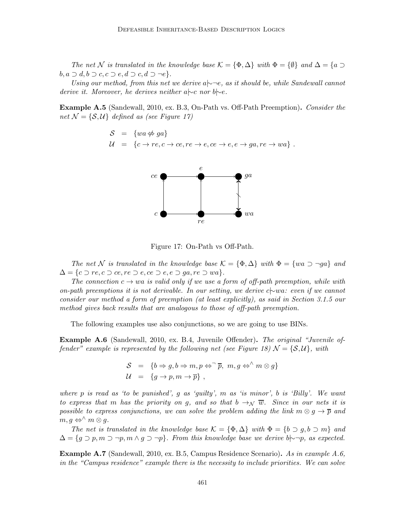The net N is translated in the knowledge base  $\mathcal{K} = {\Phi, \Delta}$  with  $\Phi = {\emptyset}$  and  $\Delta = {\emptyset}$  $b, a \supset d, b \supset c, c \supset e, d \supset c, d \supset \neg e$ .

Using our method, from this net we derive a $\sim$ −e, as it should be, while Sandewall cannot derive it. Moreover, he derives neither a|∼c nor b|∼e.

Example A.5 (Sandewall, 2010, ex. B.3, On-Path vs. Off-Path Preemption). Consider the net  $\mathcal{N} = \{S, \mathcal{U}\}\$  defined as (see Figure 17)

$$
S = \{wa \nleftrightarrow ga\}
$$
  

$$
U = \{c \rightarrow re, c \rightarrow ce, re \rightarrow e, ce \rightarrow e, e \rightarrow ga, re \rightarrow wa\}.
$$



Figure 17: On-Path vs Off-Path.

The net N is translated in the knowledge base  $\mathcal{K} = {\Phi, \Delta}$  with  $\Phi = \{wa \supset \neg ga\}$  and  $\Delta = \{c \supset re, c \supset ce, re \supset e, ce \supset ee, re \supset ga, re \supset wa\}.$ 

The connection  $c \to w\bar{a}$  is valid only if we use a form of off-path preemption, while with on-path preemptions it is not derivable. In our setting, we derive c|∼wa: even if we cannot consider our method a form of preemption (at least explicitly), as said in Section 3.1.5 our method gives back results that are analogous to those of off-path preemption.

The following examples use also conjunctions, so we are going to use BINs.

**Example A.6** (Sandewall, 2010, ex. B.4, Juvenile Offender). The original "Juvenile offender" example is represented by the following net (see Figure 18)  $\mathcal{N} = \{S, \mathcal{U}\}\text{, with }$ 

$$
S = \{b \Rightarrow g, b \Rightarrow m, p \Leftrightarrow^{\neg} \overline{p}, m, g \Leftrightarrow^{\wedge} m \otimes g\}
$$
  

$$
U = \{g \rightarrow p, m \rightarrow \overline{p}\},
$$

where p is read as 'to be punished', q as 'quilty', m as 'is minor', b is 'Billy'. We want to express that m has the priority on g, and so that  $b \rightarrow \sqrt{w}$ . Since in our nets it is possible to express conjunctions, we can solve the problem adding the link  $m \otimes g \to \overline{p}$  and  $m, g \Leftrightarrow^{\wedge} m \otimes g.$ 

The net is translated in the knowledge base  $\mathcal{K} = {\Phi, \Delta}$  with  $\Phi = {\phi \supset q, b \supset m}$  and  $\Delta = \{q \supset p, m \supset \neg p, m \wedge q \supset \neg p\}.$  From this knowledge base we derive b $\sim \neg p$ , as expected.

Example A.7 (Sandewall, 2010, ex. B.5, Campus Residence Scenario). As in example A.6, in the "Campus residence" example there is the necessity to include priorities. We can solve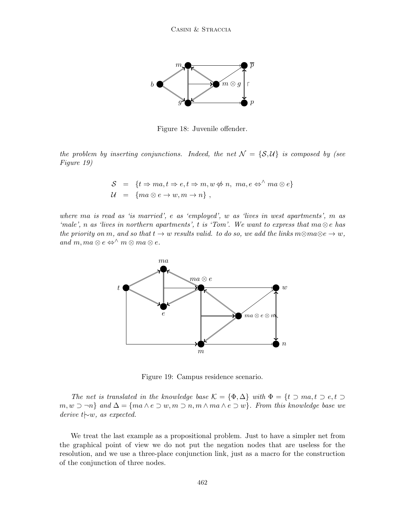

Figure 18: Juvenile offender.

the problem by inserting conjunctions. Indeed, the net  $\mathcal{N} = \{S, \mathcal{U}\}\$ is composed by (see Figure 19)

$$
S = \{t \Rightarrow ma, t \Rightarrow e, t \Rightarrow m, w \notin n, ma, e \Leftrightarrow^{\wedge} ma \otimes e\}
$$
  

$$
U = \{ma \otimes e \rightarrow w, m \rightarrow n\},
$$

where ma is read as 'is married', e as 'employed', w as 'lives in west apartments', m as 'male', n as 'lives in northern apartments', t is 'Tom'. We want to express that  $ma \otimes e$  has the priority on m, and so that  $t \to w$  results valid. to do so, we add the links  $m \otimes m \otimes e \to w$ , and m, ma  $\otimes e \Leftrightarrow^{\wedge} m \otimes ma \otimes e$ .



Figure 19: Campus residence scenario.

The net is translated in the knowledge base  $\mathcal{K} = {\Phi, \Delta}$  with  $\Phi = {\mathcal{U} \supset m\mathfrak{a}, \mathfrak{t} \supset e, \mathfrak{t} \supset \mathfrak{c}}$  $m, w \supset \neg n$  and  $\Delta = \{ma \wedge e \supset w, m \supset n, m \wedge ma \wedge e \supset w\}$ . From this knowledge base we derive t|∼w, as expected.

We treat the last example as a propositional problem. Just to have a simpler net from the graphical point of view we do not put the negation nodes that are useless for the resolution, and we use a three-place conjunction link, just as a macro for the construction of the conjunction of three nodes.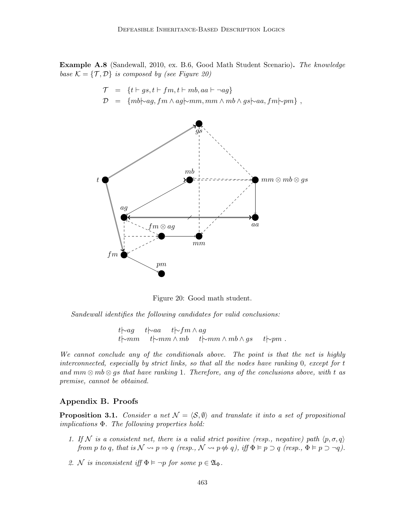Example A.8 (Sandewall, 2010, ex. B.6, Good Math Student Scenario). The knowledge base  $\mathcal{K} = \{ \mathcal{T}, \mathcal{D} \}$  is composed by (see Figure 20)

> $\mathcal{T} = \{t \vdash gs, t \vdash fm, t \vdash mb, aa \vdash \neg ag\}$  $\mathcal{D} = \{mb\} \sim q, fm \wedge aq \sim mm, mm \wedge mb \wedge qs \sim aa, fm \sim pm \}$ ,



Figure 20: Good math student.

Sandewall identifies the following candidates for valid conclusions:

t|∼ag t|∼aa t|∼fm ∧ ag t $\downarrow \sim$ mm t $\downarrow \sim$ mm ∧ mb  $t$  $\sim$ mm ∧ mb ∧ gs t $\downarrow \sim$ pm.

We cannot conclude any of the conditionals above. The point is that the net is highly interconnected, especially by strict links, so that all the nodes have ranking 0, except for t and  $mm \otimes mb \otimes gs$  that have ranking 1. Therefore, any of the conclusions above, with t as premise, cannot be obtained.

# Appendix B. Proofs

**Proposition 3.1.** Consider a net  $\mathcal{N} = \langle \mathcal{S}, \emptyset \rangle$  and translate it into a set of propositional implications Φ. The following properties hold:

- 1. If N is a consistent net, there is a valid strict positive (resp., negative) path  $\langle p, \sigma, q \rangle$ from p to q, that is  $\mathcal{N} \rightsquigarrow p \Rightarrow q$  (resp.,  $\mathcal{N} \rightsquigarrow p \Leftrightarrow q$ ), iff  $\Phi \models p \supset q$  (resp.,  $\Phi \models p \supset \neg q$ ).
- 2. N is inconsistent iff  $\Phi \models \neg p$  for some  $p \in \mathfrak{A}_{\Phi}$ .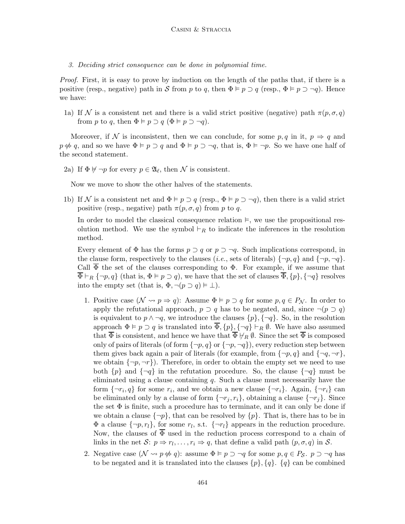3. Deciding strict consequence can be done in polynomial time.

Proof. First, it is easy to prove by induction on the length of the paths that, if there is a positive (resp., negative) path in S from p to q, then  $\Phi \models p \supset q$  (resp.,  $\Phi \models p \supset \neg q$ ). Hence we have:

1a) If N is a consistent net and there is a valid strict positive (negative) path  $\pi(p,\sigma,q)$ from p to q, then  $\Phi \models p \supset q$   $(\Phi \models p \supset \neg q)$ .

Moreover, if N is inconsistent, then we can conclude, for some  $p, q$  in it,  $p \Rightarrow q$  and  $p \not\leftrightarrow q$ , and so we have  $\Phi \models p \supset q$  and  $\Phi \models p \supset \neg q$ , that is,  $\Phi \models \neg p$ . So we have one half of the second statement.

2a) If  $\Phi \not\models \neg p$  for every  $p \in \mathfrak{A}_{\ell}$ , then  $\mathcal N$  is consistent.

Now we move to show the other halves of the statements.

1b) If N is a consistent net and  $\Phi \models p \supset q$  (resp.,  $\Phi \models p \supset \neg q$ ), then there is a valid strict positive (resp., negative) path  $\pi(p, \sigma, q)$  from p to q.

In order to model the classical consequence relation  $\vDash$ , we use the propositional resolution method. We use the symbol  $\vdash_R$  to indicate the inferences in the resolution method.

Every element of  $\Phi$  has the forms  $p \supset q$  or  $p \supset \neg q$ . Such implications correspond, in the clause form, respectively to the clauses (*i.e.*, sets of literals)  $\{\neg p, q\}$  and  $\{\neg p, \neg q\}$ . Call  $\overline{\Phi}$  the set of the clauses corresponding to  $\Phi$ . For example, if we assume that  $\overline{\Phi} \vdash_R \{\neg p, q\}$  (that is,  $\Phi \vDash p \supset q$ ), we have that the set of clauses  $\overline{\Phi}$ ,  $\{p\}$ ,  $\{\neg q\}$  resolves into the empty set (that is,  $\Phi, \neg(p \supset q) \models \bot$ ).

- 1. Positive case  $(\mathcal{N} \rightsquigarrow p \Rightarrow q)$ : Assume  $\Phi \models p \supset q$  for some  $p, q \in P_{\mathcal{N}}$ . In order to apply the refutational approach,  $p \supset q$  has to be negated, and, since  $\neg (p \supset q)$ is equivalent to  $p \wedge \neg q$ , we introduce the clauses  $\{p\}, \{\neg q\}$ . So, in the resolution approach  $\Phi \models p \supset q$  is translated into  $\overline{\Phi}, \{p\}, \{\neg q\} \vdash_R \emptyset$ . We have also assumed that  $\overline{\Phi}$  is consistent, and hence we have that  $\overline{\Phi} \not\models_R \emptyset$ . Since the set  $\overline{\Phi}$  is composed only of pairs of literals (of form  $\{\neg p, q\}$  or  $\{\neg p, \neg q\}$ ), every reduction step between them gives back again a pair of literals (for example, from  $\{\neg p, q\}$  and  $\{\neg q, \neg r\}$ , we obtain  $\{\neg p, \neg r\}$ . Therefore, in order to obtain the empty set we need to use both  $\{p\}$  and  $\{\neg q\}$  in the refutation procedure. So, the clause  $\{\neg q\}$  must be eliminated using a clause containing  $q$ . Such a clause must necessarily have the form  $\{\neg r_i, q\}$  for some  $r_i$ , and we obtain a new clause  $\{\neg r_i\}$ . Again,  $\{\neg r_i\}$  can be eliminated only by a clause of form  $\{\neg r_i, r_i\}$ , obtaining a clause  $\{\neg r_i\}$ . Since the set  $\Phi$  is finite, such a procedure has to terminate, and it can only be done if we obtain a clause  $\{\neg p\}$ , that can be resolved by  $\{p\}$ . That is, there has to be in  $\Phi$  a clause  $\{\neg p, r_l\}$ , for some  $r_l$ , s.t.  $\{\neg r_l\}$  appears in the reduction procedure. Now, the clauses of  $\overline{\Phi}$  used in the reduction process correspond to a chain of links in the net  $S: p \Rightarrow r_l, \ldots, r_i \Rightarrow q$ , that define a valid path  $(p, \sigma, q)$  in S.
- 2. Negative case  $(\mathcal{N} \rightsquigarrow p \notin q)$ : assume  $\Phi \models p \supset \neg q$  for some  $p, q \in P_S$ .  $p \supset \neg q$  has to be negated and it is translated into the clauses  $\{p\}, \{q\}$ .  $\{q\}$  can be combined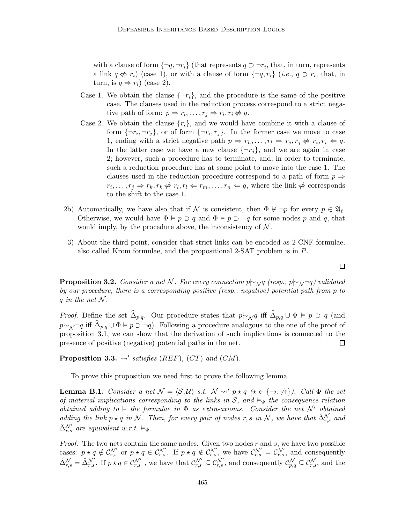with a clause of form  $\{\neg q, \neg r_i\}$  (that represents  $q \supset \neg r_i$ , that, in turn, represents a link  $q \notin r_i$ ) (case 1), or with a clause of form  $\{\neg q, r_i\}$  (*i.e.*,  $q \supset r_i$ , that, in turn, is  $q \Rightarrow r_i$ ) (case 2).

- Case 1. We obtain the clause  $\{\neg r_i\}$ , and the procedure is the same of the positive case. The clauses used in the reduction process correspond to a strict negative path of form:  $p \Rightarrow r_l, \ldots, r_j \Rightarrow r_i, r_i \not\Leftrightarrow q$ .
- Case 2. We obtain the clause  $\{r_i\}$ , and we would have combine it with a clause of form  $\{\neg r_i, \neg r_j\}$ , or of form  $\{\neg r_i, r_j\}$ . In the former case we move to case 1, ending with a strict negative path  $p \Rightarrow r_h, \ldots, r_l \Rightarrow r_j, r_j \nleftrightarrow r_i, r_i \Leftarrow q$ . In the latter case we have a new clause  $\{\neg r_j\}$ , and we are again in case 2; however, such a procedure has to terminate, and, in order to terminate, such a reduction procedure has at some point to move into the case 1. The clauses used in the reduction procedure correspond to a path of form  $p \Rightarrow$  $r_i, \ldots, r_j \Rightarrow r_k, r_k \not\Leftrightarrow r_l, r_l \Leftarrow r_m, \ldots, r_n \Leftarrow q$ , where the link  $\not\Leftrightarrow$  corresponds to the shift to the case 1.
- 2b) Automatically, we have also that if N is consistent, then  $\Phi \not\models \neg p$  for every  $p \in \mathfrak{A}_{\ell}$ . Otherwise, we would have  $\Phi \models p \supset q$  and  $\Phi \models p \supset \neg q$  for some nodes p and q, that would imply, by the procedure above, the inconsistency of  $\mathcal N$ .
- 3) About the third point, consider that strict links can be encoded as 2-CNF formulae, also called Krom formulae, and the propositional 2-SAT problem is in P.

**Proposition 3.2.** Consider a net N. For every connection p $\vdash_{\mathcal{N}} q$  (resp., p $\vdash_{\mathcal{N}} \neg q$ ) validated by our procedure, there is a corresponding positive (resp., negative) potential path from p to q in the net  $\mathcal N$ .

*Proof.* Define the set  $\widehat{\Delta}_{p,q}$ . Our procedure states that  $p|∼_{\mathcal{N}}q$  iff  $\widehat{\Delta}_{p,q} \cup \Phi \models p \supset q$  (and  $p\mid \negthinspace \sim_{\mathcal{N}} \neg q$  iff  $\Delta_{p,q} \cup \Phi \models p \supset \neg q$ . Following a procedure analogous to the one of the proof of proposition 3.1, we can show that the derivation of such implications is connected to the presence of positive (negative) potential paths in the net. 囗

Proposition 3.3.  $\rightsquigarrow'$  satisfies (REF), (CT) and (CM).

To prove this proposition we need first to prove the following lemma.

**Lemma B.1.** Consider a net  $\mathcal{N} = \langle \mathcal{S}, \mathcal{U} \rangle$  s.t.  $\mathcal{N} \leadsto p \star q \ (\star \in \{\to, \to\})$ . Call  $\Phi$  the set of material implications corresponding to the links in  $S$ , and  $\models_{\Phi}$  the consequence relation obtained adding to  $\models$  the formulae in  $\Phi$  as extra-axioms. Consider the net N' obtained adding the link  $p \star q$  in N. Then, for every pair of nodes r, s in N, we have that  $\hat{\Delta}_{r,s}^{N}$  and  $\hat{\Delta}_{r,s}^{\mathcal{N}'}$  are equivalent w.r.t.  $\vDash_{\Phi}$ .

*Proof.* The two nets contain the same nodes. Given two nodes  $r$  and  $s$ , we have two possible cases:  $p \star q \notin C_{r,s}^{\mathcal{N}'}$  or  $p \star q \in C_{r,s}^{\mathcal{N}'}$ . If  $p \star q \notin C_{r,s}^{\mathcal{N}'}$ , we have  $C_{r,s}^{\mathcal{N}'} = C_{r,s}^{\mathcal{N}'}$ , and consequently  $\hat{\Delta}_{r,s}^{\mathcal{N}} = \hat{\Delta}_{r,s}^{\mathcal{N}'}$ . If  $p \star q \in \mathcal{C}_{r,s}^{\mathcal{N}'}$ , we have that  $\mathcal{C}_{r,s}^{\mathcal{N}'} \subseteq \mathcal{C}_{r,s}^{\mathcal{N}'},$  and consequently  $\mathcal{C}_{p,q}^{\mathcal{N}} \subseteq \mathcal{C}_{r,s}^{\mathcal{N}},$  and the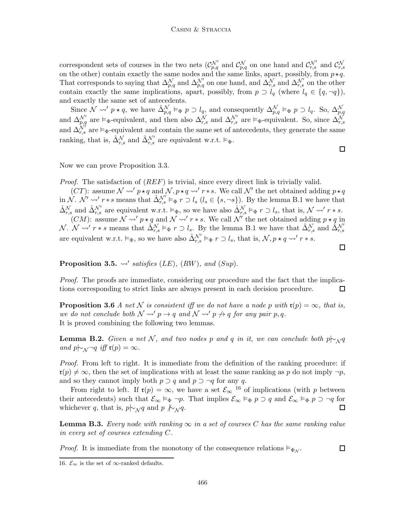correspondent sets of courses in the two nets  $(\mathcal{C}_{p,q}^{\mathcal{N}'}$  and  $\mathcal{C}_{p,q}^{\mathcal{N}}$  on one hand and  $\mathcal{C}_{r,s}^{\mathcal{N}'}$  and  $\mathcal{C}_{r,s}^{\mathcal{N}}$ on the other) contain exactly the same nodes and the same links, apart, possibly, from  $p \star q$ . That corresponds to saying that  $\Delta_{p,q}^{\mathcal{N}}$  and  $\Delta_{p,q}^{\mathcal{N}'}$  on one hand, and  $\Delta_{r,s}^{\mathcal{N}}$  and  $\Delta_{r,s}^{\mathcal{N}'}$  on the other contain exactly the same implications, apart, possibly, from  $p \supset l_q$  (where  $l_q \in \{q, \neg q\}$ ), and exactly the same set of antecedents.

Since  $\mathcal{N} \rightsquigarrow' p \star q$ , we have  $\hat{\Delta}_{p,q}^{\mathcal{N}} \vDash_{\Phi} p \supset l_q$ , and consequently  $\Delta_{p,q}^{\mathcal{N}} \vDash_{\Phi} p \supset l_q$ . So,  $\Delta_{p,q}^{\mathcal{N}}$ <br>and  $\Delta_{p,q}^{\mathcal{N}'}$  are  $\vDash_{\Phi}$ -equivalent, and then also  $\Delta_{r,s}^{\mathcal{N}}$  and  $\Delta_{r,s}^$ ranking, that is,  $\hat{\Delta}_{r,s}^{\mathcal{N}}$  and  $\hat{\Delta}_{r,s}^{\mathcal{N}'}$  are equivalent w.r.t.  $\vDash_{\Phi}$ .

Now we can prove Proposition 3.3.

*Proof.* The satisfaction of  $(REF)$  is trivial, since every direct link is trivially valid.

(CT): assume  $\mathcal{N} \rightsquigarrow' p \star q$  and  $\mathcal{N}, p \star q \rightsquigarrow' r * s$ . We call  $\mathcal{N}'$  the net obtained adding  $p \star q$ in  $\mathcal{N}$ .  $\mathcal{N}' \rightsquigarrow' r * s$  means that  $\mathcal{N}'_{r,s} \vDash_{\Phi} r \supset l_s$   $(l_s \in \{s, \neg s\})$ . By the lemma B.1 we have that  $\hat{\Delta}_{r,s}^{\mathcal{N}}$  and  $\hat{\Delta}_{r,s}^{\mathcal{N}'}$  are equivalent w.r.t.  $\vDash_{\Phi}$ , so we have also  $\hat{\Delta}_{r,s}^{\mathcal{N}} \vDash_{\Phi} r \supset l_s$ , that is,  $\mathcal{N} \rightsquigarrow' r * s$ .  $(CM)$ : assume  $\mathcal{N} \rightsquigarrow' p \star q$  and  $\mathcal{N} \rightsquigarrow' r * s$ . We call  $\mathcal{N}'$  the net obtained adding  $p \star q$  in N.  $\mathcal{N} \rightsquigarrow' r * s$  means that  $\hat{\Delta}_{r,s}^{\mathcal{N}} \vDash_{\Phi} r \supset l_s$ . By the lemma B.1 we have that  $\hat{\Delta}_{r,s}^{\mathcal{N}}$  and  $\hat{\Delta}_{r,s}^{\mathcal{N}'}$ are equivalent w.r.t.  $\vDash_{\Phi}$ , so we have also  $\hat{\Delta}_{r,s}^{\mathcal{N}'} \vDash_{\Phi} r \supset l_s$ , that is,  $\mathcal{N}, p \star q \leadsto' r * s$ .

Proposition 3.5.  $\rightsquigarrow$ ' satisfies (LE), (RW), and (Sup).

Proof. The proofs are immediate, considering our procedure and the fact that the implications corresponding to strict links are always present in each decision procedure. 口

**Proposition 3.6** A net N is consistent iff we do not have a node p with  $\mathfrak{r}(p) = \infty$ , that is, we do not conclude both  $\mathcal{N} \rightsquigarrow' p \rightarrow q$  and  $\mathcal{N} \rightsquigarrow' p \not\rightarrow q$  for any pair p, q. It is proved combining the following two lemmas.

**Lemma B.2.** Given a net N, and two nodes p and q in it, we can conclude both  $p \vdash_N q$ and  $p\sim_{\mathcal{N}}\neg q$  iff  $\mathfrak{r}(p)=\infty$ .

Proof. From left to right. It is immediate from the definition of the ranking procedure: if  $\mathfrak{r}(p) \neq \infty$ , then the set of implications with at least the same ranking as p do not imply  $\neg p$ , and so they cannot imply both  $p \supset q$  and  $p \supset \neg q$  for any q.

From right to left. If  $\mathfrak{r}(p) = \infty$ , we have a set  $\mathcal{E}_{\infty}$  <sup>16</sup> of implications (with p between their antecedents) such that  $\mathcal{E}_{\infty} \models_{\Phi} \neg p$ . That implies  $\mathcal{E}_{\infty} \models_{\Phi} p \supset q$  and  $\mathcal{E}_{\infty} \models_{\Phi} p \supset \neg q$  for whichever q, that is,  $p \nightharpoonup_{\mathcal{N}} q$  and  $p \nightharpoonup_{\mathcal{N}} q$ .  $\Box$ 

**Lemma B.3.** Every node with ranking  $\infty$  in a set of courses C has the same ranking value in every set of courses extending C.

*Proof.* It is immediate from the monotony of the consequence relations  $\models_{\Phi_{\mathcal{N}}}$ .

 $\Box$ 

 $\Box$ 

<sup>16.</sup>  $\mathcal{E}_{\infty}$  is the set of ∞-ranked defaults.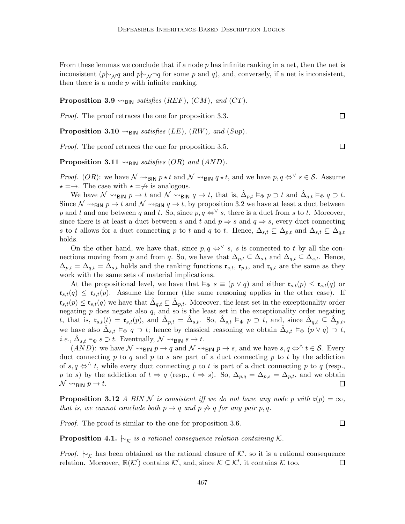From these lemmas we conclude that if a node  $p$  has infinite ranking in a net, then the net is inconsistent (p $\sim_{\mathcal{N}} q$  and p $\sim_{\mathcal{N}} \neg q$  for some p and q), and, conversely, if a net is inconsistent, then there is a node  $p$  with infinite ranking.

**Proposition 3.9**  $\rightsquigarrow$ <sub>BIN</sub> satisfies (REF), (CM), and (CT).

Proof. The proof retraces the one for proposition 3.3.

**Proposition 3.10**  $\rightsquigarrow$ <sub>BIN</sub> satisfies (LE), (RW), and (Sup).

Proof. The proof retraces the one for proposition 3.5.

**Proposition 3.11**  $\rightsquigarrow_{\text{BIN}}$  satisfies (OR) and (AND).

*Proof.* (*OR*): we have  $\mathcal{N} \rightarrow$ BIN  $p \star t$  and  $\mathcal{N} \rightarrow$ BIN  $q \star t$ , and we have  $p, q \Leftrightarrow^{\vee} s \in \mathcal{S}$ . Assume  $\star = \rightarrow$ . The case with  $\star = \rightarrow$  is analogous.

We have  $\mathcal{N} \rightarrow_{\mathsf{BIN}} p \rightarrow t$  and  $\mathcal{N} \rightarrow_{\mathsf{BIN}} q \rightarrow t$ , that is,  $\hat{\Delta}_{p,t} \models_{\Phi} p \supset t$  and  $\hat{\Delta}_{q,t} \models_{\Phi} q \supset t$ . Since  $\mathcal{N} \rightarrow$  BIN  $p \rightarrow t$  and  $\mathcal{N} \rightarrow$  BIN  $q \rightarrow t$ , by proposition 3.2 we have at least a duct between p and t and one between q and t. So, since  $p, q \Leftrightarrow^{\vee} s$ , there is a duct from s to t. Moreover, since there is at least a duct between s and t and  $p \Rightarrow s$  and  $q \Rightarrow s$ , every duct connecting s to t allows for a duct connecting p to t and q to t. Hence,  $\Delta_{s,t} \subseteq \Delta_{p,t}$  and  $\Delta_{s,t} \subseteq \Delta_{q,t}$ holds.

On the other hand, we have that, since  $p, q \Leftrightarrow^{\vee} s$ , s is connected to t by all the connections moving from p and from q. So, we have that  $\Delta_{p,t} \subseteq \Delta_{s,t}$  and  $\Delta_{q,t} \subseteq \Delta_{s,t}$ . Hence,  $\Delta_{p,t} = \Delta_{q,t} = \Delta_{s,t}$  holds and the ranking functions  $\mathfrak{r}_{s,t}$ ,  $\mathfrak{r}_{p,t}$ , and  $\mathfrak{r}_{q,t}$  are the same as they work with the same sets of material implications.

At the propositional level, we have that  $\vDash_{\Phi} s \equiv (p \lor q)$  and either  $\mathfrak{r}_{s,t}(p) \leq \mathfrak{r}_{s,t}(q)$  or  $\mathfrak{r}_{s,t}(q) \leq \mathfrak{r}_{s,t}(p)$ . Assume the former (the same reasoning applies in the other case). If  $\mathfrak{r}_{s,t}(p) \leq \mathfrak{r}_{s,t}(q)$  we have that  $\hat{\Delta}_{q,t} \subseteq \hat{\Delta}_{p,t}$ . Moreover, the least set in the exceptionality order negating  $p$  does negate also  $q$ , and so is the least set in the exceptionality order negating t, that is,  $\mathfrak{r}_{s,t}(t) = \mathfrak{r}_{s,t}(p)$ , and  $\hat{\Delta}_{p,t} = \hat{\Delta}_{s,t}$ . So,  $\hat{\Delta}_{s,t} \models_{\Phi} p \supset t$ , and, since  $\hat{\Delta}_{q,t} \subseteq \hat{\Delta}_{p,t}$ , we have also  $\hat{\Delta}_{s,t} \models_{\Phi} q \supset t$ ; hence by classical reasoning we obtain  $\hat{\Delta}_{s,t} \models_{\Phi} (p \vee q) \supset t$ , *i.e.*,  $\hat{\Delta}_{s,t} \vDash_{\Phi} s \supset t$ . Eventually,  $\mathcal{N} \rightsquigarrow_{\text{BIN}} s \rightarrow t$ .

 $(AND)$ : we have  $\mathcal N \rightarrow_{\bf BIN} p \rightarrow q$  and  $\mathcal N \rightarrow_{\bf BIN} p \rightarrow s$ , and we have  $s, q \Leftrightarrow^{\wedge} t \in \mathcal S$ . Every duct connecting p to q and p to s are part of a duct connecting p to t by the addiction of s, q  $\Leftrightarrow$  t, while every duct connecting p to t is part of a duct connecting p to q (resp., p to s) by the addiction of  $t \Rightarrow q$  (resp.,  $t \Rightarrow s$ ). So,  $\Delta_{p,q} = \Delta_{p,s} = \Delta_{p,t}$ , and we obtain  $\mathcal{N} \rightsquigarrow_{\text{RIN}} p \rightarrow t.$ □

**Proposition 3.12** A BIN N is consistent iff we do not have any node p with  $\mathfrak{r}(p) = \infty$ , that is, we cannot conclude both  $p \rightarrow q$  and  $p \not\rightarrow q$  for any pair p, q.

Proof. The proof is similar to the one for proposition 3.6.

 $\Box$ 

**Proposition 4.1.**  $\vdash_{\mathcal{K}}$  is a rational consequence relation containing K.

*Proof.*  $\vdash_{\mathcal{K}}$  has been obtained as the rational closure of  $\mathcal{K}'$ , so it is a rational consequence relation. Moreover,  $\mathbb{R}(\mathcal{K}')$  contains  $\mathcal{K}'$ , and, since  $\mathcal{K} \subseteq \mathcal{K}'$ , it contains  $\mathcal{K}$  too.  $\Box$ 

 $\Box$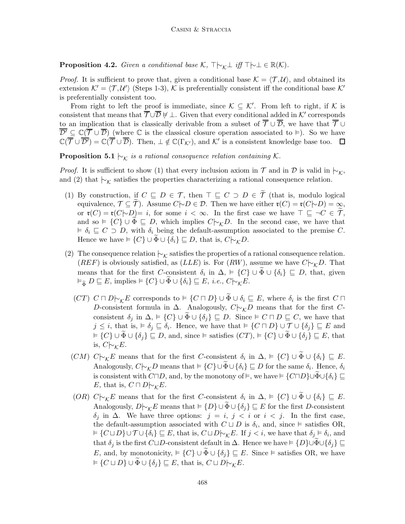**Proposition 4.2.** Given a conditional base K,  $\top \vdash_k \bot$  iff  $\top \vdash \bot \in \mathbb{R}(K)$ .

*Proof.* It is sufficient to prove that, given a conditional base  $\mathcal{K} = \langle \mathcal{T}, \mathcal{U} \rangle$ , and obtained its extension  $\mathcal{K}' = \langle \mathcal{T}, \mathcal{U}' \rangle$  (Steps 1-3), K is preferentially consistent iff the conditional base  $\mathcal{K}'$ is preferentially consistent too.

From right to left the proof is immediate, since  $\mathcal{K} \subseteq \mathcal{K}'$ . From left to right, if  $\mathcal K$  is consistent that means that  $\overline{\mathcal{T}} \cup \overline{\mathcal{D}} \not\vdash \bot$ . Given that every conditional added in K' corresponds to an implication that is classically derivable from a subset of  $\overline{\mathcal{T}} \cup \overline{\mathcal{D}}$ , we have that  $\overline{\mathcal{T}} \cup$  $\overline{\mathcal{D}'} \subseteq \mathbb{C}(\overline{\mathcal{T}} \cup \overline{\mathcal{D}})$  (where  $\mathbb C$  is the classical closure operation associated to  $\models$ ). So we have  $\mathbb{C}(\overline{\mathcal{T}} \cup \overline{\mathcal{D}'}) = \mathbb{C}(\overline{\mathcal{T}} \cup \overline{\mathcal{D}})$ . Then,  $\bot \notin \mathbb{C}(\Gamma_{\mathcal{K}'})$ , and  $\mathcal{K}'$  is a consistent knowledge base too.

**Proposition 5.1**  $\vdash_{\mathcal{K}}$  is a rational consequence relation containing K.

*Proof.* It is sufficient to show (1) that every inclusion axiom in  $\mathcal T$  and in  $\mathcal D$  is valid in  $\vdash_{\mathcal K}$ , and (2) that  $\vdash_{\mathcal{K}}$  satisfies the properties characterizing a rational consequence relation.

- (1) By construction, if  $C \subseteq D \in \mathcal{T}$ , then  $\top \subseteq C \supset D \in \tilde{\mathcal{T}}$  (that is, modulo logical equivalence,  $\mathcal{T} \subseteq \widetilde{\mathcal{T}}$ ). Assume  $C \rightarrow D \in \mathcal{D}$ . Then we have either  $\mathfrak{r}(C) = \mathfrak{r}(C \rightarrow D) = \infty$ , or  $\mathfrak{r}(C) = \mathfrak{r}(C|\sim D) = i$ , for some  $i < \infty$ . In the first case we have  $\top \sqsubseteq \neg C \in \widetilde{\mathcal{T}}$ , and so  $\models \{C\} \cup \Phi \sqsubseteq D$ , which implies  $C\rightarrow_{\mathcal{K}} D$ . In the second case, we have that  $\vdash \delta_i \sqsubseteq C \supset D$ , with  $\delta_i$  being the default-assumption associated to the premise C. Hence we have  $\models \{C\} \cup \Phi \cup \{\delta_i\} \sqsubseteq D$ , that is,  $C\vert \sim_{\mathcal{K}} D$ .
- (2) The consequence relation  $\vdash_{\mathcal{K}}$  satisfies the properties of a rational consequence relation. (REF) is obviously satisfied, as (LLE) is. For (RW), assume we have  $C\sim_{\mathcal{K}}D$ . That means that for the first C-consistent  $\delta_i$  in  $\Delta$ ,  $\models \{C\} \cup \widetilde{\Phi} \cup \{\delta_i\} \sqsubseteq D$ , that, given  $\vDash_{\widetilde{\Phi}} D \sqsubseteq E, \text{ implies } \vDash \{C\} \cup \widetilde{\Phi} \cup \{\delta_i\} \sqsubseteq E, \ i.e., \ C \big\vert \negthickspace\downarrow_{\mathcal{K}} E.$ 
	- $(CT)$   $C \sqcap D \vdash_{\mathcal{K}} E$  corresponds to  $\models \{C \sqcap D\} \cup \widetilde{\Phi} \cup \delta_i \sqsubseteq E$ , where  $\delta_i$  is the first  $C \sqcap$ D-consistent formula in  $\Delta$ . Analogously,  $C\sim_{\kappa}D$  means that for the first Cconsistent  $\delta_j$  in  $\Delta$ ,  $\models \{C\} \cup \widetilde{\Phi} \cup \{\delta_j\} \sqsubseteq D$ . Since  $\models C \sqcap D \sqsubseteq C$ , we have that  $j \leq i$ , that is,  $\dashv \delta_j \sqsubseteq \delta_i$ . Hence, we have that  $\dashv \{C \sqcap D\} \cup \mathcal{T} \cup \{\delta_j\} \sqsubseteq E$  and  $\mathcal{F}\in\{C\}\cup\widetilde{\Phi}\cup\{\delta_j\}\sqsubseteq D$ , and, since  $\vDash$  satisfies  $(CT)$ ,  $\vDash$   $\{C\}\cup\widetilde{\Phi}\cup\{\delta_j\}\sqsubseteq E$ , that is,  $C\left\sim_{\mathcal{K}}E$ .
	- $(CM) C \vdash_{\mathcal{K}} E$  means that for the first C-consistent  $\delta_i$  in  $\Delta$ ,  $\models \{C\} \cup \tilde{\Phi} \cup \{\delta_i\} \sqsubseteq E$ . Analogously,  $C\sim_{\mathcal{K}} D$  means that  $\models \{C\} \cup \widetilde{\Phi} \cup \{\delta_i\} \sqsubseteq D$  for the same  $\delta_i$ . Hence,  $\delta_i$ is consistent with  $C\Box D$ , and, by the monotony of  $\models$ , we have  $\models$   ${C\Box D}\cup \Phi \cup {\delta_i} \subseteq$ E, that is,  $C \sqcap D \sim_{\mathcal{K}} E$ .
	- (OR)  $C\sim_{\mathcal{K}} E$  means that for the first C-consistent  $\delta_i$  in  $\Delta$ ,  $\models \{C\} \cup \tilde{\Phi} \cup \{\delta_i\} \sqsubseteq E$ . Analogously,  $D\vert \sim_{\mathcal{K}} E$  means that  $\models \{D\} \cup \widetilde{\Phi} \cup \{\delta_j\} \sqsubseteq E$  for the first D-consistent δ<sub>j</sub> in Δ. We have three options:  $j = i$ ,  $j < i$  or  $i < j$ . In the first case, the default-assumption associated with  $C \sqcup D$  is  $\delta_i$ , and, since  $\models$  satisfies OR,  $\forall \in \{C \sqcup D\} \cup \mathcal{T} \cup \{\delta_i\} \sqsubseteq E$ , that is,  $C \sqcup D \vdash_{\mathcal{K}} E$ . If  $j < i$ , we have that  $\delta_j \models \delta_i$ , and that  $\delta_j$  is the first C $\Box D$ -consistent default in  $\Delta$ . Hence we have  $\models \{D\}\cup \Phi\cup \{\delta_j\}\sqsubseteq$ E, and, by monotonicity,  $\models \{C\} \cup \widetilde{\Phi} \cup \{\delta_i\} \sqsubseteq E$ . Since  $\models$  satisfies OR, we have  $\doteqdot \{C \sqcup D\} \cup \widetilde{\Phi} \cup \{\delta_i\} \sqsubseteq E$ , that is,  $C \sqcup D \vert \sim_k E$ .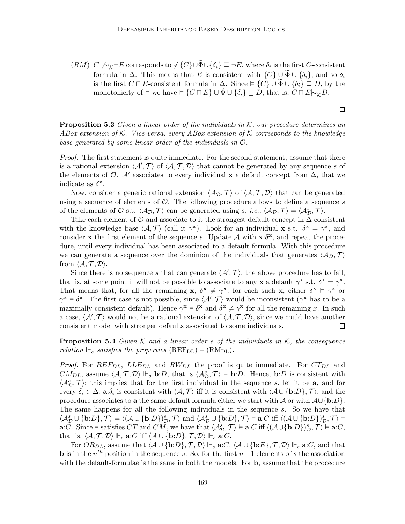$(RM)$   $C \not\sim_{\mathcal{K}} \neg E$  corresponds to  $\not\in \{C\} \cup \widetilde{\Phi} \cup \{\delta_i\} \sqsubseteq \neg E$ , where  $\delta_i$  is the first C-consistent formula in  $\Delta$ . This means that E is consistent with  $\{C\} \cup \widetilde{\Phi} \cup \{\delta_i\}$ , and so  $\delta_i$ is the first  $C \sqcap E$ -consistent formula in  $\Delta$ . Since  $\models \{C\} \cup \widetilde{\Phi} \cup \{\delta_i\} \sqsubseteq D$ , by the monotonicity of  $\vDash$  we have  $\vDash$  { $C \sqcap E$ }  $\cup \Phi \cup \{\delta_i\} \sqsubseteq D$ , that is,  $C \sqcap E \vdash_{\mathcal{K}} D$ .

**Proposition 5.3** Given a linear order of the individuals in  $K$ , our procedure determines an ABox extension of K. Vice-versa, every ABox extension of K corresponds to the knowledge base generated by some linear order of the individuals in O.

Proof. The first statement is quite immediate. For the second statement, assume that there is a rational extension  $\langle A', \mathcal{T} \rangle$  of  $\langle \mathcal{A}, \mathcal{T}, \mathcal{D} \rangle$  that cannot be generated by any sequence s of the elements of  $\mathcal{O}$ . A' associates to every individual x a default concept from  $\Delta$ , that we indicate as  $\delta^{\mathbf{x}}$ .

Now, consider a generic rational extension  $\langle A_{\mathcal{D}}, \mathcal{T} \rangle$  of  $\langle \mathcal{A}, \mathcal{T}, \mathcal{D} \rangle$  that can be generated using a sequence of elements of  $O$ . The following procedure allows to define a sequence s of the elements of  $\mathcal O$  s.t.  $\langle A_{\mathcal D}, \mathcal T \rangle$  can be generated using s, *i.e.*,  $\langle A_{\mathcal D}, \mathcal T \rangle = \langle A_{\mathcal D}^s, \mathcal T \rangle$ .

Take each element of  $\mathcal O$  and associate to it the strongest default concept in  $\Delta$  consistent with the knowledge base  $\langle A, \mathcal{T} \rangle$  (call it  $\gamma^{\mathbf{x}}$ ). Look for an individual **x** s.t.  $\delta^{\mathbf{x}} = \gamma^{\mathbf{x}}$ , and consider x the first element of the sequence s. Update A with  $x:\delta^x$ , and repeat the procedure, until every individual has been associated to a default formula. With this procedure we can generate a sequence over the dominion of the individuals that generates  $\langle A_{\mathcal{D}}, \mathcal{T} \rangle$ from  $\langle A, \mathcal{T}, \mathcal{D} \rangle$ .

Since there is no sequence s that can generate  $\langle \mathcal{A}', \mathcal{T} \rangle$ , the above procedure has to fail, that is, at some point it will not be possible to associate to any x a default  $\gamma^{\mathbf{x}}$  s.t.  $\delta^{\mathbf{x}} = \gamma^{\mathbf{x}}$ . That means that, for all the remaining  $\mathbf{x}, \delta^{\mathbf{x}} \neq \gamma^{\mathbf{x}}$ ; for each such  $\mathbf{x}, \text{ either } \delta^{\mathbf{x}} \models \gamma^{\mathbf{x}}$  or  $\gamma^{\mathbf{x}} \models \delta^{\mathbf{x}}$ . The first case is not possible, since  $\langle \mathcal{A}', \mathcal{T} \rangle$  would be inconsistent  $(\gamma^{\mathbf{x}})$  has to be a maximally consistent default). Hence  $\gamma^* \models \delta^*$  and  $\delta^* \neq \gamma^*$  for all the remaining x. In such a case,  $\langle A', \mathcal{T} \rangle$  would not be a rational extension of  $\langle A, \mathcal{T}, \mathcal{D} \rangle$ , since we could have another consistent model with stronger defaults associated to some individuals.  $\Box$ 

**Proposition 5.4** Given K and a linear order s of the individuals in K, the consequence relation  $\mathbb{F}_s$  satisfies the properties  $(REF_{DL}) - (RM_{DL})$ .

*Proof.* For  $REF_{DL}$ ,  $LLE_{DL}$  and  $RW_{DL}$  the proof is quite immediate. For  $CT_{DL}$  and  $CM_{DL}$ , assume  $\langle A, \mathcal{T}, \mathcal{D} \rangle \Vdash_s \mathbf{b}:D$ , that is  $\langle \mathcal{A}_{\mathcal{D}}^s, \mathcal{T} \rangle \models \mathbf{b}:D$ . Hence,  $\mathbf{b}:D$  is consistent with  $\langle A_{\mathcal{D}}^s, \mathcal{T} \rangle$ ; this implies that for the first individual in the sequence s, let it be a, and for every  $\delta_i \in \Delta$ ,  $\mathbf{a}:\delta_i$  is consistent with  $\langle \mathcal{A}, \mathcal{T} \rangle$  iff it is consistent with  $\langle \mathcal{A} \cup {\mathbf{b}}: D \}$ ,  $\mathcal{T} \rangle$ , and the procedure associates to a the same default formula either we start with  $\mathcal A$  or with  $\mathcal A\cup\{\mathbf b:D\}$ . The same happens for all the following individuals in the sequence s. So we have that  $\langle A_{\mathcal{D}}^{s}\cup\{\mathbf{b}:D\},\mathcal{T}\rangle=\langle (\mathcal{A}\cup\{\mathbf{b}:D\})_{\mathcal{D}}^{s},\mathcal{T}\rangle$  and  $\langle \mathcal{A}_{\mathcal{D}}^{s}\cup\{\mathbf{b}:D\},\mathcal{T}\rangle \vDash \mathbf{a}:C$  iff  $\langle (\mathcal{A}\cup\{\mathbf{b}:D\})_{\mathcal{D}}^{s},\mathcal{T}\rangle \vDash$  $\mathbf{a}: \overline{C}$ . Since  $\vDash$  satisfies  $CT$  and  $CM$ , we have that  $\langle A_{\mathcal{D}}^s, \mathcal{T} \rangle \vDash \mathbf{a}: C$  iff  $\langle (\mathcal{A} \cup {\mathbf{b}:} D) \rangle_{\mathcal{D}}^s, \mathcal{T} \rangle \vDash \mathbf{a}: C$ , that is,  $\langle A, \mathcal{T}, \mathcal{D} \rangle \Vdash_s \mathbf{a}: C \text{ iff } \langle A \cup \{\mathbf{b}:D\}, \mathcal{T}, \mathcal{D} \rangle \Vdash_s \mathbf{a}: C.$ 

For  $OR_{DL}$ , assume that  $\langle A \cup \{ \mathbf{b}: D \}, \mathcal{T}, \mathcal{D} \rangle \Vdash_s \mathbf{a}: C, \langle A \cup \{ \mathbf{b}: E \}, \mathcal{T}, \mathcal{D} \rangle \Vdash_s \mathbf{a}: C$ , and that **b** is in the  $n^{th}$  position in the sequence s. So, for the first  $n-1$  elements of s the association with the default-formulae is the same in both the models. For **b**, assume that the procedure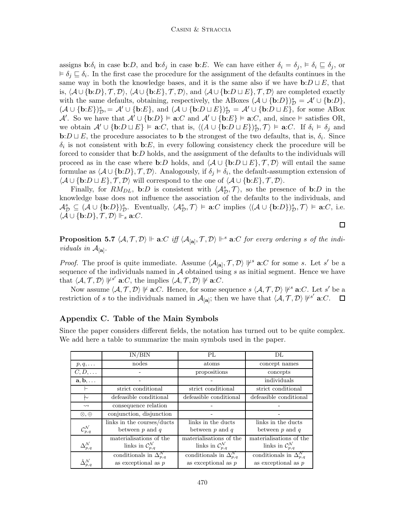assigns **b**: $\delta_i$  in case **b**: $D$ , and **b**: $\delta_j$  in case **b**: $E$ . We can have either  $\delta_i = \delta_j$ ,  $\models \delta_i \sqsubseteq \delta_j$ , or  $\forall \delta_j \sqsubseteq \delta_i$ . In the first case the procedure for the assignment of the defaults continues in the same way in both the knowledge bases, and it is the same also if we have  $\mathbf{b}:D\sqcup E$ , that is,  $\langle A \cup \{b:D\}, \mathcal{T}, \mathcal{D}\rangle$ ,  $\langle A \cup \{b:E\}, \mathcal{T}, \mathcal{D}\rangle$ , and  $\langle A \cup \{b:D\sqcup E\}, \mathcal{T}, \mathcal{D}\rangle$  are completed exactly with the same defaults, obtaining, respectively, the ABoxes  $(\mathcal{A} \cup {\mathbf{b}:D})^s_{\mathcal{D}} = \mathcal{A}' \cup {\mathbf{b}:D}$ ,  $(\mathcal{A} \cup {\mathbf{b}:E})^s_{\mathcal{D}} = \mathcal{A}' \cup {\mathbf{b}:E}$ , and  $(\mathcal{A} \cup {\mathbf{b}:D \sqcup E})^s_{\mathcal{D}} = \mathcal{A}' \cup {\mathbf{b}:D \sqcup E}$ , for some ABox A'. So we have that  $\mathcal{A}' \cup \{ \mathbf{b}:D \} \models \mathbf{a}:C$  and  $\mathcal{A}' \cup \{ \mathbf{b}:E \} \models \mathbf{a}:C$ , and, since  $\models$  satisfies OR, we obtain  $\mathcal{A}' \cup \{\mathbf{b}: D \sqcup E\} \models \mathbf{a}: C$ , that is,  $\langle (A \cup \{\mathbf{b}: D \sqcup E\})^s_D, \mathcal{T} \rangle \models \mathbf{a}: C$ . If  $\delta_i \models \delta_j$  and **b**:D  $\sqcup$  E, the procedure associates to **b** the strongest of the two defaults, that is,  $\delta_i$ . Since  $\delta_i$  is not consistent with b:E, in every following consistency check the procedure will be forced to consider that **b**:D holds, and the assignment of the defaults to the individuals will proceed as in the case where **b**:D holds, and  $\langle A \cup \{b:D \sqcup E\}, \mathcal{T}, \mathcal{D}\rangle$  will entail the same formulae as  $\langle A \cup \{b:D\}, \mathcal{T}, \mathcal{D}\rangle$ . Analogously, if  $\delta_j \models \delta_i$ , the default-assumption extension of  $\langle A \cup \{\mathbf{b}: D \sqcup E\}, \mathcal{T}, \mathcal{D}\rangle$  will correspond to the one of  $\langle A \cup \{\mathbf{b}: E\}, \mathcal{T}, \mathcal{D}\rangle$ .

Finally, for  $RM_{DL}$ , b:D is consistent with  $\langle A_{\mathcal{D}}^s, \mathcal{T} \rangle$ , so the presence of b:D in the knowledge base does not influence the association of the defaults to the individuals, and  $\mathcal{A}_{\mathcal{D}}^{s} \subseteq (\mathcal{A} \cup \{\mathbf{b}:D\})_{\mathcal{D}}^{s}$ . Eventually,  $\langle \mathcal{A}_{\mathcal{D}}^{s}, \mathcal{T} \rangle \models \mathbf{a}:C$  implies  $\langle (\mathcal{A} \cup \{\mathbf{b}:D\})_{\mathcal{D}}^{s}, \mathcal{T} \rangle \models \mathbf{a}:C$ , i.e.  $\langle A \cup \{\mathbf{b}:D\}, \mathcal{T}, \mathcal{D}\rangle \Vdash_s \mathbf{a}:C.$ 

**Proposition 5.7**  $\langle A, \mathcal{T}, \mathcal{D} \rangle \Vdash$  **a**:C iff  $\langle A_{[\mathbf{a}]}, \mathcal{T}, \mathcal{D} \rangle \Vdash^s$  **a**:C for every ordering s of the individuals in  $\mathcal{A}_{[\mathbf{a}]}$ .

*Proof.* The proof is quite immediate. Assume  $\langle A_{\mathbf{[a]}}, \mathcal{T}, \mathcal{D} \rangle \not\vdash^s \mathbf{a}: C$  for some s. Let s' be a sequence of the individuals named in  $A$  obtained using  $s$  as initial segment. Hence we have that  $\langle A, \mathcal{T}, \mathcal{D} \rangle$   $|\nvdash^{s'}$  **a**:*C*, the implies  $\langle A, \mathcal{T}, \mathcal{D} \rangle$   $|\nvdash$  **a**:*C*.

Now assume  $\langle A, \mathcal{T}, \mathcal{D} \rangle \not\vdash a:C$ . Hence, for some sequence  $s \langle A, \mathcal{T}, \mathcal{D} \rangle \not\vdash^s a:C$ . Let s' be a restriction of s to the individuals named in  $\mathcal{A}_{[\mathbf{a}]};$  then we have that  $\langle \mathcal{A}, \mathcal{T}, \mathcal{D} \rangle |\mathcal{V}^{s'}$  a:C.  $\Box$ 

# Appendix C. Table of the Main Symbols

Since the paper considers different fields, the notation has turned out to be quite complex. We add here a table to summarize the main symbols used in the paper.

|                                   | IN/BIN                                                                | PL                                                                    | DL.                                                                   |
|-----------------------------------|-----------------------------------------------------------------------|-----------------------------------------------------------------------|-----------------------------------------------------------------------|
| $p, q, \ldots$                    | nodes                                                                 | atoms                                                                 | concept names                                                         |
| $C, D, \ldots$                    |                                                                       | propositions                                                          | concepts                                                              |
| $\mathbf{a}, \mathbf{b}, \dots$   |                                                                       |                                                                       | individuals                                                           |
|                                   | strict conditional                                                    | strict conditional                                                    | strict conditional                                                    |
| ∼                                 | defeasible conditional                                                | defeasible conditional                                                | defeasible conditional                                                |
| $\rightsquigarrow$                | consequence relation                                                  |                                                                       |                                                                       |
| $\otimes, \oplus$                 | conjunction, disjunction                                              |                                                                       |                                                                       |
| $\mathcal{C}^{\mathcal{N}}_{p,q}$ | links in the courses/ducts<br>between $p$ and $q$                     | links in the ducts<br>between $p$ and $q$                             | links in the ducts<br>between $p$ and $q$                             |
| $\Delta^{\mathcal{N}}_{p,q}$      | materialisations of the<br>links in $\mathcal{C}_{p,q}^{\mathcal{N}}$ | materialisations of the<br>links in $\mathcal{C}_{p,q}^{\mathcal{N}}$ | materialisations of the<br>links in $\mathcal{C}_{p,q}^{\mathcal{N}}$ |
| $\hat{\Delta}^{\mathcal{N}}_{p}$  | conditionals in $\Delta_{p,q}^{\mathcal{N}}$<br>as exceptional as $p$ | conditionals in $\Delta_{p,q}^{\mathcal{N}}$<br>as exceptional as $p$ | conditionals in $\Delta_{p,q}^{\mathcal{N}}$<br>as exceptional as $p$ |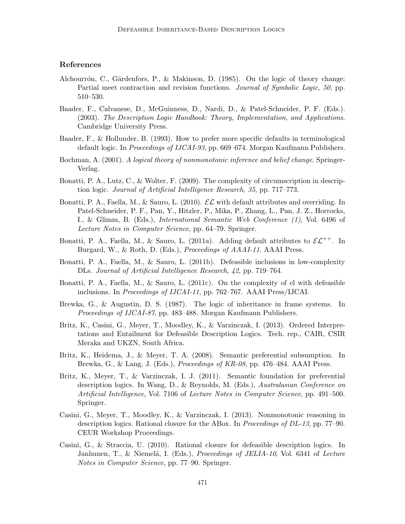# References

- Alchourrón, C., Gärdenfors, P., & Makinson, D. (1985). On the logic of theory change: Partial meet contraction and revision functions. Journal of Symbolic Logic, 50, pp. 510–530.
- Baader, F., Calvanese, D., McGuinness, D., Nardi, D., & Patel-Schneider, P. F. (Eds.). (2003). The Description Logic Handbook: Theory, Implementation, and Applications. Cambridge University Press.
- Baader, F., & Hollunder, B. (1993). How to prefer more specific defaults in terminological default logic. In *Proceedings of IJCAI-93*, pp. 669–674. Morgan Kaufmann Publishers.
- Bochman, A. (2001). A logical theory of nonmonotonic inference and belief change. Springer-Verlag.
- Bonatti, P. A., Lutz, C., & Wolter, F. (2009). The complexity of circumscription in description logic. Journal of Artificial Intelligence Research, 35, pp. 717–773.
- Bonatti, P. A., Faella, M., & Sauro, L. (2010).  $\mathcal{EL}$  with default attributes and overriding. In Patel-Schneider, P. F., Pan, Y., Hitzler, P., Mika, P., Zhang, L., Pan, J. Z., Horrocks, I., & Glimm, B. (Eds.), International Semantic Web Conference (1), Vol. 6496 of Lecture Notes in Computer Science, pp. 64–79. Springer.
- Bonatti, P. A., Faella, M., & Sauro, L. (2011a). Adding default attributes to  $\mathcal{EL}^{++}$ . In Burgard, W., & Roth, D. (Eds.), Proceedings of AAAI-11. AAAI Press.
- Bonatti, P. A., Faella, M., & Sauro, L. (2011b). Defeasible inclusions in low-complexity DLs. Journal of Artificial Intelligence Research, 42, pp. 719–764.
- Bonatti, P. A., Faella, M., & Sauro, L. (2011c). On the complexity of el with defeasible inclusions. In Proceedings of IJCAI-11, pp. 762–767. AAAI Press/IJCAI.
- Brewka, G., & Augustin, D. S. (1987). The logic of inheritance in frame systems. In Proceedings of IJCAI-87, pp. 483–488. Morgan Kaufmann Publishers.
- Britz, K., Casini, G., Meyer, T., Moodley, K., & Varzinczak, I. (2013). Ordered Interpretations and Entailment for Defeasible Description Logics. Tech. rep., CAIR, CSIR Meraka and UKZN, South Africa.
- Britz, K., Heidema, J., & Meyer, T. A. (2008). Semantic preferential subsumption. In Brewka, G., & Lang, J. (Eds.), Proceedings of KR-08, pp. 476–484. AAAI Press.
- Britz, K., Meyer, T., & Varzinczak, I. J. (2011). Semantic foundation for preferential description logics. In Wang, D., & Reynolds, M. (Eds.), Australasian Conference on Artificial Intelligence, Vol. 7106 of Lecture Notes in Computer Science, pp. 491–500. Springer.
- Casini, G., Meyer, T., Moodley, K., & Varzinczak, I. (2013). Nonmonotonic reasoning in description logics. Rational closure for the ABox. In Proceedings of DL-13, pp. 77–90. CEUR Workshop Proceedings.
- Casini, G., & Straccia, U. (2010). Rational closure for defeasible description logics. In Janhunen, T., & Niemelä, I. (Eds.), *Proceedings of JELIA-10*, Vol. 6341 of Lecture Notes in Computer Science, pp. 77–90. Springer.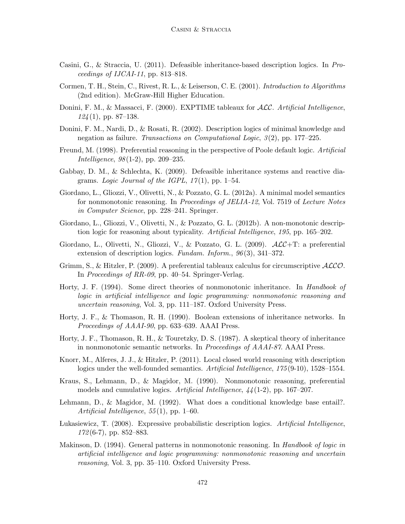- Casini, G., & Straccia, U. (2011). Defeasible inheritance-based description logics. In Proceedings of IJCAI-11, pp. 813–818.
- Cormen, T. H., Stein, C., Rivest, R. L., & Leiserson, C. E. (2001). Introduction to Algorithms (2nd edition). McGraw-Hill Higher Education.
- Donini, F. M., & Massacci, F. (2000). EXPTIME tableaux for *ACC*. Artificial Intelligence,  $124(1)$ , pp. 87–138.
- Donini, F. M., Nardi, D., & Rosati, R. (2002). Description logics of minimal knowledge and negation as failure. Transactions on Computational Logic, 3(2), pp. 177–225.
- Freund, M. (1998). Preferential reasoning in the perspective of Poole default logic. Artificial Intelligence, 98(1-2), pp. 209–235.
- Gabbay, D. M., & Schlechta, K. (2009). Defeasible inheritance systems and reactive diagrams. Logic Journal of the IGPL,  $17(1)$ , pp. 1–54.
- Giordano, L., Gliozzi, V., Olivetti, N., & Pozzato, G. L. (2012a). A minimal model semantics for nonmonotonic reasoning. In Proceedings of JELIA-12, Vol. 7519 of Lecture Notes in Computer Science, pp. 228–241. Springer.
- Giordano, L., Gliozzi, V., Olivetti, N., & Pozzato, G. L. (2012b). A non-monotonic description logic for reasoning about typicality. Artificial Intelligence, 195, pp. 165–202.
- Giordano, L., Olivetti, N., Gliozzi, V., & Pozzato, G. L. (2009).  $\mathcal{ALC}+\mathcal{T}$ : a preferential extension of description logics. Fundam. Inform., 96(3), 341–372.
- Grimm, S., & Hitzler, P. (2009). A preferential tableaux calculus for circumscriptive  $\mathcal{ALCO}$ . In Proceedings of RR-09, pp. 40–54. Springer-Verlag.
- Horty, J. F. (1994). Some direct theories of nonmonotonic inheritance. In Handbook of logic in artificial intelligence and logic programming: nonmonotonic reasoning and uncertain reasoning, Vol. 3, pp. 111–187. Oxford University Press.
- Horty, J. F., & Thomason, R. H. (1990). Boolean extensions of inheritance networks. In Proceedings of AAAI-90, pp. 633–639. AAAI Press.
- Horty, J. F., Thomason, R. H., & Touretzky, D. S. (1987). A skeptical theory of inheritance in nonmonotonic semantic networks. In Proceedings of AAAI-87. AAAI Press.
- Knorr, M., Alferes, J. J., & Hitzler, P. (2011). Local closed world reasoning with description logics under the well-founded semantics. Artificial Intelligence, 175(9-10), 1528–1554.
- Kraus, S., Lehmann, D., & Magidor, M. (1990). Nonmonotonic reasoning, preferential models and cumulative logics. Artificial Intelligence,  $44(1-2)$ , pp. 167–207.
- Lehmann, D., & Magidor, M. (1992). What does a conditional knowledge base entail?. Artificial Intelligence, 55(1), pp. 1–60.
- Lukasiewicz, T. (2008). Expressive probabilistic description logics. Artificial Intelligence, 172(6-7), pp. 852–883.
- Makinson, D. (1994). General patterns in nonmonotonic reasoning. In Handbook of logic in artificial intelligence and logic programming: nonmonotonic reasoning and uncertain reasoning, Vol. 3, pp. 35–110. Oxford University Press.